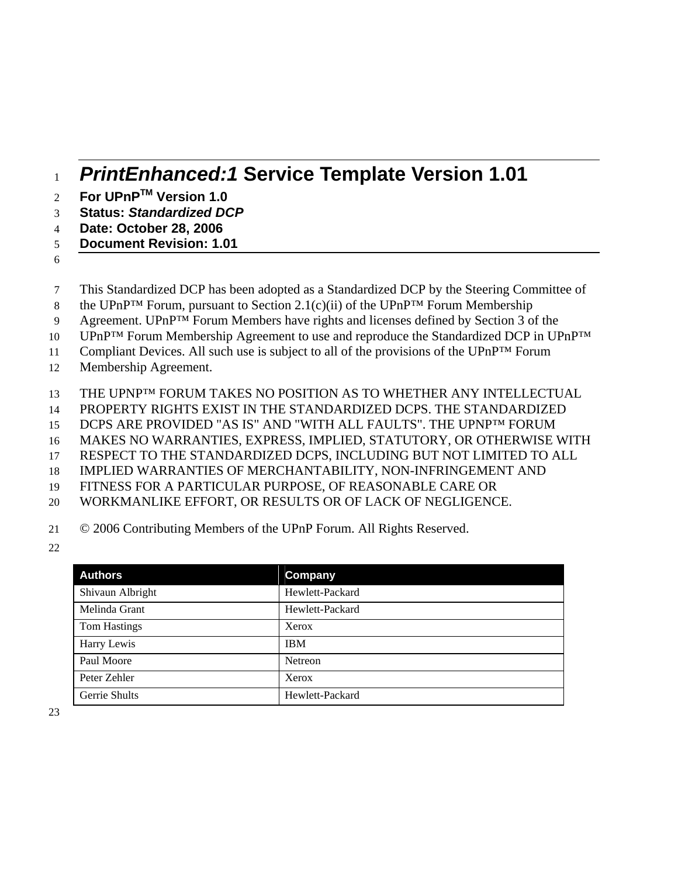# <sup>1</sup>*PrintEnhanced:1* **Service Template Version 1.01**

- **For UPnPTM** 2 **Version 1.0**
- 3 **Status:** *Standardized DCP*
- 4 **Date: October 28, 2006**
- 5 **Document Revision: 1.01**
- 6
- 7 This Standardized DCP has been adopted as a Standardized DCP by the Steering Committee of
- 8 the UPnP<sup>TM</sup> Forum, pursuant to Section 2.1(c)(ii) of the UPnP<sup>TM</sup> Forum Membership
- 9 Agreement. UPnP<sup>TM</sup> Forum Members have rights and licenses defined by Section 3 of the
- 10 UPnP™ Forum Membership Agreement to use and reproduce the Standardized DCP in UPnP™

11 Compliant Devices. All such use is subject to all of the provisions of the UPnP™ Forum

- 12 Membership Agreement.
- 13 THE UPNP<sup>TM</sup> FORUM TAKES NO POSITION AS TO WHETHER ANY INTELLECTUAL
- 14 PROPERTY RIGHTS EXIST IN THE STANDARDIZED DCPS. THE STANDARDIZED
- 15 DCPS ARE PROVIDED "AS IS" AND "WITH ALL FAULTS". THE UPNP™ FORUM
- 16 MAKES NO WARRANTIES, EXPRESS, IMPLIED, STATUTORY, OR OTHERWISE WITH
- 17 RESPECT TO THE STANDARDIZED DCPS, INCLUDING BUT NOT LIMITED TO ALL
- 18 IMPLIED WARRANTIES OF MERCHANTABILITY, NON-INFRINGEMENT AND
- 19 FITNESS FOR A PARTICULAR PURPOSE, OF REASONABLE CARE OR
- 20 WORKMANLIKE EFFORT, OR RESULTS OR OF LACK OF NEGLIGENCE.
- 21 © 2006 Contributing Members of the UPnP Forum. All Rights Reserved.
- 22

| <b>Authors</b>      | Company         |
|---------------------|-----------------|
| Shivaun Albright    | Hewlett-Packard |
| Melinda Grant       | Hewlett-Packard |
| <b>Tom Hastings</b> | Xerox           |
| Harry Lewis         | <b>IBM</b>      |
| Paul Moore          | <b>Netreon</b>  |
| Peter Zehler        | Xerox           |
| Gerrie Shults       | Hewlett-Packard |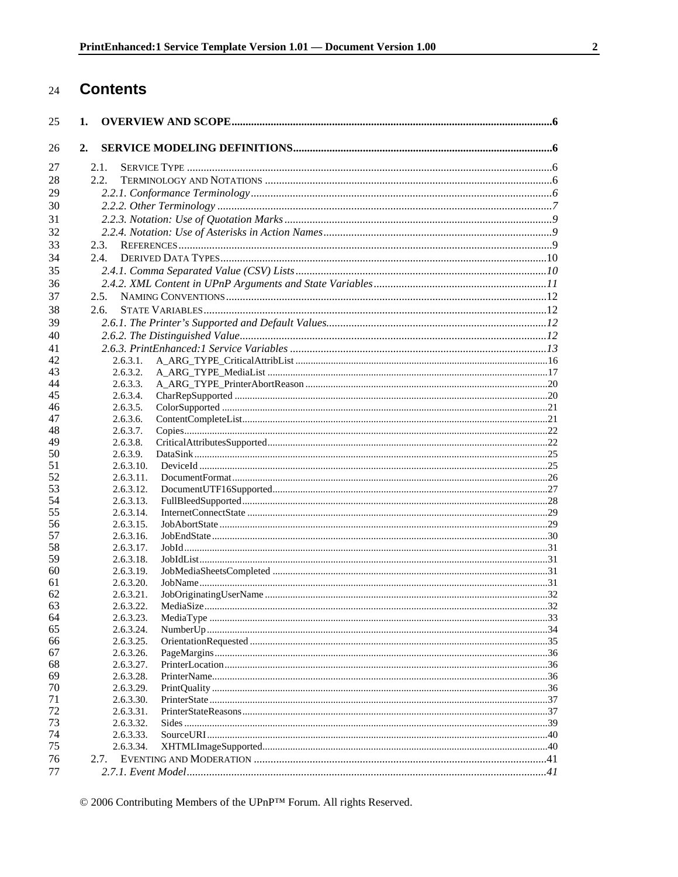#### **Contents** 24

| 25 | 1.        |  |
|----|-----------|--|
| 26 | 2.        |  |
| 27 | 2.1.      |  |
|    | 2.2.      |  |
| 28 |           |  |
| 29 |           |  |
| 30 |           |  |
| 31 |           |  |
| 32 |           |  |
| 33 | 2.3.      |  |
| 34 | 2.4.      |  |
| 35 |           |  |
| 36 |           |  |
| 37 | 2.5.      |  |
| 38 | 2.6.      |  |
| 39 |           |  |
| 40 |           |  |
| 41 |           |  |
| 42 | 2.6.3.1.  |  |
| 43 | 2.6.3.2.  |  |
| 44 | 2.6.3.3.  |  |
| 45 | 2.6.3.4.  |  |
| 46 | 2.6.3.5.  |  |
| 47 | 2.6.3.6.  |  |
| 48 | 2.6.3.7.  |  |
| 49 | 2.6.3.8.  |  |
| 50 | 2.6.3.9.  |  |
| 51 | 2.6.3.10. |  |
| 52 | 2.6.3.11. |  |
| 53 | 2.6.3.12. |  |
| 54 | 2.6.3.13. |  |
| 55 | 2.6.3.14. |  |
| 56 | 2.6.3.15. |  |
| 57 | 2.6.3.16. |  |
| 58 | 2.6.3.17. |  |
| 59 | 2.6.3.18. |  |
| 60 | 2.6.3.19. |  |
| 61 | 2.6.3.20. |  |
| 62 | 2.6.3.21. |  |
| 63 | 2.6.3.22. |  |
| 64 | 2.6.3.23. |  |
| 65 | 2.6.3.24. |  |
| 66 | 2.6.3.25. |  |
| 67 | 2.6.3.26. |  |
| 68 | 2.6.3.27. |  |
| 69 | 2.6.3.28. |  |
| 70 | 2.6.3.29. |  |
| 71 | 2.6.3.30. |  |
| 72 | 2.6.3.31. |  |
| 73 | 2.6.3.32. |  |
| 74 | 2.6.3.33. |  |
| 75 | 2.6.3.34. |  |
| 76 | 2.7.      |  |
| 77 |           |  |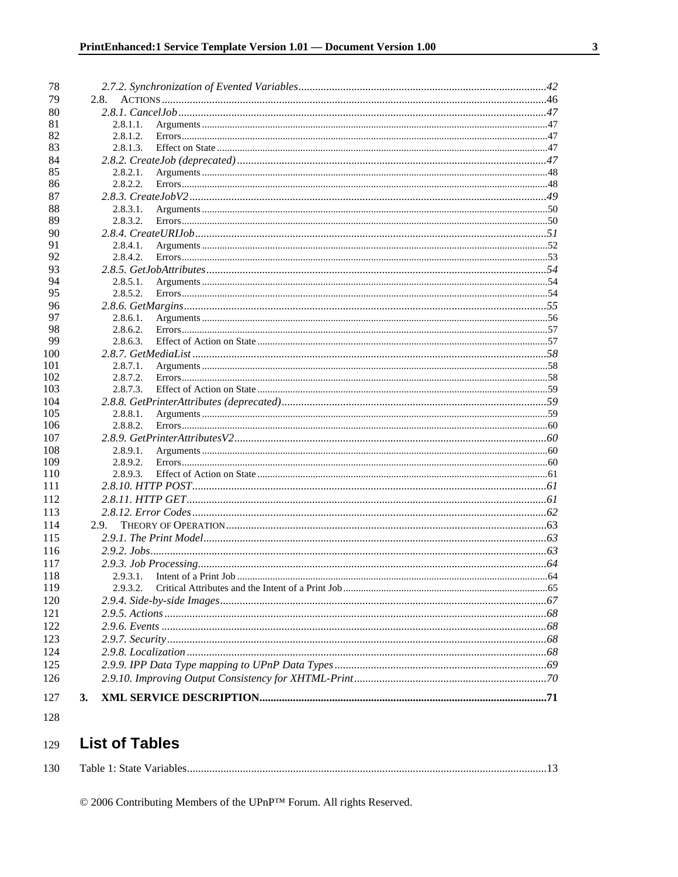| 78         |                      |  |
|------------|----------------------|--|
| 79         | 2.8.                 |  |
| 80         |                      |  |
| 81         | 2.8.1.1.             |  |
| 82         | 2.8.1.2.             |  |
| 83         | 2.8.1.3.             |  |
| 84         |                      |  |
| 85         | 2.8.2.1.             |  |
| 86         | 2.8.2.2.             |  |
| 87         |                      |  |
| 88         | 2.8.3.1.             |  |
| 89         | 2.8.3.2.             |  |
| 90         |                      |  |
| 91         | 2.8.4.1.             |  |
| 92         | 2.8.4.2.             |  |
| 93         |                      |  |
| 94         | 2.8.5.1.             |  |
| 95         | 2.8.5.2.             |  |
| 96         |                      |  |
| 97         | 2.8.6.1.             |  |
| 98         | 2.8.6.2.             |  |
| 99         | 2.8.6.3.             |  |
| 100        |                      |  |
| 101        | 2.8.7.1.             |  |
| 102        | 2.8.7.2.             |  |
| 103        | 2.8.7.3.             |  |
| 104        |                      |  |
| 105        | 2.8.8.1.             |  |
| 106        | 2.8.8.2.             |  |
| 107<br>108 |                      |  |
| 109        | 2.8.9.1.<br>2.8.9.2. |  |
| 110        | 2.8.9.3.             |  |
| 111        |                      |  |
| 112        |                      |  |
| 113        |                      |  |
| 114        |                      |  |
|            | 2.9.                 |  |
| 115        |                      |  |
| 116        |                      |  |
| 117        |                      |  |
| 118<br>119 |                      |  |
| 120        | 2.9.3.2.             |  |
| 121        |                      |  |
|            |                      |  |
| 122        |                      |  |
| 123        |                      |  |
| 124        |                      |  |
| 125        |                      |  |
| 126        |                      |  |
| 127        | 3.                   |  |
|            |                      |  |

### 128

#### **List of Tables** 129

| 130 | Table<br>state | Variable |  |
|-----|----------------|----------|--|
|-----|----------------|----------|--|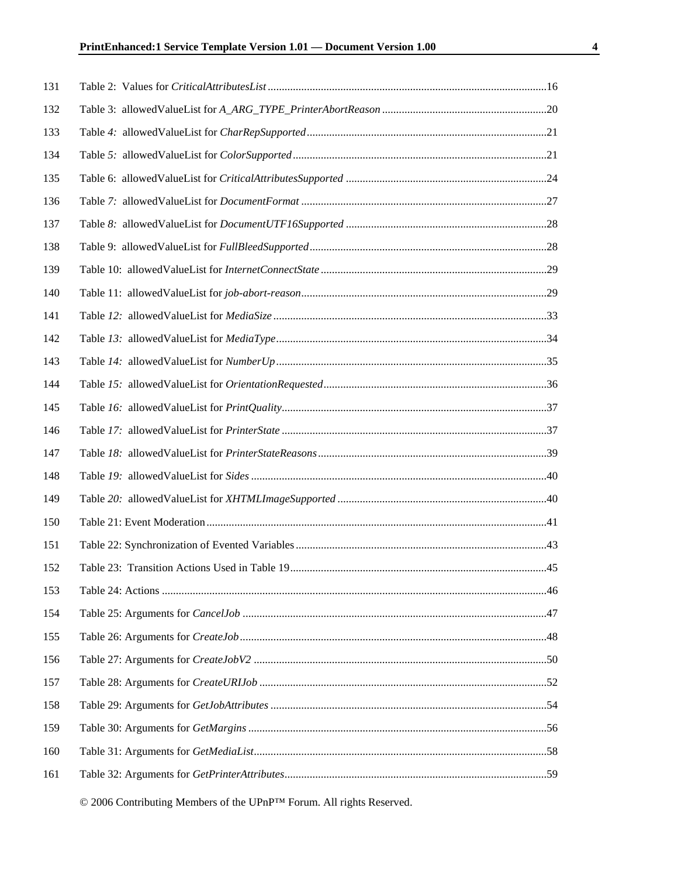| 131 |  |
|-----|--|
| 132 |  |
| 133 |  |
| 134 |  |
| 135 |  |
| 136 |  |
| 137 |  |
| 138 |  |
| 139 |  |
| 140 |  |
| 141 |  |
| 142 |  |
| 143 |  |
| 144 |  |
| 145 |  |
| 146 |  |
| 147 |  |
| 148 |  |
| 149 |  |
| 150 |  |
| 151 |  |
| 152 |  |
| 153 |  |
| 154 |  |
| 155 |  |
| 156 |  |
| 157 |  |
| 158 |  |
| 159 |  |
| 160 |  |
| 161 |  |
|     |  |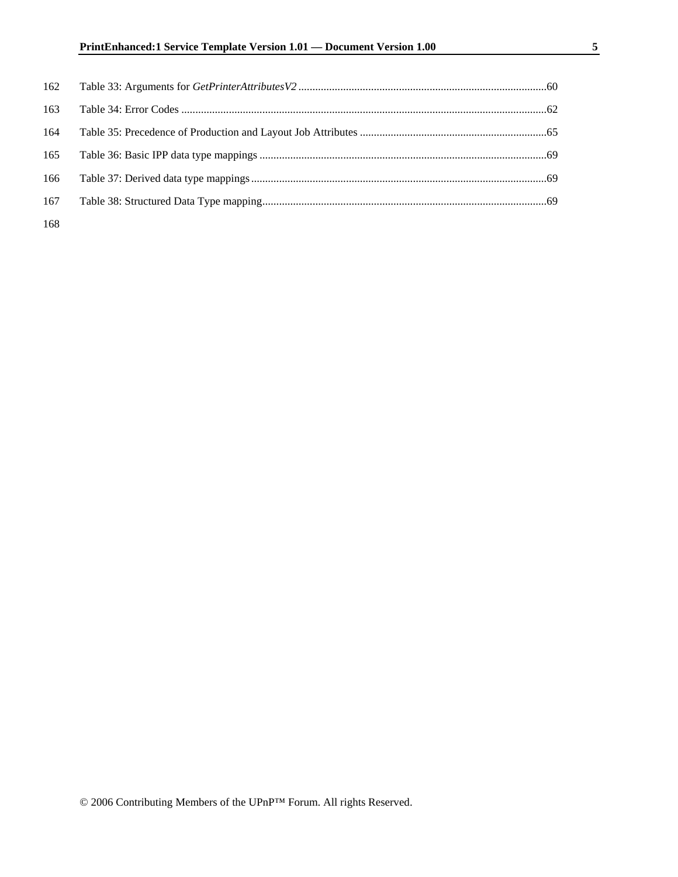| 162 |  |
|-----|--|
| 163 |  |
| 164 |  |
| 165 |  |
| 166 |  |
| 167 |  |
|     |  |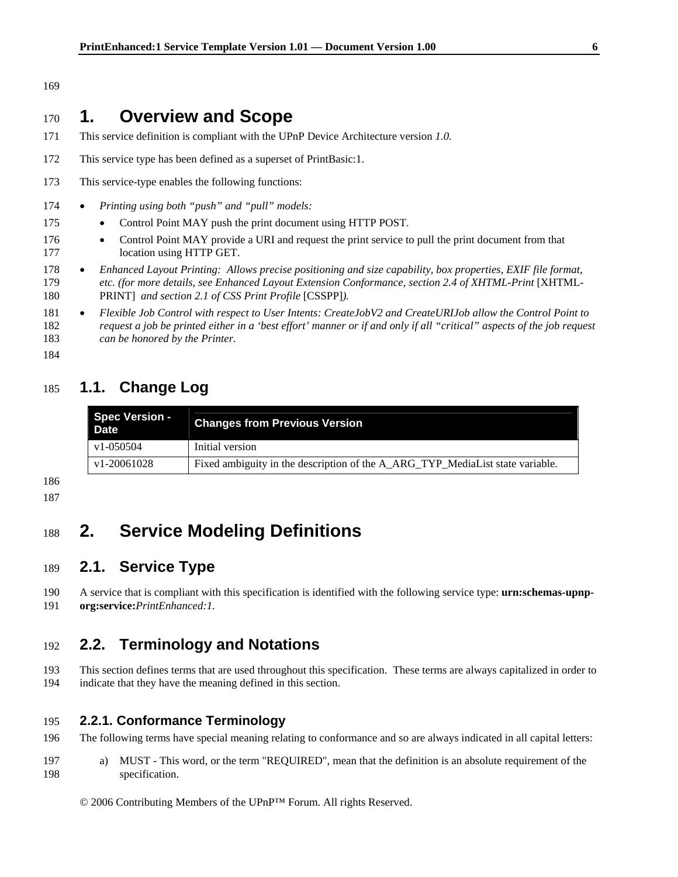#### 169

## <sup>170</sup>**1. Overview and Scope**

- 171 This service definition is compliant with the UPnP Device Architecture version *1.0.*
- 172 This service type has been defined as a superset of PrintBasic:1.
- 173 This service-type enables the following functions:
- 174 *Printing using both "push" and "pull" models:*
- 175 Control Point MAY push the print document using HTTP POST.
- 176 Control Point MAY provide a URI and request the print service to pull the print document from that 177 location using HTTP GET.
- 178 *Enhanced Layout Printing: Allows precise positioning and size capability, box properties, EXIF file format,*  179 *etc. (for more details, see Enhanced Layout Extension Conformance, section 2.4 of XHTML-Print* [XHTML-180 PRINT] *and section 2.1 of CSS Print Profile* [CSSPP]*).*
- 181 *Flexible Job Control with respect to User Intents: CreateJobV2 and CreateURIJob allow the Control Point to*  182 *request a job be printed either in a 'best effort' manner or if and only if all "critical" aspects of the job request*  183 *can be honored by the Printer.*
- 184

## 185 **1.1. Change Log**

| <b>Spec Version -</b><br><b>Date</b> | <b>Changes from Previous Version</b>                                          |
|--------------------------------------|-------------------------------------------------------------------------------|
| v1-050504                            | Initial version                                                               |
| v1-20061028                          | Fixed ambiguity in the description of the A_ARG_TYP_MediaList state variable. |

186

187

# <sup>188</sup>**2. Service Modeling Definitions**

### 189 **2.1. Service Type**

190 A service that is compliant with this specification is identified with the following service type: **urn:schemas-upnp-**191 **org:service:***PrintEnhanced:1.*

### 192 **2.2. Terminology and Notations**

193 This section defines terms that are used throughout this specification. These terms are always capitalized in order to 194 indicate that they have the meaning defined in this section.

### 195 **2.2.1. Conformance Terminology**

- 196 The following terms have special meaning relating to conformance and so are always indicated in all capital letters:
- 197 a) MUST This word, or the term "REQUIRED", mean that the definition is an absolute requirement of the 198 specification.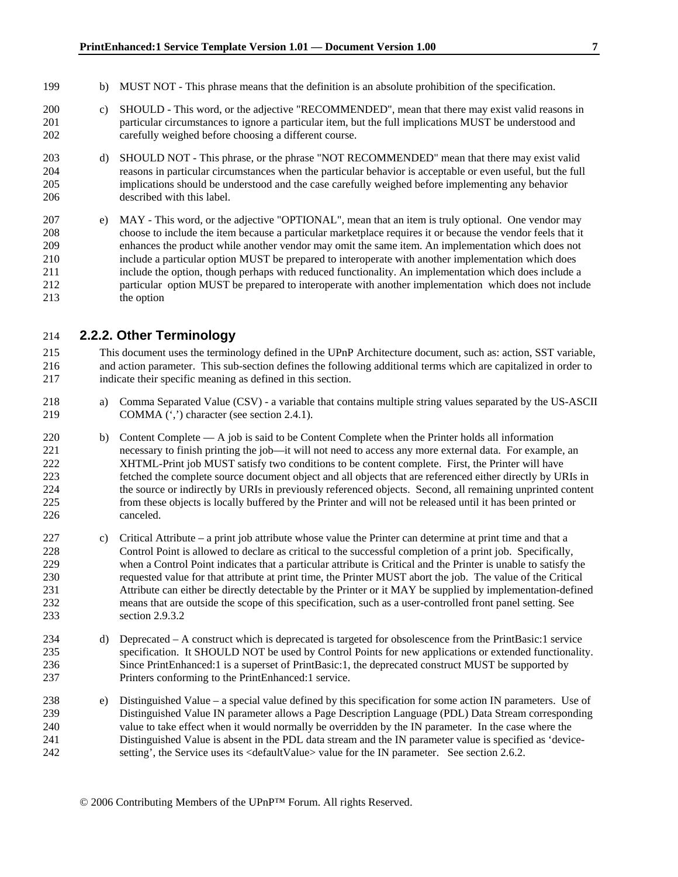- 199 b) MUST NOT This phrase means that the definition is an absolute prohibition of the specification.
- 200 c) SHOULD This word, or the adjective "RECOMMENDED", mean that there may exist valid reasons in 201 particular circumstances to ignore a particular item, but the full implications MUST be understood and 202 carefully weighed before choosing a different course.
- 203 d) SHOULD NOT This phrase, or the phrase "NOT RECOMMENDED" mean that there may exist valid 204 reasons in particular circumstances when the particular behavior is acceptable or even useful, but the full 205 implications should be understood and the case carefully weighed before implementing any behavior 206 described with this label.
- 207 e) MAY This word, or the adjective "OPTIONAL", mean that an item is truly optional. One vendor may 208 choose to include the item because a particular marketplace requires it or because the vendor feels that it 209 enhances the product while another vendor may omit the same item. An implementation which does not 210 include a particular option MUST be prepared to interoperate with another implementation which does 211 include the option, though perhaps with reduced functionality. An implementation which does include a 212 particular option MUST be prepared to interoperate with another implementation which does not include 213 the option

### 214 **2.2.2. Other Terminology**

215 This document uses the terminology defined in the UPnP Architecture document, such as: action, SST variable, 216 and action parameter. This sub-section defines the following additional terms which are capitalized in order to 217 indicate their specific meaning as defined in this section.

- 218 a) Comma Separated Value (CSV) a variable that contains multiple string values separated by the US-ASCII 219 COMMA (',') character (see section 2.4.1).
- 220 b) Content Complete A job is said to be Content Complete when the Printer holds all information 221 necessary to finish printing the job—it will not need to access any more external data. For example, an 222 XHTML-Print job MUST satisfy two conditions to be content complete. First, the Printer will have 223 fetched the complete source document object and all objects that are referenced either directly by URIs in 224 the source or indirectly by URIs in previously referenced objects. Second, all remaining unprinted content 225 from these objects is locally buffered by the Printer and will not be released until it has been printed or 226 canceled.
- 227 c) Critical Attribute a print job attribute whose value the Printer can determine at print time and that a 228 Control Point is allowed to declare as critical to the successful completion of a print job. Specifically, 229 when a Control Point indicates that a particular attribute is Critical and the Printer is unable to satisfy the 230 requested value for that attribute at print time, the Printer MUST abort the job. The value of the Critical 231 Attribute can either be directly detectable by the Printer or it MAY be supplied by implementation-defined 232 means that are outside the scope of this specification, such as a user-controlled front panel setting. See 233 section 2.9.3.2
- 234 d) Deprecated A construct which is deprecated is targeted for obsolescence from the PrintBasic:1 service 235 specification. It SHOULD NOT be used by Control Points for new applications or extended functionality. 236 Since PrintEnhanced:1 is a superset of PrintBasic:1, the deprecated construct MUST be supported by 237 Printers conforming to the PrintEnhanced:1 service.
- 238 e) Distinguished Value a special value defined by this specification for some action IN parameters. Use of 239 Distinguished Value IN parameter allows a Page Description Language (PDL) Data Stream corresponding 240 value to take effect when it would normally be overridden by the IN parameter. In the case where the 241 Distinguished Value is absent in the PDL data stream and the IN parameter value is specified as 'device-242 setting', the Service uses its <defaultValue> value for the IN parameter. See section 2.6.2.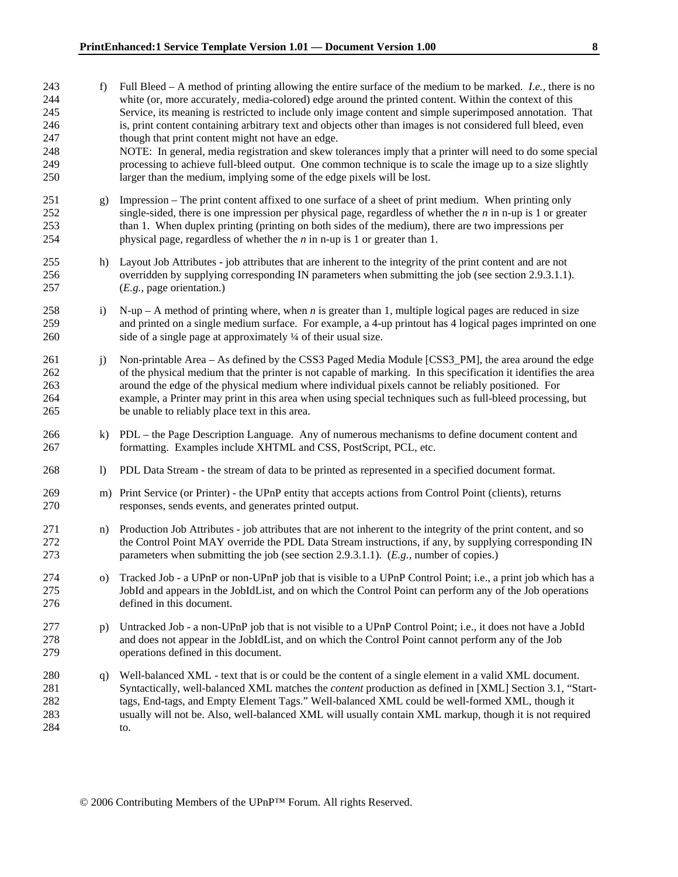- 243 f) Full Bleed A method of printing allowing the entire surface of the medium to be marked. *I.e.,* there is no 244 white (or, more accurately, media-colored) edge around the printed content. Within the context of this 245 Service, its meaning is restricted to include only image content and simple superimposed annotation. That 246 is, print content containing arbitrary text and objects other than images is not considered full bleed, even 247 though that print content might not have an edge.
- 248 NOTE: In general, media registration and skew tolerances imply that a printer will need to do some special 249 processing to achieve full-bleed output. One common technique is to scale the image up to a size slightly 250 larger than the medium, implying some of the edge pixels will be lost.
- 251 g) Impression The print content affixed to one surface of a sheet of print medium. When printing only 252 single-sided, there is one impression per physical page, regardless of whether the *n* in n-up is 1 or greater 253 than 1. When duplex printing (printing on both sides of the medium), there are two impressions per 254 physical page, regardless of whether the *n* in n-up is 1 or greater than 1.
- 255 h) Layout Job Attributes job attributes that are inherent to the integrity of the print content and are not 256 overridden by supplying corresponding IN parameters when submitting the job (see section 2.9.3.1.1). 257 (*E.g.,* page orientation.)
- 258 i) N-up A method of printing where, when *n* is greater than 1, multiple logical pages are reduced in size 259 and printed on a single medium surface. For example, a 4-up printout has 4 logical pages imprinted on one 260 side of a single page at approximately ¼ of their usual size.
- 261 i) Non-printable Area As defined by the CSS3 Paged Media Module [CSS3 PM], the area around the edge 262 of the physical medium that the printer is not capable of marking. In this specification it identifies the area 263 around the edge of the physical medium where individual pixels cannot be reliably positioned. For 264 example, a Printer may print in this area when using special techniques such as full-bleed processing, but 265 be unable to reliably place text in this area.
- 266 k) PDL the Page Description Language. Any of numerous mechanisms to define document content and 267 formatting. Examples include XHTML and CSS, PostScript, PCL, etc.
- 268 l) PDL Data Stream the stream of data to be printed as represented in a specified document format.
- 269 m) Print Service (or Printer) the UPnP entity that accepts actions from Control Point (clients), returns 270 responses, sends events, and generates printed output.
- 271 n) Production Job Attributes job attributes that are not inherent to the integrity of the print content, and so 272 the Control Point MAY override the PDL Data Stream instructions, if any, by supplying corresponding IN 273 parameters when submitting the job (see section 2.9.3.1.1). (*E.g.,* number of copies.)
- 274 o) Tracked Job a UPnP or non-UPnP job that is visible to a UPnP Control Point; i.e., a print job which has a 275 JobId and appears in the JobIdList, and on which the Control Point can perform any of the Job operations 276 defined in this document.
- 277 p) Untracked Job a non-UPnP job that is not visible to a UPnP Control Point; i.e., it does not have a JobId 278 and does not appear in the JobIdList, and on which the Control Point cannot perform any of the Job 279 operations defined in this document.
- 280 q) Well-balanced XML text that is or could be the content of a single element in a valid XML document. 281 Syntactically, well-balanced XML matches the *content* production as defined in [XML] Section 3.1, "Start-282 tags, End-tags, and Empty Element Tags." Well-balanced XML could be well-formed XML, though it 283 usually will not be. Also, well-balanced XML will usually contain XML markup, though it is not required 284 to.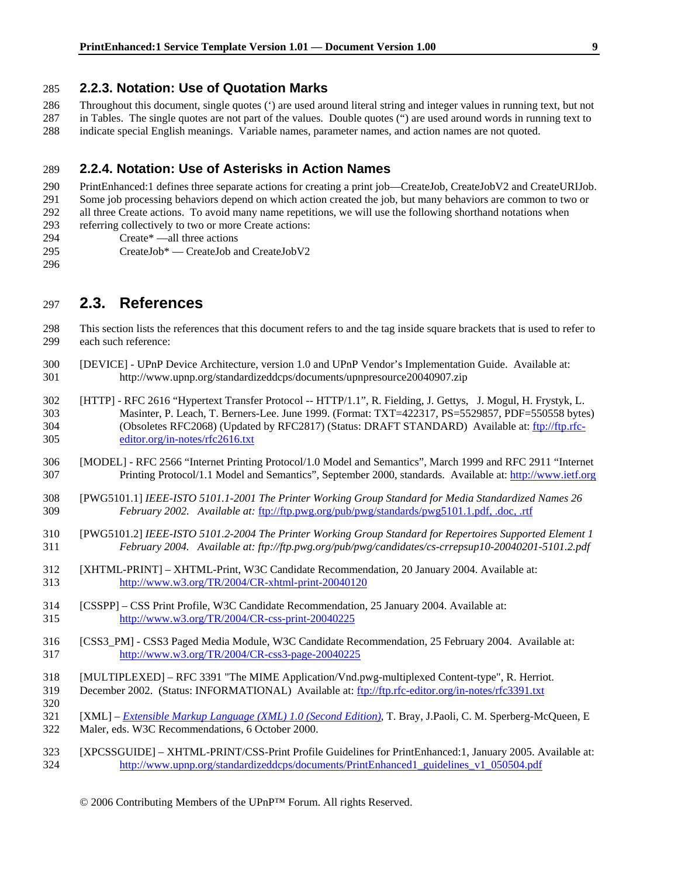#### 285 **2.2.3. Notation: Use of Quotation Marks**

286 Throughout this document, single quotes (') are used around literal string and integer values in running text, but not 287 in Tables. The single quotes are not part of the values. Double quotes (") are used around words in running text to 288 indicate special English meanings. Variable names, parameter names, and action names are not quoted.

### 289 **2.2.4. Notation: Use of Asterisks in Action Names**

290 PrintEnhanced:1 defines three separate actions for creating a print job—CreateJob, CreateJobV2 and CreateURIJob. 291 Some job processing behaviors depend on which action created the job, but many behaviors are common to two or 292 all three Create actions. To avoid many name repetitions, we will use the following shorthand notations when 293 referring collectively to two or more Create actions: 294 Create\* —all three actions

- 295 CreateJob\* CreateJob and CreateJobV2
- 296

297 **2.3. References** 

298 This section lists the references that this document refers to and the tag inside square brackets that is used to refer to 299 each such reference:

- 300 [DEVICE] UPnP Device Architecture, version 1.0 and UPnP Vendor's Implementation Guide. Available at: 301 http://www.upnp.org/standardizeddcps/documents/upnpresource20040907.zip
- 302 [HTTP] RFC 2616 "Hypertext Transfer Protocol -- HTTP/1.1", R. Fielding, J. Gettys, J. Mogul, H. Frystyk, L. 303 Masinter, P. Leach, T. Berners-Lee. June 1999. (Format: TXT=422317, PS=5529857, PDF=550558 bytes) 304 (Obsoletes RFC2068) (Updated by RFC2817) (Status: DRAFT STANDARD) Available at: ftp://ftp.rfc-305 editor.org/in-notes/rfc2616.txt
- 306 [MODEL] RFC 2566 "Internet Printing Protocol/1.0 Model and Semantics", March 1999 and RFC 2911 "Internet 307 Printing Protocol/1.1 Model and Semantics", September 2000, standards. Available at: http://www.ietf.org
- 308 [PWG5101.1] *IEEE-ISTO 5101.1-2001 The Printer Working Group Standard for Media Standardized Names 26*  309 *February 2002. Available at:* ftp://ftp.pwg.org/pub/pwg/standards/pwg5101.1.pdf, .doc, .rtf
- 310 [PWG5101.2] *IEEE-ISTO 5101.2-2004 The Printer Working Group Standard for Repertoires Supported Element 1*  311 *February 2004. Available at: ftp://ftp.pwg.org/pub/pwg/candidates/cs-crrepsup10-20040201-5101.2.pdf*
- 312 [XHTML-PRINT] XHTML-Print, W3C Candidate Recommendation, 20 January 2004. Available at: 313 http://www.w3.org/TR/2004/CR-xhtml-print-20040120
- 314 [CSSPP] CSS Print Profile, W3C Candidate Recommendation, 25 January 2004. Available at: 315 http://www.w3.org/TR/2004/CR-css-print-20040225
- 316 [CSS3\_PM] CSS3 Paged Media Module, W3C Candidate Recommendation, 25 February 2004. Available at: 317 http://www.w3.org/TR/2004/CR-css3-page-20040225
- 318 [MULTIPLEXED] RFC 3391 "The MIME Application/Vnd.pwg-multiplexed Content-type", R. Herriot.
- 319 December 2002. (Status: INFORMATIONAL) Available at: ftp://ftp.rfc-editor.org/in-notes/rfc3391.txt
- 320 321 [XML] – *Extensible Markup Language (XML) 1.0 (Second Edition)*, T. Bray, J.Paoli, C. M. Sperberg-McQueen, E 322 Maler, eds. W3C Recommendations, 6 October 2000.
- 323 [XPCSSGUIDE] XHTML-PRINT/CSS-Print Profile Guidelines for PrintEnhanced:1, January 2005. Available at: 324 http://www.upnp.org/standardizeddcps/documents/PrintEnhanced1\_guidelines\_v1\_050504.pdf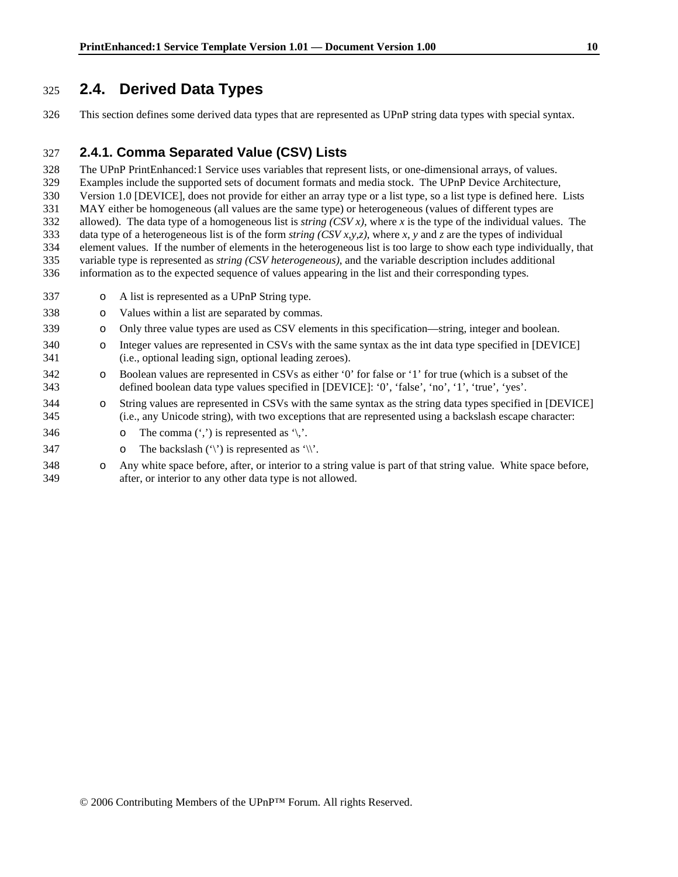### 325 **2.4. Derived Data Types**

326 This section defines some derived data types that are represented as UPnP string data types with special syntax.

### 327 **2.4.1. Comma Separated Value (CSV) Lists**

328 The UPnP PrintEnhanced:1 Service uses variables that represent lists, or one-dimensional arrays, of values.

329 Examples include the supported sets of document formats and media stock. The UPnP Device Architecture,

330 Version 1.0 [DEVICE], does not provide for either an array type or a list type, so a list type is defined here. Lists

331 MAY either be homogeneous (all values are the same type) or heterogeneous (values of different types are 332 allowed). The data type of a homogeneous list is *string (CSV x)*, where *x* is the type of the individual values. The

333 data type of a heterogeneous list is of the form *string (CSV x,y,z)*, where *x*, *y* and *z* are the types of individual

334 element values. If the number of elements in the heterogeneous list is too large to show each type individually, that

335 variable type is represented as *string (CSV heterogeneous)*, and the variable description includes additional

336 information as to the expected sequence of values appearing in the list and their corresponding types.

- 337 o A list is represented as a UPnP String type.
- 338 o Values within a list are separated by commas.
- 339 o Only three value types are used as CSV elements in this specification—string, integer and boolean.
- 340 o Integer values are represented in CSVs with the same syntax as the int data type specified in [DEVICE] 341 (i.e., optional leading sign, optional leading zeroes).
- 342 o Boolean values are represented in CSVs as either '0' for false or '1' for true (which is a subset of the 343 defined boolean data type values specified in [DEVICE]: '0', 'false', 'no', '1', 'true', 'yes'.
- 344 o String values are represented in CSVs with the same syntax as the string data types specified in [DEVICE] 345 (i.e., any Unicode string), with two exceptions that are represented using a backslash escape character:
- 346  $\circ$  The comma  $(\cdot, \cdot)$  is represented as  $\cdot \cdot$ .
- 347  $\circ$  The backslash  $(\hat{y})$  is represented as  $\hat{y}$ .
- 348 o Any white space before, after, or interior to a string value is part of that string value. White space before, 349 after, or interior to any other data type is not allowed.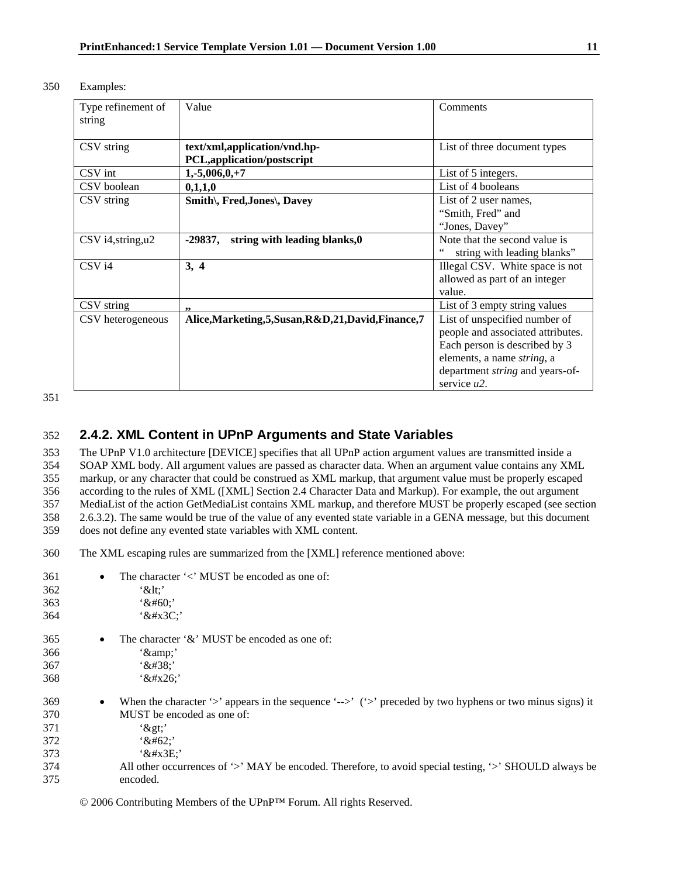| 350 | Examples: |
|-----|-----------|
|-----|-----------|

| Type refinement of<br>string | Value                                                       | Comments                                                                                                                                                                                      |
|------------------------------|-------------------------------------------------------------|-----------------------------------------------------------------------------------------------------------------------------------------------------------------------------------------------|
| CSV string                   | text/xml,application/vnd.hp-<br>PCL, application/postscript | List of three document types                                                                                                                                                                  |
| CSV int                      | $1,-5,006,0,+7$                                             | List of 5 integers.                                                                                                                                                                           |
| CSV boolean                  | 0,1,1,0                                                     | List of 4 booleans                                                                                                                                                                            |
| CSV string                   | Smith\, Fred, Jones\, Davey                                 | List of 2 user names,<br>"Smith, Fred" and<br>"Jones, Davey"                                                                                                                                  |
| $CSV$ i4, string, $u2$       | string with leading blanks, 0<br>-29837,                    | Note that the second value is<br>string with leading blanks"                                                                                                                                  |
| CSV <sub>i4</sub>            | 3, 4                                                        | Illegal CSV. White space is not<br>allowed as part of an integer<br>value.                                                                                                                    |
| CSV string                   | ,,                                                          | List of 3 empty string values                                                                                                                                                                 |
| CSV heterogeneous            | Alice, Marketing, 5, Susan, R&D, 21, David, Finance, 7      | List of unspecified number of<br>people and associated attributes.<br>Each person is described by 3<br>elements, a name string, a<br>department <i>string</i> and years-of-<br>service $u2$ . |

351

### 352 **2.4.2. XML Content in UPnP Arguments and State Variables**

353 The UPnP V1.0 architecture [DEVICE] specifies that all UPnP action argument values are transmitted inside a 354 SOAP XML body. All argument values are passed as character data. When an argument value contains any XML 355 markup, or any character that could be construed as XML markup, that argument value must be properly escaped 356 according to the rules of XML ([XML] Section 2.4 Character Data and Markup). For example, the out argument 357 MediaList of the action GetMediaList contains XML markup, and therefore MUST be properly escaped (see section 358 2.6.3.2). The same would be true of the value of any evented state variable in a GENA message, but this document 359 does not define any evented state variables with XML content.

360 The XML escaping rules are summarized from the [XML] reference mentioned above:

| 361 | The character $\leq$ MUST be encoded as one of:<br>$\bullet$                                                          |
|-----|-----------------------------------------------------------------------------------------------------------------------|
| 362 | $\&$ lt:'                                                                                                             |
| 363 | $48#60$ :                                                                                                             |
| 364 | $x+x3C$                                                                                                               |
| 365 | The character $\&$ MUST be encoded as one of:                                                                         |
| 366 | $\alpha$ $\gamma$ .                                                                                                   |
| 367 | x#38;                                                                                                                 |
| 368 | $x^2$ + $x^2$                                                                                                         |
| 369 | When the character '>' appears in the sequence '-->' ('>' preceded by two hyphens or two minus signs) it<br>$\bullet$ |
| 370 | MUST be encoded as one of:                                                                                            |
| 371 | $'$ >'                                                                                                                |
| 372 | $x#62$ :                                                                                                              |
| 373 | x#x3E                                                                                                                 |
| 374 | All other occurrences of '>' MAY be encoded. Therefore, to avoid special testing, '>' SHOULD always be                |
| 375 | encoded.                                                                                                              |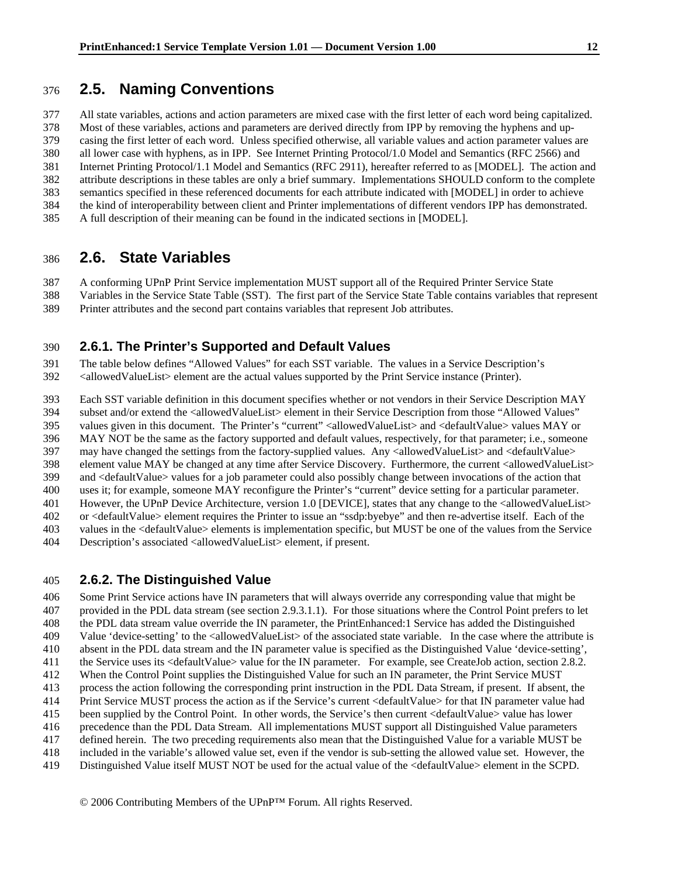### 376 **2.5. Naming Conventions**

377 All state variables, actions and action parameters are mixed case with the first letter of each word being capitalized. 378 Most of these variables, actions and parameters are derived directly from IPP by removing the hyphens and up-379 casing the first letter of each word. Unless specified otherwise, all variable values and action parameter values are 380 all lower case with hyphens, as in IPP. See Internet Printing Protocol/1.0 Model and Semantics (RFC 2566) and 381 Internet Printing Protocol/1.1 Model and Semantics (RFC 2911), hereafter referred to as [MODEL]. The action and 382 attribute descriptions in these tables are only a brief summary. Implementations SHOULD conform to the complete 383 semantics specified in these referenced documents for each attribute indicated with [MODEL] in order to achieve 384 the kind of interoperability between client and Printer implementations of different vendors IPP has demonstrated.

#### 385 A full description of their meaning can be found in the indicated sections in [MODEL].

### 386 **2.6. State Variables**

387 A conforming UPnP Print Service implementation MUST support all of the Required Printer Service State

388 Variables in the Service State Table (SST). The first part of the Service State Table contains variables that represent

389 Printer attributes and the second part contains variables that represent Job attributes.

### 390 **2.6.1. The Printer's Supported and Default Values**

391 The table below defines "Allowed Values" for each SST variable. The values in a Service Description's

392 <allowedValueList> element are the actual values supported by the Print Service instance (Printer).

393 Each SST variable definition in this document specifies whether or not vendors in their Service Description MAY

394 subset and/or extend the <allowedValueList> element in their Service Description from those "Allowed Values"

395 values given in this document. The Printer's "current" <allowedValueList> and <defaultValue> values MAY or 396 MAY NOT be the same as the factory supported and default values, respectively, for that parameter; i.e., someone

397 may have changed the settings from the factory-supplied values. Any <allowedValueList> and <defaultValue>

398 element value MAY be changed at any time after Service Discovery. Furthermore, the current <allowedValueList>

399 and <defaultValue> values for a job parameter could also possibly change between invocations of the action that

400 uses it; for example, someone MAY reconfigure the Printer's "current" device setting for a particular parameter.

401 However, the UPnP Device Architecture, version 1.0 [DEVICE], states that any change to the <allowedValueList>

402 or <defaultValue> element requires the Printer to issue an "ssdp:byebye" and then re-advertise itself. Each of the

403 values in the <defaultValue> elements is implementation specific, but MUST be one of the values from the Service

404 Description's associated <allowedValueList> element, if present.

### 405 **2.6.2. The Distinguished Value**

406 Some Print Service actions have IN parameters that will always override any corresponding value that might be 407 provided in the PDL data stream (see section 2.9.3.1.1). For those situations where the Control Point prefers to let 408 the PDL data stream value override the IN parameter, the PrintEnhanced:1 Service has added the Distinguished 409 Value 'device-setting' to the <allowedValueList> of the associated state variable. In the case where the attribute is 410 absent in the PDL data stream and the IN parameter value is specified as the Distinguished Value 'device-setting', 411 the Service uses its <defaultValue> value for the IN parameter. For example, see CreateJob action, section 2.8.2. 412 When the Control Point supplies the Distinguished Value for such an IN parameter, the Print Service MUST 413 process the action following the corresponding print instruction in the PDL Data Stream, if present. If absent, the 414 Print Service MUST process the action as if the Service's current <defaultValue> for that IN parameter value had 415 been supplied by the Control Point. In other words, the Service's then current <defaultValue> value has lower 416 precedence than the PDL Data Stream. All implementations MUST support all Distinguished Value parameters 417 defined herein. The two preceding requirements also mean that the Distinguished Value for a variable MUST be

418 included in the variable's allowed value set, even if the vendor is sub-setting the allowed value set. However, the

419 Distinguished Value itself MUST NOT be used for the actual value of the <defaultValue> element in the SCPD.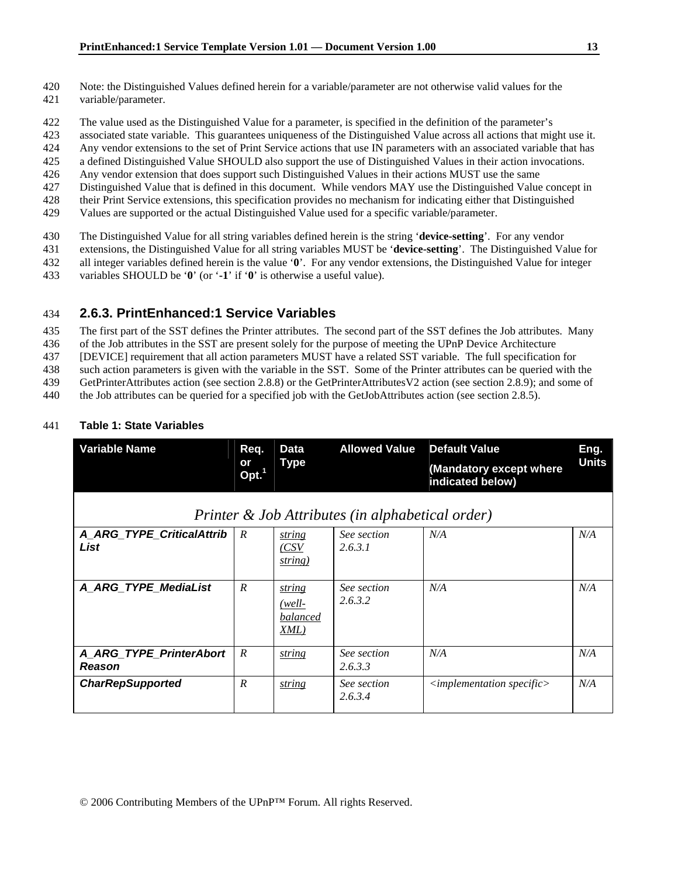- 420 Note: the Distinguished Values defined herein for a variable/parameter are not otherwise valid values for the
- 421 variable/parameter.
- 422 The value used as the Distinguished Value for a parameter, is specified in the definition of the parameter's
- 423 associated state variable. This guarantees uniqueness of the Distinguished Value across all actions that might use it.
- 424 Any vendor extensions to the set of Print Service actions that use IN parameters with an associated variable that has
- 425 a defined Distinguished Value SHOULD also support the use of Distinguished Values in their action invocations.
- 426 Any vendor extension that does support such Distinguished Values in their actions MUST use the same
- 427 Distinguished Value that is defined in this document. While vendors MAY use the Distinguished Value concept in 428 their Print Service extensions, this specification provides no mechanism for indicating either that Distinguished
- 429 Values are supported or the actual Distinguished Value used for a specific variable/parameter.
- 430 The Distinguished Value for all string variables defined herein is the string '**device-setting**'. For any vendor
- 431 extensions, the Distinguished Value for all string variables MUST be '**device-setting**'. The Distinguished Value for
- 432 all integer variables defined herein is the value '**0**'. For any vendor extensions, the Distinguished Value for integer
- 433 variables SHOULD be '**0**' (or '**-1**' if '**0**' is otherwise a useful value).

### 434 **2.6.3. PrintEnhanced:1 Service Variables**

435 The first part of the SST defines the Printer attributes. The second part of the SST defines the Job attributes. Many

- 436 of the Job attributes in the SST are present solely for the purpose of meeting the UPnP Device Architecture
- 437 [DEVICE] requirement that all action parameters MUST have a related SST variable. The full specification for
- 438 such action parameters is given with the variable in the SST. Some of the Printer attributes can be queried with the

439 GetPrinterAttributes action (see section 2.8.8) or the GetPrinterAttributesV2 action (see section 2.8.9); and some of

440 the Job attributes can be queried for a specified job with the GetJobAttributes action (see section 2.8.5).

### 441 **Table 1: State Variables**

| <b>Variable Name</b>                     | Req.                    | <b>Data</b>                          | <b>Allowed Value</b>                             | <b>Default Value</b>                        | Eng.         |
|------------------------------------------|-------------------------|--------------------------------------|--------------------------------------------------|---------------------------------------------|--------------|
|                                          | or<br>Opt. <sup>1</sup> | Type                                 |                                                  | (Mandatory except where<br>indicated below) | <b>Units</b> |
|                                          |                         |                                      | Printer & Job Attributes (in alphabetical order) |                                             |              |
| A ARG TYPE CriticalAttrib<br>List        | $\boldsymbol{R}$        | string<br>(CSV<br>string)            | See section<br>2.6.3.1                           | N/A                                         | N/A          |
| A ARG TYPE MediaList                     | $\boldsymbol{R}$        | string<br>(well-<br>balanced<br>XML) | See section<br>2.6.3.2                           | N/A                                         | N/A          |
| A ARG TYPE PrinterAbort<br><b>Reason</b> | $\boldsymbol{R}$        | string                               | See section<br>2.6.3.3                           | N/A                                         | N/A          |
| <b>CharRepSupported</b>                  | $\boldsymbol{R}$        | string                               | See section<br>2.6.3.4                           | $\langle$ implementation specific $\rangle$ | N/A          |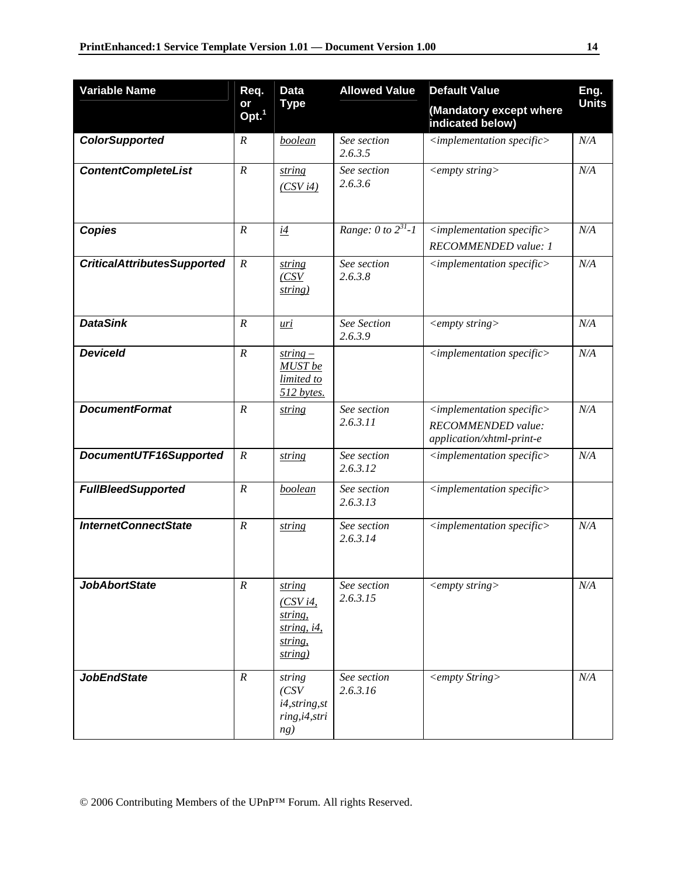| <b>Variable Name</b>               | Req.                    | <b>Data</b>                                                          | <b>Allowed Value</b>                 | <b>Default Value</b>                                                               | Eng.         |
|------------------------------------|-------------------------|----------------------------------------------------------------------|--------------------------------------|------------------------------------------------------------------------------------|--------------|
|                                    | or<br>Opt. <sup>1</sup> | Type                                                                 |                                      | (Mandatory except where<br>indicated below)                                        | <b>Units</b> |
| <b>ColorSupported</b>              | $\boldsymbol{R}$        | boolean                                                              | See section<br>2.6.3.5               | $\langle$ implementation specific $\rangle$                                        | N/A          |
| <b>ContentCompleteList</b>         | $\boldsymbol{R}$        | string<br>(CSV <sub>i4</sub> )                                       | See section<br>2.6.3.6               | $\langle empty \, string \rangle$                                                  | N/A          |
| <b>Copies</b>                      | $\boldsymbol{R}$        | i4                                                                   | Range: $\overline{0}$ to $2^{31}$ -1 | $\langle$ implementation specific $\rangle$<br>RECOMMENDED value: 1                | N/A          |
| <b>CriticalAttributesSupported</b> | $\boldsymbol{R}$        | string<br>(CSV<br>string)                                            | See section<br>2.6.3.8               | $\leq$ implementation specific $>$                                                 | N/A          |
| <b>DataSink</b>                    | $\boldsymbol{R}$        | <u>uri</u>                                                           | See Section<br>2.6.3.9               | $\langle empty \, string \rangle$                                                  | N/A          |
| <b>Deviceld</b>                    | $\boldsymbol{R}$        | $string -$<br>MUST be<br>limited to<br>512 bytes.                    |                                      | $\leq$ implementation specific $>$                                                 | N/A          |
| <b>DocumentFormat</b>              | $\boldsymbol{R}$        | string                                                               | See section<br>2.6.3.11              | $\leq$ implementation specific><br>RECOMMENDED value:<br>application/xhtml-print-e | N/A          |
| DocumentUTF16Supported             | $\boldsymbol{R}$        | string                                                               | See section<br>2.6.3.12              | $\langle$ implementation specific $\rangle$                                        | N/A          |
| <b>FullBleedSupported</b>          | $\boldsymbol{R}$        | <b>boolean</b>                                                       | See section<br>2.6.3.13              | $\langle$ implementation specific $\rangle$                                        |              |
| <b>InternetConnectState</b>        | $\boldsymbol{R}$        | string                                                               | See section<br>2.6.3.14              | $\langle$ implementation specific $\rangle$                                        | N/A          |
| <b>JobAbortState</b>               | $\cal R$                | string<br>(CSVi4,<br>string,<br>string, $i4$ ,<br>string,<br>string) | See section<br>2.6.3.15              | $\langle empty \, string \rangle$                                                  | N/A          |
| <b>JobEndState</b>                 | $\cal R$                | string<br>(CSV<br>i4, string, st<br>ring, i4, stri<br>ng)            | See section<br>2.6.3.16              | <empty string=""></empty>                                                          | N/A          |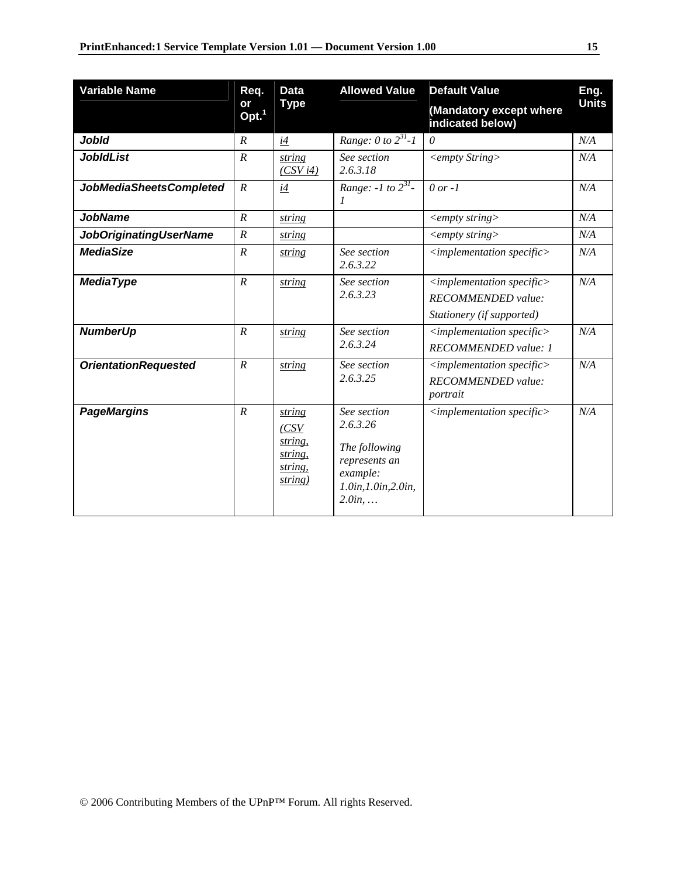| <b>Variable Name</b>           | Req.                    | <b>Data</b>                                                | <b>Allowed Value</b>                                                                                    | <b>Default Value</b>                                                                           | Eng.         |
|--------------------------------|-------------------------|------------------------------------------------------------|---------------------------------------------------------------------------------------------------------|------------------------------------------------------------------------------------------------|--------------|
|                                | or<br>Opt. <sup>1</sup> | <b>Type</b>                                                |                                                                                                         | (Mandatory except where<br>indicated below)                                                    | <b>Units</b> |
| <b>Jobld</b>                   | $\cal R$                | i4                                                         | Range: $0 \text{ to } 2^{31}$ -1                                                                        | $\theta$                                                                                       | $N\!/\!A$    |
| <b>JobIdList</b>               | $\boldsymbol{R}$        | string<br>(CSV i4)                                         | See section<br>2.6.3.18                                                                                 | <empty string=""></empty>                                                                      | N/A          |
| <b>JobMediaSheetsCompleted</b> | $\boldsymbol{R}$        | i4                                                         | <i>Range: -1 to</i> $2^{31}$ -<br>$\boldsymbol{l}$                                                      | $0$ or $-1$                                                                                    | N/A          |
| <b>JobName</b>                 | $\boldsymbol{R}$        | string                                                     |                                                                                                         | $\langle \textit{empty string} \rangle$                                                        | N/A          |
| <b>JobOriginatingUserName</b>  | $\boldsymbol{R}$        | string                                                     |                                                                                                         | $\langle \textit{empty string} \rangle$                                                        | N/A          |
| <b>MediaSize</b>               | $\boldsymbol{R}$        | string                                                     | See section<br>2.6.3.22                                                                                 | $\langle$ implementation specific $\rangle$                                                    | N/A          |
| <b>MediaType</b>               | $\boldsymbol{R}$        | string                                                     | See section<br>2.6.3.23                                                                                 | $\langle$ implementation specific $\rangle$<br>RECOMMENDED value:<br>Stationery (if supported) | N/A          |
| <b>NumberUp</b>                | $\overline{R}$          | string                                                     | See section<br>2.6.3.24                                                                                 | $\langle$ implementation specific $\rangle$<br>RECOMMENDED value: 1                            | N/A          |
| <b>OrientationRequested</b>    | $\boldsymbol{R}$        | string                                                     | See section<br>2.6.3.25                                                                                 | $\leq$ implementation specific $>$<br>RECOMMENDED value:<br>portrait                           | N/A          |
| <b>PageMargins</b>             | $\boldsymbol{R}$        | string<br>(CSV<br>string,<br>string,<br>string,<br>string) | See section<br>2.6.3.26<br>The following<br>represents an<br>example:<br>1.0in, 1.0in, 2.0in,<br>2.0in, | $\langle$ implementation specific $\rangle$                                                    | N/A          |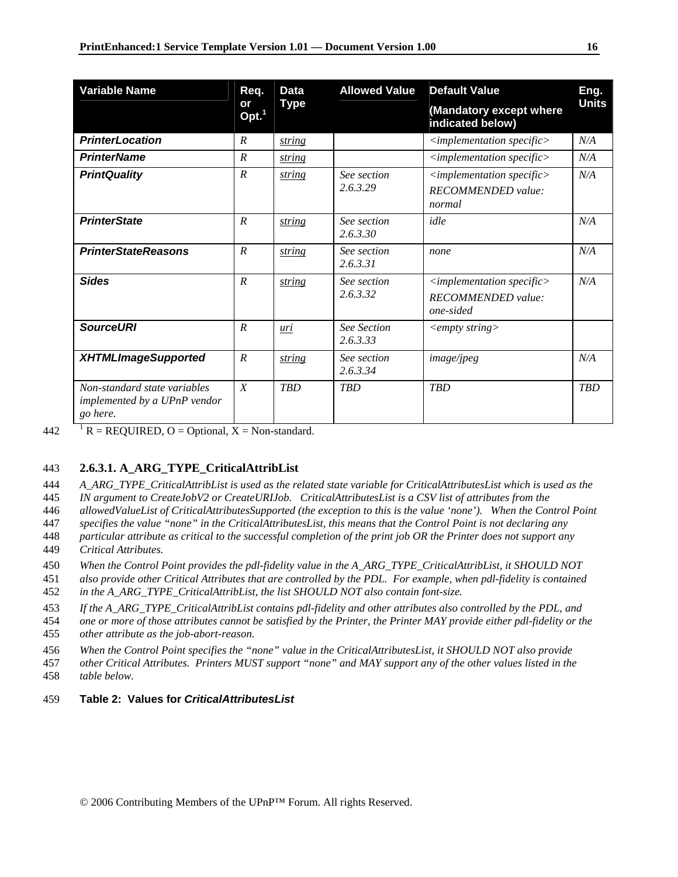| <b>Variable Name</b>                                                            | Req.                    | <b>Data</b> | <b>Allowed Value</b>    | <b>Default Value</b>                                                           | Eng.<br><b>Units</b> |
|---------------------------------------------------------------------------------|-------------------------|-------------|-------------------------|--------------------------------------------------------------------------------|----------------------|
|                                                                                 | or<br>Opt. <sup>1</sup> | <b>Type</b> |                         | (Mandatory except where<br>indicated below)                                    |                      |
| <b>PrinterLocation</b>                                                          | $\boldsymbol{R}$        | string      |                         | $\leq$ implementation specific $>$                                             | N/A                  |
| <b>PrinterName</b>                                                              | $\boldsymbol{R}$        | string      |                         | $\leq$ implementation specific $>$                                             | N/A                  |
| <b>PrintQuality</b>                                                             | $\boldsymbol{R}$        | string      | See section<br>2.6.3.29 | $\langle$ implementation specific $\rangle$<br>RECOMMENDED value:<br>normal    | N/A                  |
| <b>PrinterState</b>                                                             | $\overline{R}$          | string      | See section<br>2.6.3.30 | idle                                                                           | N/A                  |
| <b>PrinterStateReasons</b>                                                      | $\overline{R}$          | string      | See section<br>2.6.3.31 | none                                                                           | N/A                  |
| <b>Sides</b>                                                                    | $\overline{R}$          | string      | See section<br>2.6.3.32 | $\langle$ implementation specific $\rangle$<br>RECOMMENDED value:<br>one-sided | N/A                  |
| <b>SourceURI</b>                                                                | $\overline{R}$          | uri         | See Section<br>2.6.3.33 | $\langle \textit{empty string} \rangle$                                        |                      |
| <b>XHTMLImageSupported</b>                                                      | $\overline{R}$          | string      | See section<br>2.6.3.34 | <i>image/jpeg</i>                                                              | N/A                  |
| Non-standard state variables<br><i>implemented by a UPnP vendor</i><br>go here. | $\boldsymbol{X}$        | <b>TBD</b>  | <b>TBD</b>              | <b>TBD</b>                                                                     | <b>TBD</b>           |

442  $\overline{R} = \text{REQUIRED}, \overline{O} = \text{Optional}, X = \text{Non-standard}.$ 

#### 443 **2.6.3.1. A\_ARG\_TYPE\_CriticalAttribList**

444 *A\_ARG\_TYPE\_CriticalAttribList is used as the related state variable for CriticalAttributesList which is used as the* 

445 *IN argument to CreateJobV2 or CreateURIJob. CriticalAttributesList is a CSV list of attributes from the* 

446 *allowedValueList of CriticalAttributesSupported (the exception to this is the value 'none'). When the Control Point* 

447 *specifies the value "none" in the CriticalAttributesList, this means that the Control Point is not declaring any* 

- 448 *particular attribute as critical to the successful completion of the print job OR the Printer does not support any*  449 *Critical Attributes.*
- 450 *When the Control Point provides the pdl-fidelity value in the A\_ARG\_TYPE\_CriticalAttribList, it SHOULD NOT*
- 451 *also provide other Critical Attributes that are controlled by the PDL. For example, when pdl-fidelity is contained*

452 *in the A\_ARG\_TYPE\_CriticalAttribList, the list SHOULD NOT also contain font-size.* 

453 *If the A\_ARG\_TYPE\_CriticalAttribList contains pdl-fidelity and other attributes also controlled by the PDL, and* 

454 *one or more of those attributes cannot be satisfied by the Printer, the Printer MAY provide either pdl-fidelity or the* 

455 *other attribute as the job-abort-reason.* 

456 *When the Control Point specifies the "none" value in the CriticalAttributesList, it SHOULD NOT also provide* 

457 *other Critical Attributes. Printers MUST support "none" and MAY support any of the other values listed in the* 

458 *table below.* 

### 459 **Table 2: Values for** *CriticalAttributesList*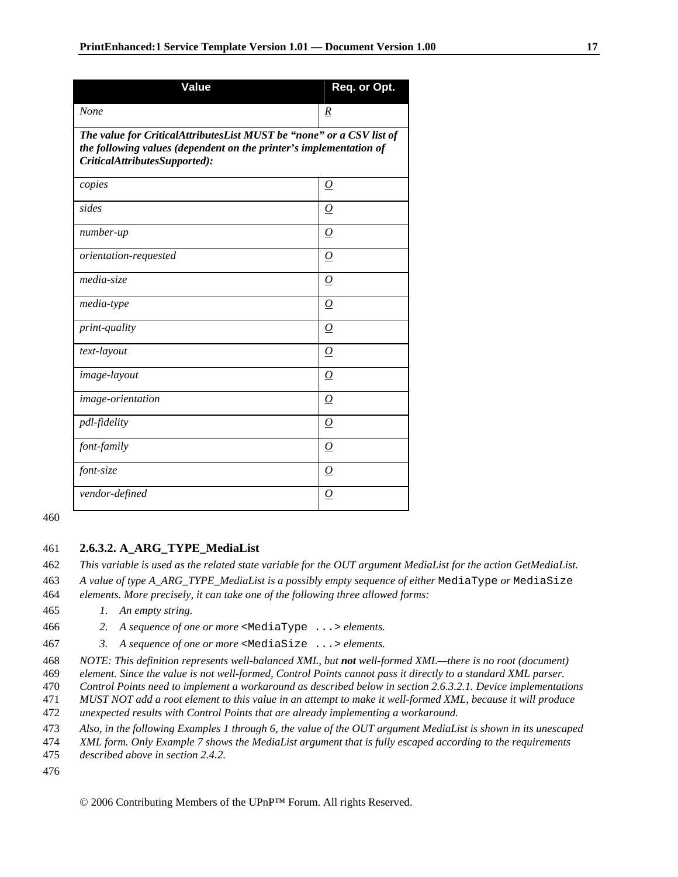| <b>Value</b>                                                                                                                                                                | Req. or Opt.        |  |  |
|-----------------------------------------------------------------------------------------------------------------------------------------------------------------------------|---------------------|--|--|
| None                                                                                                                                                                        | $\underline{R}$     |  |  |
| The value for CriticalAttributesList MUST be "none" or a CSV list of<br>the following values (dependent on the printer's implementation of<br>CriticalAttributesSupported): |                     |  |  |
| copies                                                                                                                                                                      | $\overline{\Omega}$ |  |  |
| sides                                                                                                                                                                       | $\overline{O}$      |  |  |
| number-up                                                                                                                                                                   | $\overline{O}$      |  |  |
| orientation-requested                                                                                                                                                       | $\overline{O}$      |  |  |
| media-size                                                                                                                                                                  | 0                   |  |  |
| media-type                                                                                                                                                                  | $\boldsymbol{O}$    |  |  |
| print-quality                                                                                                                                                               | $\overline{O}$      |  |  |
| text-layout                                                                                                                                                                 | $\boldsymbol{O}$    |  |  |
| image-layout                                                                                                                                                                | $\overline{O}$      |  |  |
| image-orientation                                                                                                                                                           | $\overline{O}$      |  |  |
| pdl-fidelity                                                                                                                                                                | 0                   |  |  |
| font-family                                                                                                                                                                 | 0                   |  |  |
| font-size                                                                                                                                                                   | 0                   |  |  |
| vendor-defined                                                                                                                                                              | $\Omega$            |  |  |

460

#### 461 **2.6.3.2. A\_ARG\_TYPE\_MediaList**

462 *This variable is used as the related state variable for the OUT argument MediaList for the action GetMediaList.* 

463 *A value of type A\_ARG\_TYPE\_MediaList is a possibly empty sequence of either* MediaType *or* MediaSize 464 *elements. More precisely, it can take one of the following three allowed forms:* 

- 465 *1. An empty string.*
- 466 *2. A sequence of one or more* <MediaType ...> *elements.*
- 467 *3. A sequence of one or more* <MediaSize ...> *elements.*

468 *NOTE: This definition represents well-balanced XML, but not well-formed XML—there is no root (document)* 

469 *element. Since the value is not well-formed, Control Points cannot pass it directly to a standard XML parser.* 

470 *Control Points need to implement a workaround as described below in section 2.6.3.2.1. Device implementations* 

471 *MUST NOT add a root element to this value in an attempt to make it well-formed XML, because it will produce* 

472 *unexpected results with Control Points that are already implementing a workaround.* 

473 *Also, in the following Examples 1 through 6, the value of the OUT argument MediaList is shown in its unescaped* 

474 *XML form. Only Example 7 shows the MediaList argument that is fully escaped according to the requirements* 

475 *described above in section 2.4.2.* 

476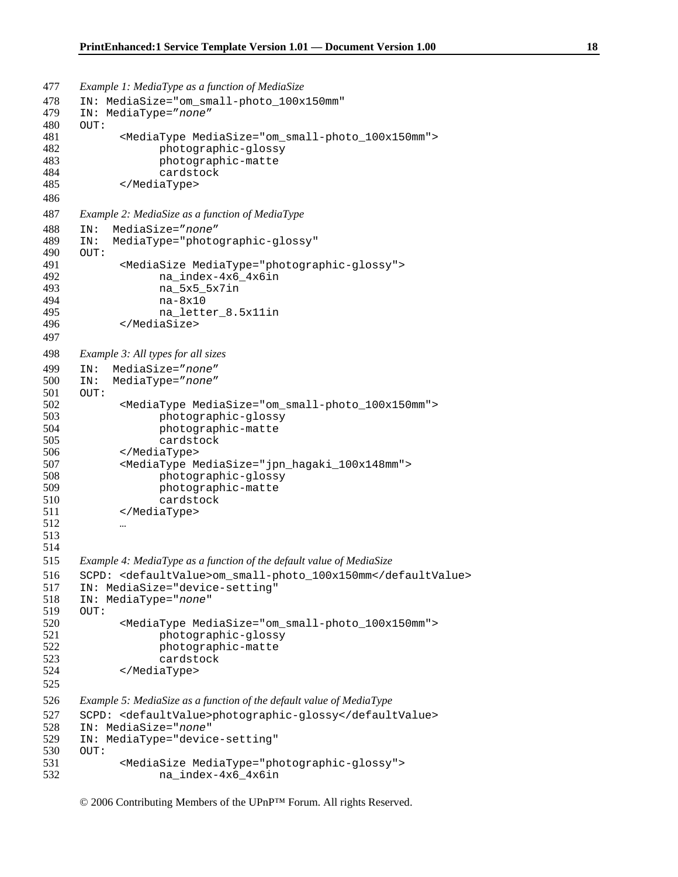```
477 Example 1: MediaType as a function of MediaSize 
478 IN: MediaSize="om_small-photo_100x150mm"
479 IN: MediaType="none" 
480 OUT: 
481 <MediaType MediaSize="om_small-photo_100x150mm"> 
482 photographic-glossy 
483 photographic-matte 
                 cardstock
485 </MediaType> 
486 
487 Example 2: MediaSize as a function of MediaType 
488 IN: MediaSize="none" 
489 IN: MediaType="photographic-glossy" 
     490 OUT: 
491 <MediaSize MediaType="photographic-glossy"> 
492 na_index-4x6_4x6in 
493 na_5x5_5x7in 
494 na-8x10 
495 na_letter_8.5x11in<br>496 </MediaSize>
           496 </MediaSize> 
497 
498 Example 3: All types for all sizes 
499 IN: MediaSize="none" 
500 IN: MediaType="none" 
     OTIT:
502 <MediaType MediaSize="om_small-photo_100x150mm"> 
503 photographic-glossy 
                 photographic-matte
505 cardstock 
506 </MediaType> 
507 <MediaType MediaSize="jpn_hagaki_100x148mm"> 
508 photographic-glossy 
509 photographic-matte 
                 cardstock
511 </MediaType> 
512 … 
513 
514 
515 Example 4: MediaType as a function of the default value of MediaSize 
516 SCPD: <defaultValue>om_small-photo_100x150mm</defaultValue> 
517 IN: MediaSize="device-setting" 
518 IN: MediaType="none" 
519 OUT:<br>520
520 <MediaType MediaSize="om_small-photo_100x150mm"><br>521 photographic-glossy
                 photographic-glossy
522 photographic-matte 
523 cardstock<br>524 </MediaType>
           524 </MediaType> 
525 
526 Example 5: MediaSize as a function of the default value of MediaType 
527 SCPD: <defaultValue>photographic-glossy</defaultValue> 
528 IN: MediaSize="none" 
529 IN: MediaType="device-setting" 
530 OUT: 
531 <MediaSize MediaType="photographic-glossy"> 
                 na_index-4x6_4x6in
```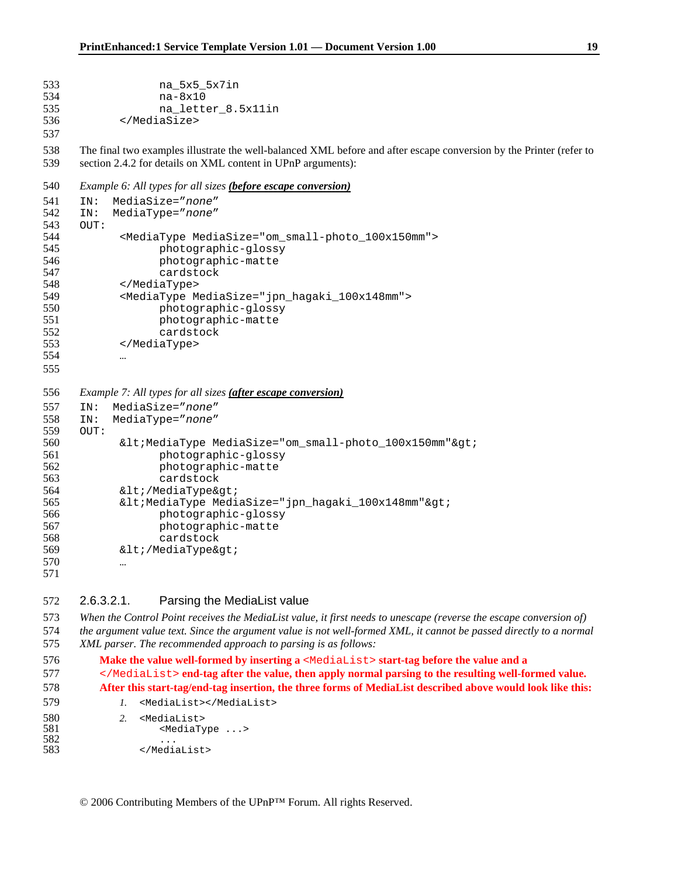```
533 na_5x5_5x7in 
534 na-8x10<br>535 na lett
                na_letter_8.5x11in
536 </MediaSize> 
537 
538 The final two examples illustrate the well-balanced XML before and after escape conversion by the Printer (refer to 
539 section 2.4.2 for details on XML content in UPnP arguments): 
540 Example 6: All types for all sizes (before escape conversion)
541 IN: MediaSize="none" 
542 IN: MediaType="none" 
     OUT:
544 <MediaType MediaSize="om_small-photo_100x150mm"> 
545 photographic-glossy 
                photographic-matte
547 cardstock<br>548 </MediaType>
           548 </MediaType> 
549 <MediaType MediaSize="jpn_hagaki_100x148mm"> 
550 photographic-glossy 
551 photographic-matte 
552 cardstock 
553 </MediaType> 
554 … 
555 
556 Example 7: All types for all sizes (after escape conversion)
557 IN: MediaSize="none" 
558 IN: MediaType="none" 
     OUT:
560 \< lt;MediaType MediaSize="om_small-photo_100x150mm">
561 photographic-glossy 
562 photographic-matte 
563 cardstock 
564 \< l / MediaType \< qt;
565 \< lt; MediaType MediaSize="jpn_hagaki_100x148mm" \> l;
566 photographic-glossy 
567 photographic-matte 
568 cardstock 
569 \< liti/MediaType\> gti
570 … 
571
```
2.6.3.2.1. Parsing the MediaList value

```
573 When the Control Point receives the MediaList value, it first needs to unescape (reverse the escape conversion of) 
574 the argument value text. Since the argument value is not well-formed XML, it cannot be passed directly to a normal 
575 XML parser. The recommended approach to parsing is as follows:
```

```
576 Make the value well-formed by inserting a <MediaList> start-tag before the value and a 
577 </MediaList> end-tag after the value, then apply normal parsing to the resulting well-formed value. 
578 After this start-tag/end-tag insertion, the three forms of MediaList described above would look like this: 
579 1. <MediaList></MediaList>
```

```
580 2. <MediaList><br>581 3. <MediaTy
581 <MediaType ...> 
582 ...
583 </MediaList>
```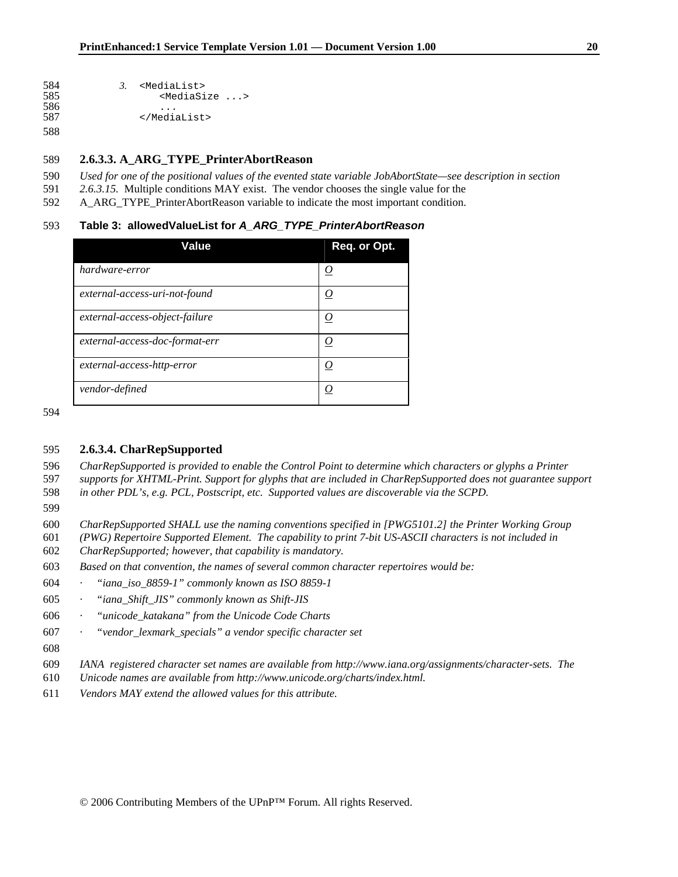```
584 3. <MediaList><br>585 <MediaSi
                            585 <MediaSize ...> 
586<br>587
                       587 </MediaList>
```
#### **2.6.3.3. A\_ARG\_TYPE\_PrinterAbortReason**

- *Used for one of the positional values of the evented state variable JobAbortState—see description in section*
- *2.6.3.15.* Multiple conditions MAY exist. The vendor chooses the single value for the
- 592 A ARG TYPE PrinterAbortReason variable to indicate the most important condition.

#### **Table 3: allowedValueList for** *A\_ARG\_TYPE\_PrinterAbortReason*

| Value                          | Req. or Opt.      |
|--------------------------------|-------------------|
| hardware-error                 |                   |
| external-access-uri-not-found  | $\bm{\mathit{U}}$ |
| external-access-object-failure |                   |
| external-access-doc-format-err |                   |
| external-access-http-error     |                   |
| vendor-defined                 |                   |

### **2.6.3.4. CharRepSupported**

*CharRepSupported is provided to enable the Control Point to determine which characters or glyphs a Printer* 

- *supports for XHTML-Print. Support for glyphs that are included in CharRepSupported does not guarantee support in other PDL's, e.g. PCL, Postscript, etc. Supported values are discoverable via the SCPD.*
- 
- *CharRepSupported SHALL use the naming conventions specified in [PWG5101.2] the Printer Working Group*
- *(PWG) Repertoire Supported Element. The capability to print 7-bit US-ASCII characters is not included in CharRepSupported; however, that capability is mandatory.*
- *Based on that convention, the names of several common character repertoires would be:*
- *· "iana\_iso\_8859-1" commonly known as ISO 8859-1*
- *· "iana\_Shift\_JIS" commonly known as Shift-JIS*
- *· "unicode\_katakana" from the Unicode Code Charts*
- *· "vendor\_lexmark\_specials" a vendor specific character set*
- 
- *IANA registered character set names are available from http://www.iana.org/assignments/character-sets. The*
- *Unicode names are available from http://www.unicode.org/charts/index.html.*
- *Vendors MAY extend the allowed values for this attribute.*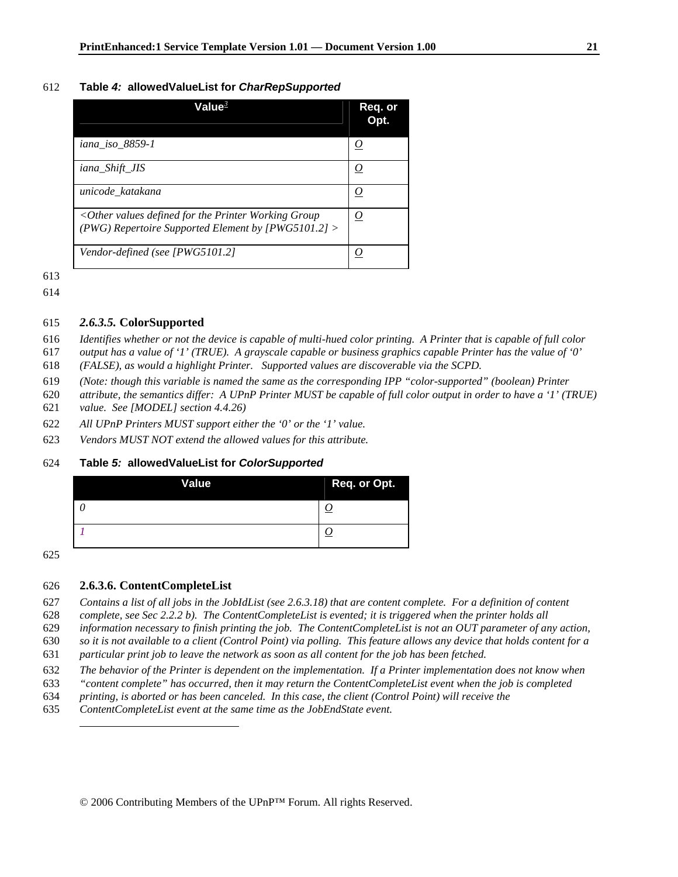#### **Table** *4:* **allowedValueList for** *CharRepSupported*

| Value $^3$                                                                                                            | Req. or<br>Opt. |
|-----------------------------------------------------------------------------------------------------------------------|-----------------|
| iana_iso_8859-1                                                                                                       | <u>U</u>        |
| iana_Shift_JIS                                                                                                        | <u>0</u>        |
| unicode_katakana                                                                                                      | O               |
| $\langle$ Other values defined for the Printer Working Group<br>(PWG) Repertoire Supported Element by [PWG5101.2] $>$ | <u>0</u>        |
| Vendor-defined (see [PWG5101.2]                                                                                       |                 |

#### *2.6.3.5.* **ColorSupported**

- *Identifies whether or not the device is capable of multi-hued color printing. A Printer that is capable of full color*
- *output has a value of '1' (TRUE). A grayscale capable or business graphics capable Printer has the value of '0'*
- *(FALSE), as would a highlight Printer. Supported values are discoverable via the SCPD.*
- *(Note: though this variable is named the same as the corresponding IPP "color-supported" (boolean) Printer*
- *attribute, the semantics differ: A UPnP Printer MUST be capable of full color output in order to have a '1' (TRUE) value. See [MODEL] section 4.4.26)*
- *All UPnP Printers MUST support either the '0' or the '1' value.*
- *Vendors MUST NOT extend the allowed values for this attribute.*

#### **Table** *5:* **allowedValueList for** *ColorSupported*

| <b>Value</b> | Req. or Opt. |
|--------------|--------------|
|              |              |
|              |              |

 $\overline{a}$ 

### **2.6.3.6. ContentCompleteList**

*Contains a list of all jobs in the JobIdList (see 2.6.3.18) that are content complete. For a definition of content* 

*complete, see Sec 2.2.2 b). The ContentCompleteList is evented; it is triggered when the printer holds all* 

*information necessary to finish printing the job. The ContentCompleteList is not an OUT parameter of any action,* 

*so it is not available to a client (Control Point) via polling. This feature allows any device that holds content for a* 

- *particular print job to leave the network as soon as all content for the job has been fetched.*
- *The behavior of the Printer is dependent on the implementation. If a Printer implementation does not know when*
- *"content complete" has occurred, then it may return the ContentCompleteList event when the job is completed*

*printing, is aborted or has been canceled. In this case, the client (Control Point) will receive the* 

*ContentCompleteList event at the same time as the JobEndState event.*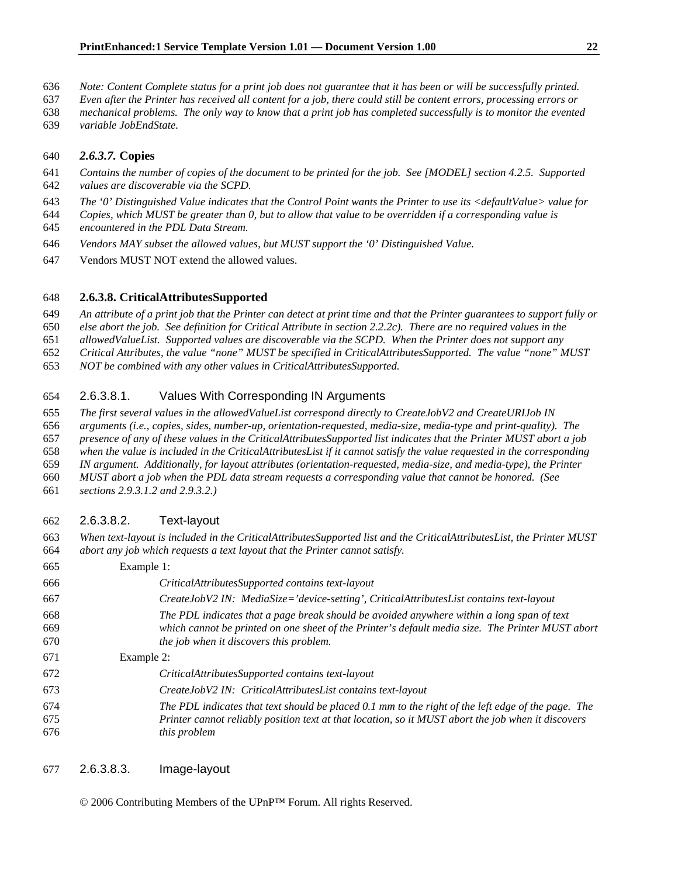- *Note: Content Complete status for a print job does not guarantee that it has been or will be successfully printed.*
- *Even after the Printer has received all content for a job, there could still be content errors, processing errors or*
- *mechanical problems. The only way to know that a print job has completed successfully is to monitor the evented*
- *variable JobEndState.*

#### *2.6.3.7.* **Copies**

- *Contains the number of copies of the document to be printed for the job. See [MODEL] section 4.2.5. Supported*
- *values are discoverable via the SCPD.*
- *The '0' Distinguished Value indicates that the Control Point wants the Printer to use its <defaultValue> value for*
- *Copies, which MUST be greater than 0, but to allow that value to be overridden if a corresponding value is*
- *encountered in the PDL Data Stream.*
- *Vendors MAY subset the allowed values, but MUST support the '0' Distinguished Value.*
- 647 Vendors MUST NOT extend the allowed values.

#### **2.6.3.8. CriticalAttributesSupported**

*An attribute of a print job that the Printer can detect at print time and that the Printer guarantees to support fully or* 

- *else abort the job. See definition for Critical Attribute in section 2.2.2c). There are no required values in the*
- *allowedValueList. Supported values are discoverable via the SCPD. When the Printer does not support any*
- *Critical Attributes, the value "none" MUST be specified in CriticalAttributesSupported. The value "none" MUST*
- *NOT be combined with any other values in CriticalAttributesSupported.*

### 2.6.3.8.1. Values With Corresponding IN Arguments

- *The first several values in the allowedValueList correspond directly to CreateJobV2 and CreateURIJob IN*
- *arguments (i.e., copies, sides, number-up, orientation-requested, media-size, media-type and print-quality). The*
- *presence of any of these values in the CriticalAttributesSupported list indicates that the Printer MUST abort a job*
- *when the value is included in the CriticalAttributesList if it cannot satisfy the value requested in the corresponding*
- *IN argument. Additionally, for layout attributes (orientation-requested, media-size, and media-type), the Printer*
- *MUST abort a job when the PDL data stream requests a corresponding value that cannot be honored. (See*
- *sections 2.9.3.1.2 and 2.9.3.2.)*

#### 2.6.3.8.2. Text-layout

*When text-layout is included in the CriticalAttributesSupported list and the CriticalAttributesList, the Printer MUST abort any job which requests a text layout that the Printer cannot satisfy.* 

| Example 1:                                                                                                                                                                                                                               |
|------------------------------------------------------------------------------------------------------------------------------------------------------------------------------------------------------------------------------------------|
| CriticalAttributesSupported contains text-layout                                                                                                                                                                                         |
| CreateJobV2 IN: MediaSize='device-setting', CriticalAttributesList contains text-layout                                                                                                                                                  |
| The PDL indicates that a page break should be avoided anywhere within a long span of text<br>which cannot be printed on one sheet of the Printer's default media size. The Printer MUST abort<br>the job when it discovers this problem. |
| Example 2:                                                                                                                                                                                                                               |
| CriticalAttributesSupported contains text-layout                                                                                                                                                                                         |
| CreateJobV2 IN: CriticalAttributesList contains text-layout                                                                                                                                                                              |
| The PDL indicates that text should be placed 0.1 mm to the right of the left edge of the page. The<br>Printer cannot reliably position text at that location, so it MUST abort the job when it discovers<br><i>this problem</i>          |
|                                                                                                                                                                                                                                          |

#### 2.6.3.8.3. Image-layout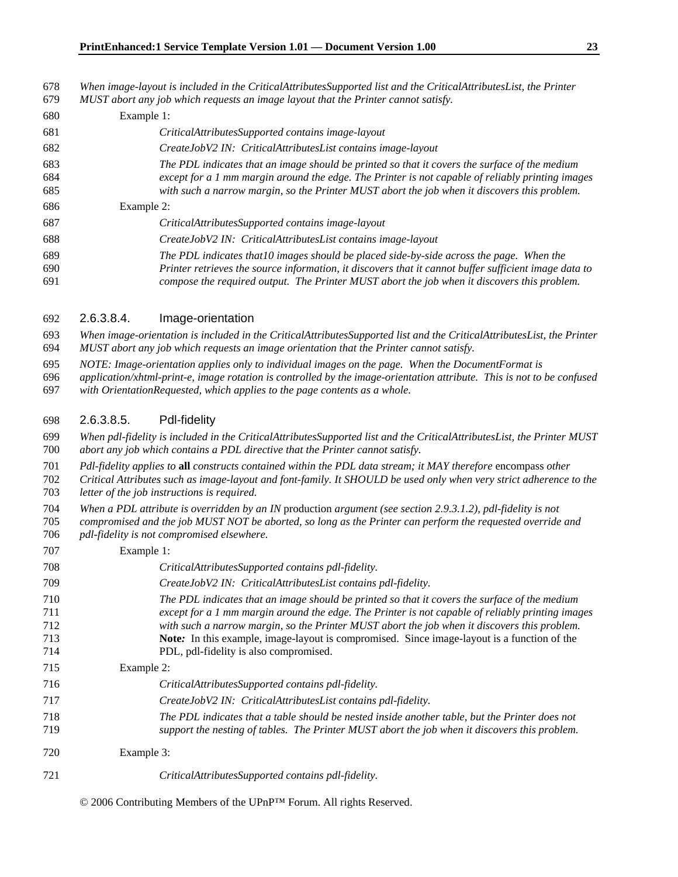*When image-layout is included in the CriticalAttributesSupported list and the CriticalAttributesList, the Printer MUST abort any job which requests an image layout that the Printer cannot satisfy.* 

| 680               | Example 1:                                                                                                                                                                                                                                                                                        |
|-------------------|---------------------------------------------------------------------------------------------------------------------------------------------------------------------------------------------------------------------------------------------------------------------------------------------------|
| 681               | CriticalAttributesSupported contains image-layout                                                                                                                                                                                                                                                 |
| 682               | CreateJobV2 IN: CriticalAttributesList contains image-layout                                                                                                                                                                                                                                      |
| 683<br>684<br>685 | The PDL indicates that an image should be printed so that it covers the surface of the medium<br>except for a 1 mm margin around the edge. The Printer is not capable of reliably printing images<br>with such a narrow margin, so the Printer MUST abort the job when it discovers this problem. |
| 686               | Example 2:                                                                                                                                                                                                                                                                                        |
| 687               | CriticalAttributesSupported contains image-layout                                                                                                                                                                                                                                                 |
| 688               | CreateJobV2 IN: CriticalAttributesList contains image-layout                                                                                                                                                                                                                                      |
| 689               | The PDL indicates that 10 images should be placed side-by-side across the page. When the                                                                                                                                                                                                          |
| 690<br>691        | Printer retrieves the source information, it discovers that it cannot buffer sufficient image data to<br>compose the required output. The Printer MUST abort the job when it discovers this problem.                                                                                              |

#### 2.6.3.8.4. Image-orientation

*When image-orientation is included in the CriticalAttributesSupported list and the CriticalAttributesList, the Printer MUST abort any job which requests an image orientation that the Printer cannot satisfy.* 

*NOTE: Image-orientation applies only to individual images on the page. When the DocumentFormat is* 

*application/xhtml-print-e, image rotation is controlled by the image-orientation attribute. This is not to be confused with OrientationRequested, which applies to the page contents as a whole.* 

2.6.3.8.5. Pdl-fidelity

*When pdl-fidelity is included in the CriticalAttributesSupported list and the CriticalAttributesList, the Printer MUST abort any job which contains a PDL directive that the Printer cannot satisfy.* 

*Pdl-fidelity applies to* **all** *constructs contained within the PDL data stream; it MAY therefore* encompass *other* 

*Critical Attributes such as image-layout and font-family. It SHOULD be used only when very strict adherence to the letter of the job instructions is required.* 

*When a PDL attribute is overridden by an IN* production *argument (see section 2.9.3.1.2), pdl-fidelity is not* 

*compromised and the job MUST NOT be aborted, so long as the Printer can perform the requested override and pdl-fidelity is not compromised elsewhere.* 

| 707                             | Example 1:                                                                                                                                                                                                                                                                                                                                                                                                                                 |
|---------------------------------|--------------------------------------------------------------------------------------------------------------------------------------------------------------------------------------------------------------------------------------------------------------------------------------------------------------------------------------------------------------------------------------------------------------------------------------------|
| 708                             | CriticalAttributesSupported contains pdl-fidelity.                                                                                                                                                                                                                                                                                                                                                                                         |
| 709                             | CreateJobV2 IN: CriticalAttributesList contains pdl-fidelity.                                                                                                                                                                                                                                                                                                                                                                              |
| 710<br>711<br>712<br>713<br>714 | The PDL indicates that an image should be printed so that it covers the surface of the medium<br>except for a 1 mm margin around the edge. The Printer is not capable of reliably printing images<br>with such a narrow margin, so the Printer MUST abort the job when it discovers this problem.<br>Note: In this example, image-layout is compromised. Since image-layout is a function of the<br>PDL, pdl-fidelity is also compromised. |
| 715                             | Example 2:                                                                                                                                                                                                                                                                                                                                                                                                                                 |
| 716                             | CriticalAttributesSupported contains pdl-fidelity.                                                                                                                                                                                                                                                                                                                                                                                         |
| 717                             | CreateJobV2 IN: CriticalAttributesList contains pdl-fidelity.                                                                                                                                                                                                                                                                                                                                                                              |
| 718<br>719                      | The PDL indicates that a table should be nested inside another table, but the Printer does not<br>support the nesting of tables. The Printer MUST abort the job when it discovers this problem.                                                                                                                                                                                                                                            |
| 720                             | Example 3:                                                                                                                                                                                                                                                                                                                                                                                                                                 |
| 721                             | CriticalAttributesSupported contains pdl-fidelity.                                                                                                                                                                                                                                                                                                                                                                                         |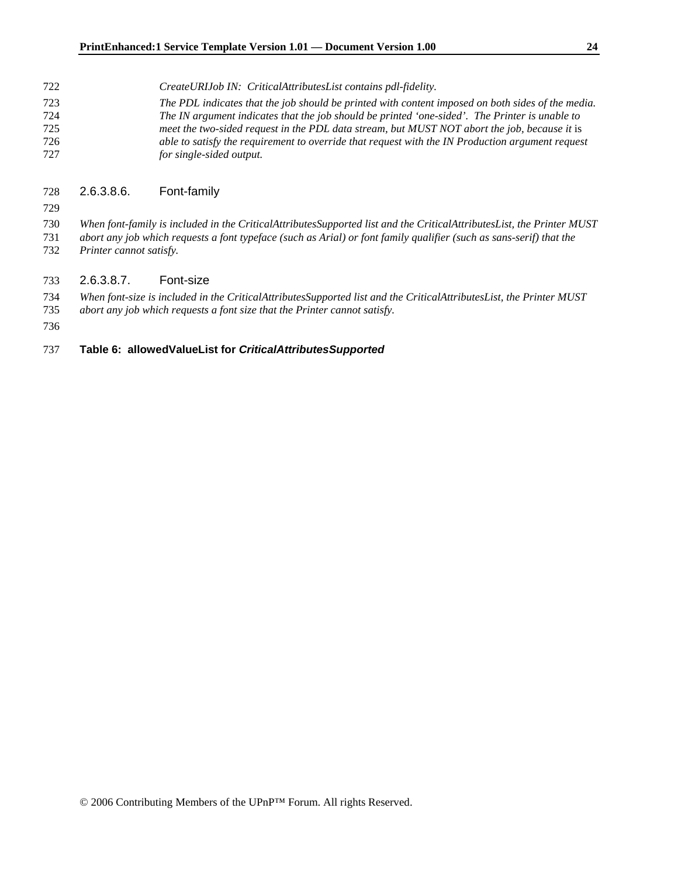*CreateURIJob IN: CriticalAttributesList contains pdl-fidelity. The PDL indicates that the job should be printed with content imposed on both sides of the media. The IN argument indicates that the job should be printed 'one-sided'. The Printer is unable to meet the two-sided request in the PDL data stream, but MUST NOT abort the job, because it* is *able to satisfy the requirement to override that request with the IN Production argument request for single-sided output.* 

#### 2.6.3.8.6. Font-family

*When font-family is included in the CriticalAttributesSupported list and the CriticalAttributesList, the Printer MUST abort any job which requests a font typeface (such as Arial) or font family qualifier (such as sans-serif) that the* 

*Printer cannot satisfy.* 

#### 2.6.3.8.7. Font-size

*When font-size is included in the CriticalAttributesSupported list and the CriticalAttributesList, the Printer MUST* 

*abort any job which requests a font size that the Printer cannot satisfy.* 

#### **Table 6: allowedValueList for** *CriticalAttributesSupported*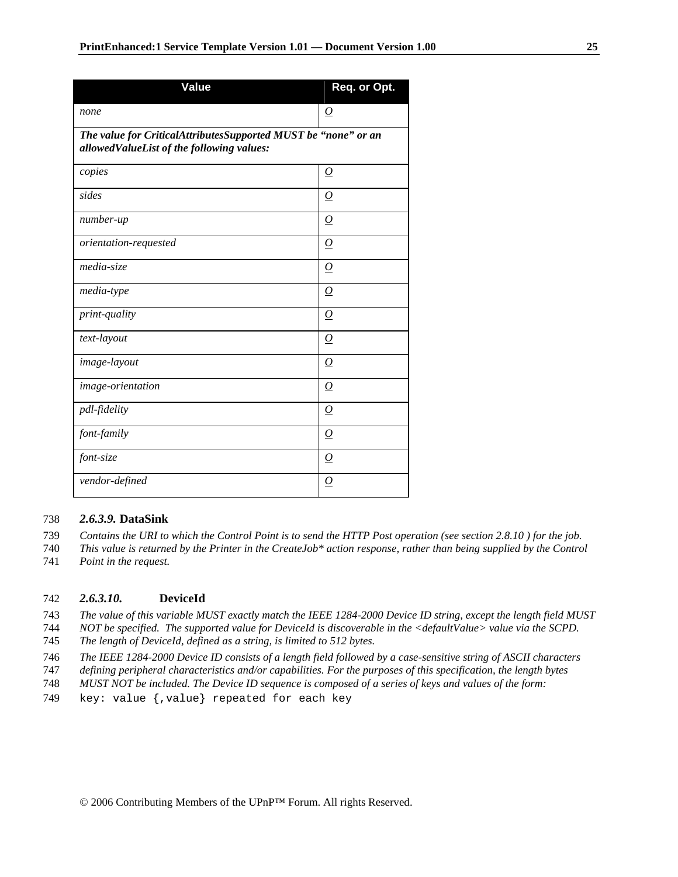| <b>Value</b>                                                                                                | Req. or Opt.        |
|-------------------------------------------------------------------------------------------------------------|---------------------|
| none                                                                                                        | $\Omega$            |
| The value for CriticalAttributesSupported MUST be "none" or an<br>allowedValueList of the following values: |                     |
| copies                                                                                                      | $\Omega$            |
| sides                                                                                                       | $\Omega$            |
| number-up                                                                                                   | $\Omega$            |
| orientation-requested                                                                                       | $\Omega$            |
| media-size                                                                                                  | $\Omega$            |
| media-type                                                                                                  | $\Omega$            |
| <i>print-quality</i>                                                                                        | $\Omega$            |
| text-layout                                                                                                 | $\Omega$            |
| image-layout                                                                                                | $\overline{\Omega}$ |
| image-orientation                                                                                           | $\Omega$            |
| pdl-fidelity                                                                                                | $\Omega$            |
| font-family                                                                                                 | $\Omega$            |
| font-size                                                                                                   | $\Omega$            |
| vendor-defined                                                                                              | 0                   |

#### 738 *2.6.3.9.* **DataSink**

- 739 *Contains the URI to which the Control Point is to send the HTTP Post operation (see section 2.8.10 ) for the job.*
- 740 *This value is returned by the Printer in the CreateJob\* action response, rather than being supplied by the Control*
- 741 *Point in the request.*

#### 742 *2.6.3.10.* **DeviceId**

- 743 *The value of this variable MUST exactly match the IEEE 1284-2000 Device ID string, except the length field MUST*
- 744 *NOT be specified. The supported value for DeviceId is discoverable in the <defaultValue> value via the SCPD.*
- 745 *The length of DeviceId, defined as a string, is limited to 512 bytes.*
- 746 *The IEEE 1284-2000 Device ID consists of a length field followed by a case-sensitive string of ASCII characters*
- 747 *defining peripheral characteristics and/or capabilities. For the purposes of this specification, the length bytes*
- 748 *MUST NOT be included. The Device ID sequence is composed of a series of keys and values of the form:*
- 749 key: value {,value} repeated for each key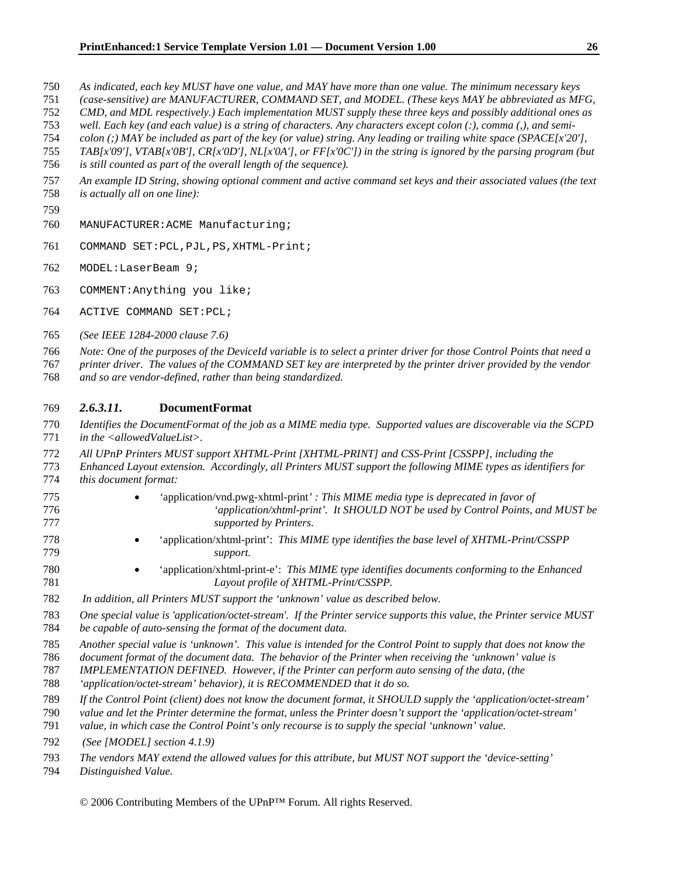- *As indicated, each key MUST have one value, and MAY have more than one value. The minimum necessary keys*
- *(case-sensitive) are MANUFACTURER, COMMAND SET, and MODEL. (These keys MAY be abbreviated as MFG,*
- *CMD, and MDL respectively.) Each implementation MUST supply these three keys and possibly additional ones as*
- *well. Each key (and each value) is a string of characters. Any characters except colon (:), comma (,), and semi-*
- *colon (;) MAY be included as part of the key (or value) string. Any leading or trailing white space (SPACE[x'20'],*
- *TAB[x'09'], VTAB[x'0B'], CR[x'0D'], NL[x'0A'], or FF[x'0C']) in the string is ignored by the parsing program (but is still counted as part of the overall length of the sequence).*
- *An example ID String, showing optional comment and active command set keys and their associated values (the text*
- *is actually all on one line):*
- 
- MANUFACTURER:ACME Manufacturing;
- COMMAND SET:PCL,PJL,PS,XHTML-Print;
- MODEL:LaserBeam 9;
- COMMENT:Anything you like;
- ACTIVE COMMAND SET:PCL;
- *(See IEEE 1284-2000 clause 7.6)*
- *Note: One of the purposes of the DeviceId variable is to select a printer driver for those Control Points that need a*
- *printer driver. The values of the COMMAND SET key are interpreted by the printer driver provided by the vendor and so are vendor-defined, rather than being standardized.*

#### *2.6.3.11.* **DocumentFormat**

- *Identifies the DocumentFormat of the job as a MIME media type. Supported values are discoverable via the SCPD in the <allowedValueList>.*
- *All UPnP Printers MUST support XHTML-Print [XHTML-PRINT] and CSS-Print [CSSPP], including the*
- *Enhanced Layout extension. Accordingly, all Printers MUST support the following MIME types as identifiers for this document format:*
- *'*application/vnd.pwg-xhtml-print*' : This MIME media type is deprecated in favor of 'application/xhtml-print'. It SHOULD NOT be used by Control Points, and MUST be supported by Printers.*
- 'application/xhtml-print': *This MIME type identifies the base level of XHTML-Print/CSSPP support.*
- 'application/xhtml-print-e': *This MIME type identifies documents conforming to the Enhanced Layout profile of XHTML-Print/CSSPP.*
- *In addition, all Printers MUST support the 'unknown' value as described below.*
- *One special value is 'application/octet-stream'. If the Printer service supports this value, the Printer service MUST be capable of auto-sensing the format of the document data.*
- *Another special value is 'unknown'. This value is intended for the Control Point to supply that does not know the*
- *document format of the document data. The behavior of the Printer when receiving the 'unknown' value is*
- *IMPLEMENTATION DEFINED. However, if the Printer can perform auto sensing of the data, (the*
- *'application/octet-stream' behavior), it is RECOMMENDED that it do so.*
- *If the Control Point (client) does not know the document format, it SHOULD supply the 'application/octet-stream'*
- *value and let the Printer determine the format, unless the Printer doesn't support the 'application/octet-stream'*
- *value, in which case the Control Point's only recourse is to supply the special 'unknown' value.*
- *(See [MODEL] section 4.1.9)*
- *The vendors MAY extend the allowed values for this attribute, but MUST NOT support the 'device-setting'*
- *Distinguished Value.*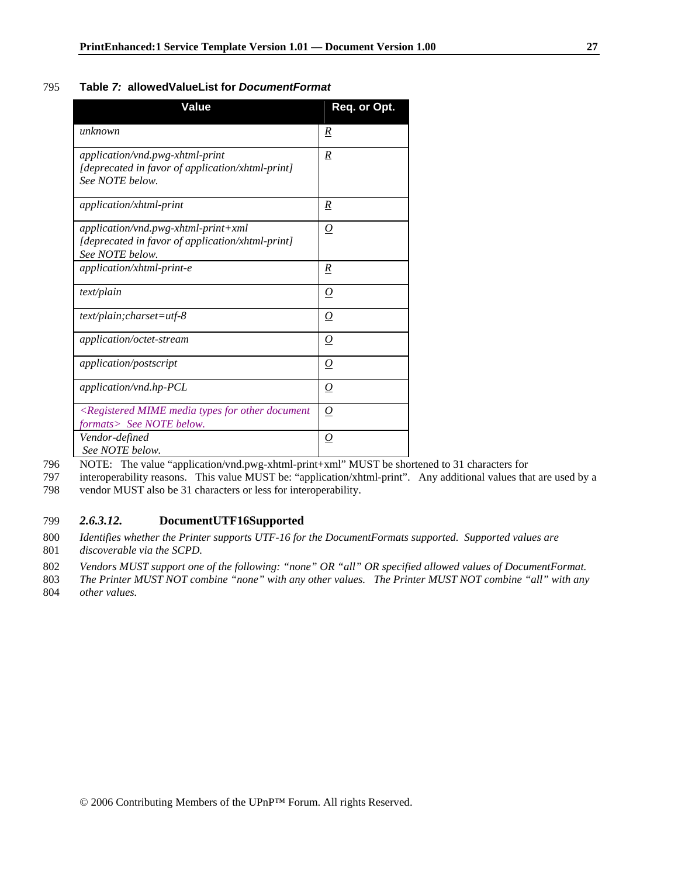#### 795 **Table** *7:* **allowedValueList for** *DocumentFormat*

| Value                                                                                                         | Req. or Opt.     |
|---------------------------------------------------------------------------------------------------------------|------------------|
| unknown                                                                                                       | $\boldsymbol{R}$ |
| application/vnd.pwg-xhtml-print<br>[deprecated in favor of application/xhtml-print]<br>See NOTE below.        | $\boldsymbol{R}$ |
| application/xhtml-print                                                                                       | R                |
| application/vnd.pwg-xhtml-print+xml<br>[deprecated in favor of application/xhtml-print]<br>See NOTE below.    | O                |
| $application \times h$ tml-print-e                                                                            | R                |
| text/plain                                                                                                    | $\bm{O}$         |
| $text/plain; charges = utf-8$                                                                                 | $\bm{O}$         |
| <i>application/octet-stream</i>                                                                               | $\overline{O}$   |
| application/postscript                                                                                        | $\bm{O}$         |
| application/vnd.hp-PCL                                                                                        | $\bm{O}$         |
| <registered document<br="" for="" media="" mime="" other="" types="">formats&gt; See NOTE below.</registered> | $\Omega$         |
| Vendor-defined<br>See NOTE below.                                                                             | <u>0</u>         |

796 NOTE: The value "application/vnd.pwg-xhtml-print+xml" MUST be shortened to 31 characters for

797 interoperability reasons. This value MUST be: "application/xhtml-print". Any additional values that are used by a

798 vendor MUST also be 31 characters or less for interoperability.

### 799 *2.6.3.12.* **DocumentUTF16Supported**

800 *Identifies whether the Printer supports UTF-16 for the DocumentFormats supported. Supported values are*  801 *discoverable via the SCPD.* 

802 *Vendors MUST support one of the following: "none" OR "all" OR specified allowed values of DocumentFormat.* 

803 *The Printer MUST NOT combine "none" with any other values. The Printer MUST NOT combine "all" with any* 

804 *other values.*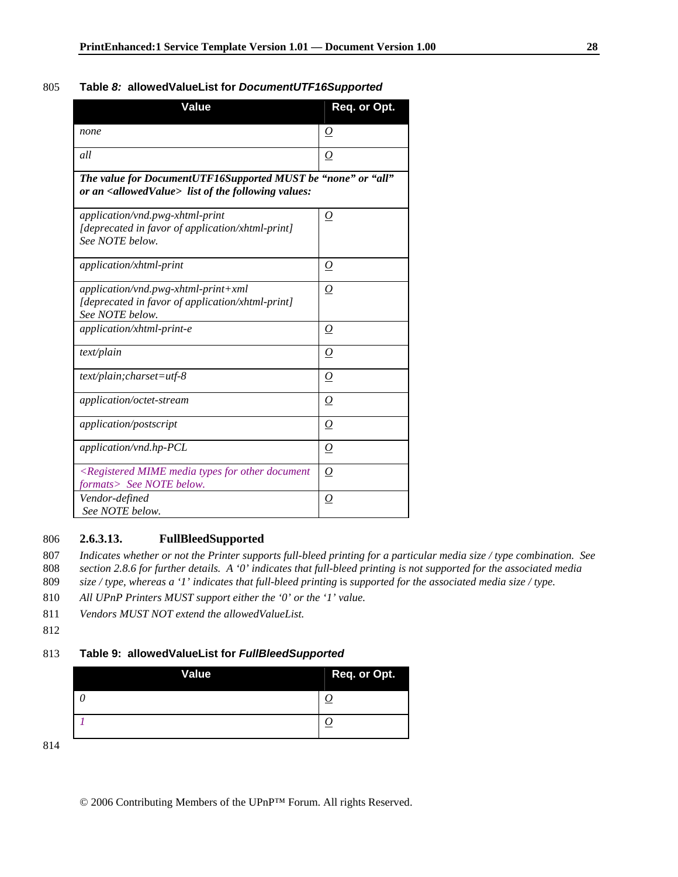#### 805 **Table** *8:* **allowedValueList for** *DocumentUTF16Supported*

| Value                                                                                                                             | Req. or Opt.     |
|-----------------------------------------------------------------------------------------------------------------------------------|------------------|
| none                                                                                                                              | $\boldsymbol{O}$ |
| all                                                                                                                               | 0                |
| The value for DocumentUTF16Supported MUST be "none" or "all"<br>or an <allowedvalue> list of the following values:</allowedvalue> |                  |
| application/vnd.pwg-xhtml-print<br>[deprecated in favor of application/xhtml-print]<br>See NOTE below.                            | 0                |
| application/xhtml-print                                                                                                           | $\overline{O}$   |
| application/vnd.pwg-xhtml-print+xml<br>[deprecated in favor of application/xhtml-print]<br>See NOTE below.                        | $\Omega$         |
| application/xhtml-print-e                                                                                                         | 0                |
| text/plain                                                                                                                        | 0                |
| $text/plain; charges = utf-8$                                                                                                     | $\overline{O}$   |
| application/octet-stream                                                                                                          | $\overline{0}$   |
| <i>application/postscript</i>                                                                                                     | $\boldsymbol{O}$ |
| application/vnd.hp-PCL                                                                                                            | 0                |
| $\leq$ Registered MIME media types for other document<br>formats> See NOTE below.                                                 | 0                |
| Vendor-defined<br>See NOTE below.                                                                                                 | 0                |

### 806 **2.6.3.13. FullBleedSupported**

807 *Indicates whether or not the Printer supports full-bleed printing for a particular media size / type combination. See*  808 *section 2.8.6 for further details. A '0' indicates that full-bleed printing is not supported for the associated media* 

- 809 *size / type, whereas a '1' indicates that full-bleed printing is supported for the associated media size / type.*
- 810 *All UPnP Printers MUST support either the '0' or the '1' value.*
- 811 *Vendors MUST NOT extend the allowedValueList.*
- 812

#### 813 **Table 9: allowedValueList for** *FullBleedSupported*

| <b>Value</b> | Req. or Opt. |
|--------------|--------------|
| __           |              |
|              |              |

814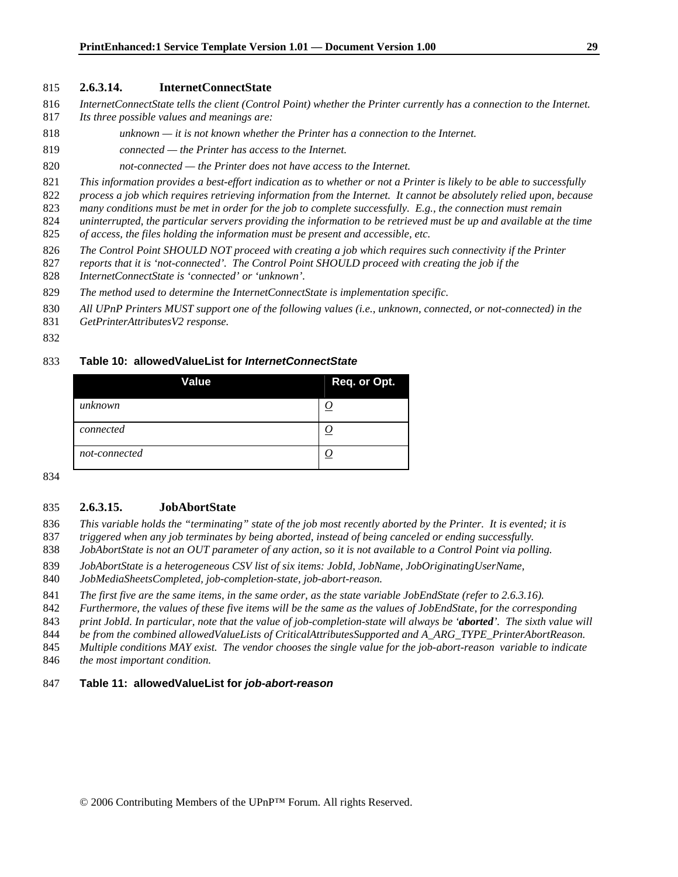#### **2.6.3.14. InternetConnectState**

- *InternetConnectState tells the client (Control Point) whether the Printer currently has a connection to the Internet.*
- *Its three possible values and meanings are:*
- *unknown it is not known whether the Printer has a connection to the Internet.*
- *connected the Printer has access to the Internet.*
- *not-connected the Printer does not have access to the Internet.*
- *This information provides a best-effort indication as to whether or not a Printer is likely to be able to successfully*
- *process a job which requires retrieving information from the Internet. It cannot be absolutely relied upon, because*
- *many conditions must be met in order for the job to complete successfully. E.g., the connection must remain*
- *uninterrupted, the particular servers providing the information to be retrieved must be up and available at the time of access, the files holding the information must be present and accessible, etc.*
- *The Control Point SHOULD NOT proceed with creating a job which requires such connectivity if the Printer*
- *reports that it is 'not-connected'. The Control Point SHOULD proceed with creating the job if the*
- *InternetConnectState is 'connected' or 'unknown'.*
- *The method used to determine the InternetConnectState is implementation specific.*
- *All UPnP Printers MUST support one of the following values (i.e., unknown, connected, or not-connected) in the*
- *GetPrinterAttributesV2 response.*
- 

#### **Table 10: allowedValueList for** *InternetConnectState*

| Value         | Req. or Opt. |
|---------------|--------------|
| unknown       |              |
| connected     |              |
| not-connected |              |

#### **2.6.3.15. JobAbortState**

- *This variable holds the "terminating" state of the job most recently aborted by the Printer. It is evented; it is*
- *triggered when any job terminates by being aborted, instead of being canceled or ending successfully.*
- *JobAbortState is not an OUT parameter of any action, so it is not available to a Control Point via polling.*
- *JobAbortState is a heterogeneous CSV list of six items: JobId, JobName, JobOriginatingUserName,*
- *JobMediaSheetsCompleted, job-completion-state, job-abort-reason.*
- *The first five are the same items, in the same order, as the state variable JobEndState (refer to 2.6.3.16).*
- *Furthermore, the values of these five items will be the same as the values of JobEndState, for the corresponding*
- *print JobId. In particular, note that the value of job-completion-state will always be 'aborted'. The sixth value will*
- *be from the combined allowedValueLists of CriticalAttributesSupported and A\_ARG\_TYPE\_PrinterAbortReason.*
- *Multiple conditions MAY exist. The vendor chooses the single value for the job-abort-reason variable to indicate*
- *the most important condition.*

#### **Table 11: allowedValueList for** *job-abort-reason*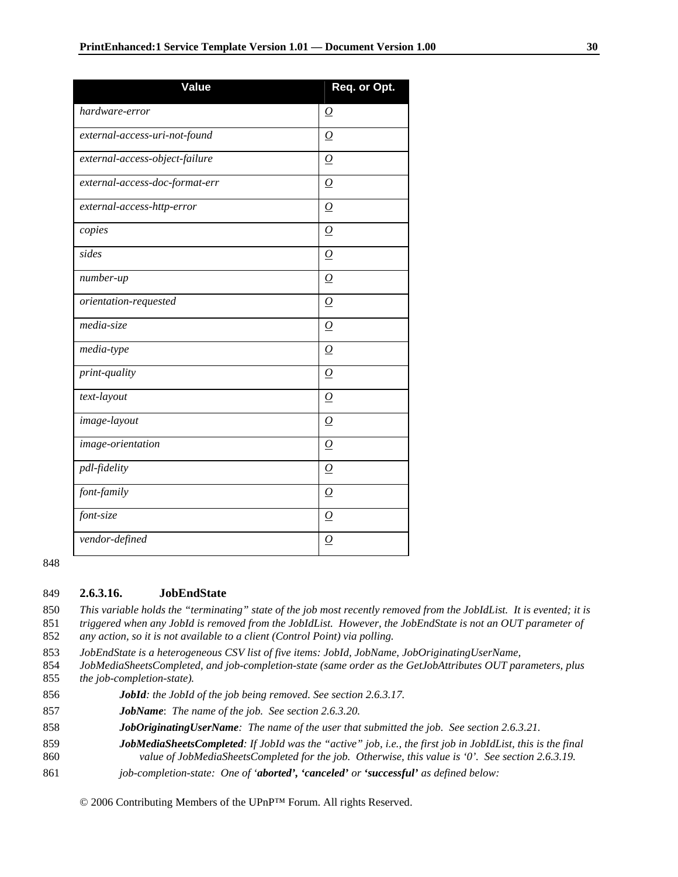| Value                          | Req. or Opt.        |
|--------------------------------|---------------------|
| hardware-error                 | $\Omega$            |
| external-access-uri-not-found  | $\overline{O}$      |
| external-access-object-failure | $\Omega$            |
| external-access-doc-format-err | $\Omega$            |
| external-access-http-error     | $\Omega$            |
| copies                         | $\overline{O}$      |
| sides                          | $\Omega$            |
| number-up                      | $\Omega$            |
| orientation-requested          | $\overline{\Omega}$ |
| media-size                     | ${\cal O}$          |
| media-type                     | 0                   |
| print-quality                  | $\Omega$            |
| text-layout                    | $\Omega$            |
| image-layout                   | $\overline{O}$      |
| image-orientation              | $\Omega$            |
| pdl-fidelity                   | $\overline{O}$      |
| font-family                    | $\Omega$            |
| font-size                      | 0                   |
| vendor-defined                 | $\overline{\Omega}$ |

848

#### 849 **2.6.3.16. JobEndState**

850 *This variable holds the "terminating" state of the job most recently removed from the JobIdList. It is evented; it is*  851 *triggered when any JobId is removed from the JobIdList. However, the JobEndState is not an OUT parameter of*  852 *any action, so it is not available to a client (Control Point) via polling.* 

853 *JobEndState is a heterogeneous CSV list of five items: JobId, JobName, JobOriginatingUserName,* 

854 *JobMediaSheetsCompleted, and job-completion-state (same order as the GetJobAttributes OUT parameters, plus*  855 *the job-completion-state).* 

- 856 *JobId: the JobId of the job being removed. See section 2.6.3.17.*
- 857 *JobName*: *The name of the job. See section 2.6.3.20.*
- 858 *JobOriginatingUserName: The name of the user that submitted the job. See section 2.6.3.21.*
- 859 *JobMediaSheetsCompleted: If JobId was the "active" job, i.e., the first job in JobIdList, this is the final*
- 860 *value of JobMediaSheetsCompleted for the job. Otherwise, this value is '0'. See section 2.6.3.19.*
- 861 *job-completion-state: One of 'aborted', 'canceled' or 'successful' as defined below:*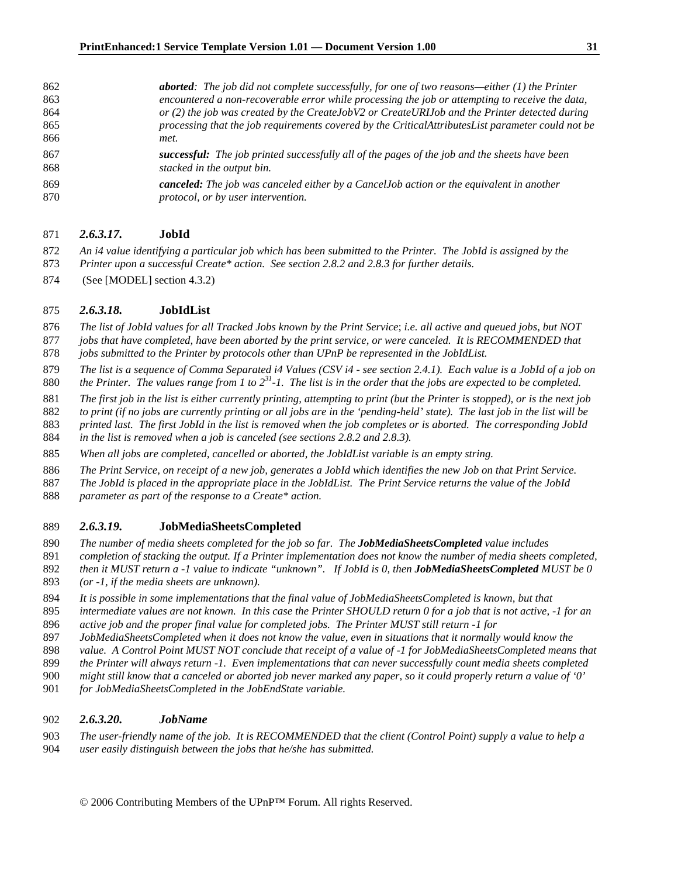| 862            | <b>aborted:</b> The job did not complete successfully, for one of two reasons—either $(1)$ the Printer                                                                                                                                                                                                                                                                                                                                                                                     |
|----------------|--------------------------------------------------------------------------------------------------------------------------------------------------------------------------------------------------------------------------------------------------------------------------------------------------------------------------------------------------------------------------------------------------------------------------------------------------------------------------------------------|
| 863            | encountered a non-recoverable error while processing the job or attempting to receive the data,                                                                                                                                                                                                                                                                                                                                                                                            |
| 864            | or $(2)$ the job was created by the CreateJobV2 or CreateURIJob and the Printer detected during                                                                                                                                                                                                                                                                                                                                                                                            |
| 865            | processing that the job requirements covered by the CriticalAttributesList parameter could not be                                                                                                                                                                                                                                                                                                                                                                                          |
| 866            | met.                                                                                                                                                                                                                                                                                                                                                                                                                                                                                       |
| 867            | <b>successful:</b> The job printed successfully all of the pages of the job and the sheets have been                                                                                                                                                                                                                                                                                                                                                                                       |
| 868            | stacked in the output bin.                                                                                                                                                                                                                                                                                                                                                                                                                                                                 |
| 0 <sub>0</sub> | $\blacksquare$ $\blacksquare$ $\blacksquare$ $\blacksquare$ $\blacksquare$ $\blacksquare$ $\blacksquare$ $\blacksquare$ $\blacksquare$ $\blacksquare$ $\blacksquare$ $\blacksquare$ $\blacksquare$ $\blacksquare$ $\blacksquare$ $\blacksquare$ $\blacksquare$ $\blacksquare$ $\blacksquare$ $\blacksquare$ $\blacksquare$ $\blacksquare$ $\blacksquare$ $\blacksquare$ $\blacksquare$ $\blacksquare$ $\blacksquare$ $\blacksquare$ $\blacksquare$ $\blacksquare$ $\blacksquare$ $\blacks$ |

*canceled: The job was canceled either by a CancelJob action or the equivalent in another protocol, or by user intervention.* 

### *2.6.3.17.* **JobId**

- *An i4 value identifying a particular job which has been submitted to the Printer. The JobId is assigned by the Printer upon a successful Create\* action. See section 2.8.2 and 2.8.3 for further details.*
- 874 (See [MODEL] section 4.3.2)

#### *2.6.3.18.* **JobIdList**

- *The list of JobId values for all Tracked Jobs known by the Print Service*; *i.e. all active and queued jobs, but NOT*
- *jobs that have completed, have been aborted by the print service, or were canceled. It is RECOMMENDED that jobs submitted to the Printer by protocols other than UPnP be represented in the JobIdList.*
- 
- *The list is a sequence of Comma Separated i4 Values (CSV i4 see section 2.4.1). Each value is a JobId of a job on*  880  $the$  Printer. The values range from 1 to  $2^{31}$ -1. The list is in the order that the jobs are expected to be completed.
- *The first job in the list is either currently printing, attempting to print (but the Printer is stopped), or is the next job*
- *to print (if no jobs are currently printing or all jobs are in the 'pending-held' state). The last job in the list will be*
- *printed last. The first JobId in the list is removed when the job completes or is aborted. The corresponding JobId*
- *in the list is removed when a job is canceled (see sections 2.8.2 and 2.8.3).*
- *When all jobs are completed, cancelled or aborted, the JobIdList variable is an empty string.*
- *The Print Service, on receipt of a new job, generates a JobId which identifies the new Job on that Print Service.*
- *The JobId is placed in the appropriate place in the JobIdList. The Print Service returns the value of the JobId*
- *parameter as part of the response to a Create\* action.*

### *2.6.3.19.* **JobMediaSheetsCompleted**

- *The number of media sheets completed for the job so far. The JobMediaSheetsCompleted value includes*
- *completion of stacking the output. If a Printer implementation does not know the number of media sheets completed, then it MUST return a -1 value to indicate "unknown". If JobId is 0, then JobMediaSheetsCompleted MUST be 0 (or -1, if the media sheets are unknown).*
- 

© 2006 Contributing Members of the UPnP™ Forum. All rights Reserved.

- *It is possible in some implementations that the final value of JobMediaSheetsCompleted is known, but that*
- *intermediate values are not known. In this case the Printer SHOULD return 0 for a job that is not active, -1 for an active job and the proper final value for completed jobs. The Printer MUST still return -1 for*
- *JobMediaSheetsCompleted when it does not know the value, even in situations that it normally would know the*
- *value. A Control Point MUST NOT conclude that receipt of a value of -1 for JobMediaSheetsCompleted means that*
- *the Printer will always return -1. Even implementations that can never successfully count media sheets completed*
- *might still know that a canceled or aborted job never marked any paper, so it could properly return a value of '0'*
- *for JobMediaSheetsCompleted in the JobEndState variable.*

### *2.6.3.20. JobName*

*The user-friendly name of the job. It is RECOMMENDED that the client (Control Point) supply a value to help a user easily distinguish between the jobs that he/she has submitted.*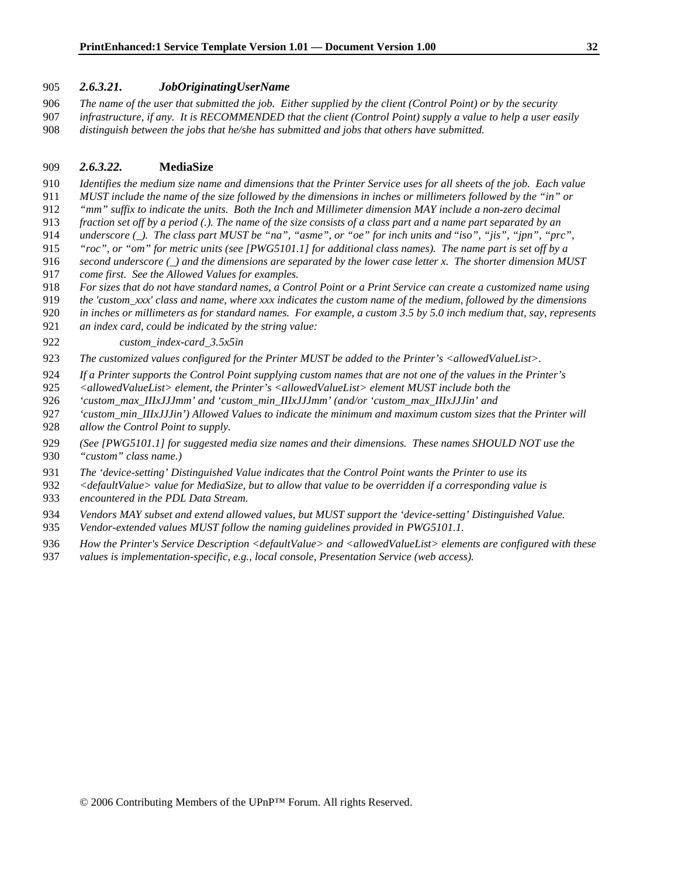#### *2.6.3.21. JobOriginatingUserName*

*The name of the user that submitted the job. Either supplied by the client (Control Point) or by the security infrastructure, if any. It is RECOMMENDED that the client (Control Point) supply a value to help a user easily distinguish between the jobs that he/she has submitted and jobs that others have submitted.*

#### *2.6.3.22.* **MediaSize**

- *Identifies the medium size name and dimensions that the Printer Service uses for all sheets of the job. Each value*
- *MUST include the name of the size followed by the dimensions in inches or millimeters followed by the "in" or*
- *"mm" suffix to indicate the units. Both the Inch and Millimeter dimension MAY include a non-zero decimal*
- *fraction set off by a period (.). The name of the size consists of a class part and a name part separated by an*
- *underscore (\_). The class part MUST be "na", "asme", or "oe" for inch units and* "*iso", "jis", "jpn", "prc",*
- *"roc", or "om" for metric units (see [PWG5101.1] for additional class names). The name part is set off by a*
- *second underscore (\_) and the dimensions are separated by the lower case letter x. The shorter dimension MUST come first. See the Allowed Values for examples.*
- *For sizes that do not have standard names, a Control Point or a Print Service can create a customized name using*
- *the 'custom\_xxx' class and name, where xxx indicates the custom name of the medium, followed by the dimensions*
- *in inches or millimeters as for standard names. For example, a custom 3.5 by 5.0 inch medium that, say, represents*
- *an index card, could be indicated by the string value:*
- *custom\_index-card\_3.5x5in*
- *The customized values configured for the Printer MUST be added to the Printer's <allowedValueList>.*
- *If a Printer supports the Control Point supplying custom names that are not one of the values in the Printer's*
- *<allowedValueList> element, the Printer's <allowedValueList> element MUST include both the*
- *'custom\_max\_IIIxJJJmm' and 'custom\_min\_IIIxJJJmm' (and/or 'custom\_max\_IIIxJJJin' and*
- *'custom\_min\_IIIxJJJin') Allowed Values to indicate the minimum and maximum custom sizes that the Printer will allow the Control Point to supply.*
- *(See [PWG5101.1] for suggested media size names and their dimensions. These names SHOULD NOT use the "custom" class name.)*
- *The 'device-setting' Distinguished Value indicates that the Control Point wants the Printer to use its*
- *<defaultValue> value for MediaSize, but to allow that value to be overridden if a corresponding value is*
- *encountered in the PDL Data Stream.*
- *Vendors MAY subset and extend allowed values, but MUST support the 'device-setting' Distinguished Value.*
- *Vendor-extended values MUST follow the naming guidelines provided in PWG5101.1.*
- *How the Printer's Service Description <defaultValue> and <allowedValueList> elements are configured with these*
- *values is implementation-specific, e.g., local console, Presentation Service (web access).*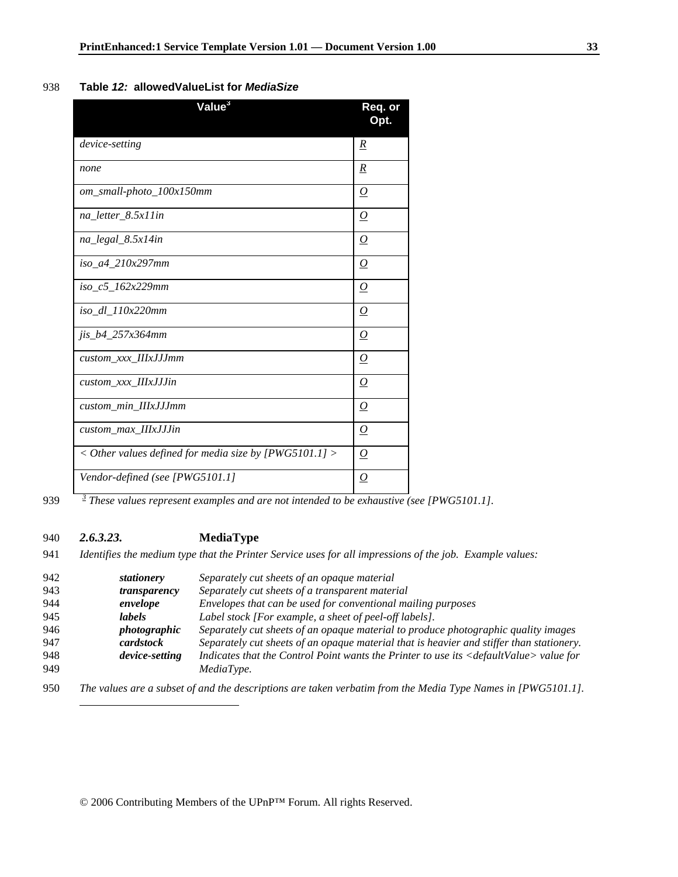### 938 **Table** *12:* **allowedValueList for** *MediaSize*

| $\overline{\mathsf{Value}}^3$                                  | Req. or<br>Opt.     |
|----------------------------------------------------------------|---------------------|
| device-setting                                                 | $\underline{R}$     |
| none                                                           | R                   |
| om_small-photo_100x150mm                                       | $\Omega$            |
| na_letter_8.5x11in                                             | $\varrho$           |
| na_legal_8.5x14in                                              | 0                   |
| iso a4 210x297mm                                               | $\Omega$            |
| iso c5 162x229mm                                               | $\overline{\Omega}$ |
| iso_dl_110x220mm                                               | 0                   |
| jis_b4_257x364mm                                               | 0                   |
| custom xxx IIIxJJJmm                                           | $\Omega$            |
| custom_xxx_IIIxJJJin                                           | $\Omega$            |
| custom_min_IIIxJJJmm                                           | 0                   |
| custom_max_IIIxJJJin                                           | $\overline{\Omega}$ |
| $\langle$ Other values defined for media size by [PWG5101.1] > | $\Omega$            |
| Vendor-defined (see [PWG5101.1]                                | 0                   |

1

*<sup>3</sup>* 939 *These values represent examples and are not intended to be exhaustive (see [PWG5101.1].* 

### 940 *2.6.3.23.* **MediaType**

941 *Identifies the medium type that the Printer Service uses for all impressions of the job. Example values:* 

| 942 | stationery          | Separately cut sheets of an opaque material                                                                  |
|-----|---------------------|--------------------------------------------------------------------------------------------------------------|
| 943 | transparency        | Separately cut sheets of a transparent material                                                              |
| 944 | envelope            | Envelopes that can be used for conventional mailing purposes                                                 |
| 945 | labels              | Label stock [For example, a sheet of peel-off labels].                                                       |
| 946 | <i>photographic</i> | Separately cut sheets of an opaque material to produce photographic quality images                           |
| 947 | cardstock           | Separately cut sheets of an opaque material that is heavier and stiffer than stationery.                     |
| 948 | device-setting      | Indicates that the Control Point wants the Printer to use its <defaultvalue> value for</defaultvalue>        |
| 949 |                     | MediaType.                                                                                                   |
| 950 |                     | The values are a subset of and the descriptions are taken verbatim from the Media Type Names in [PWG5101.1]. |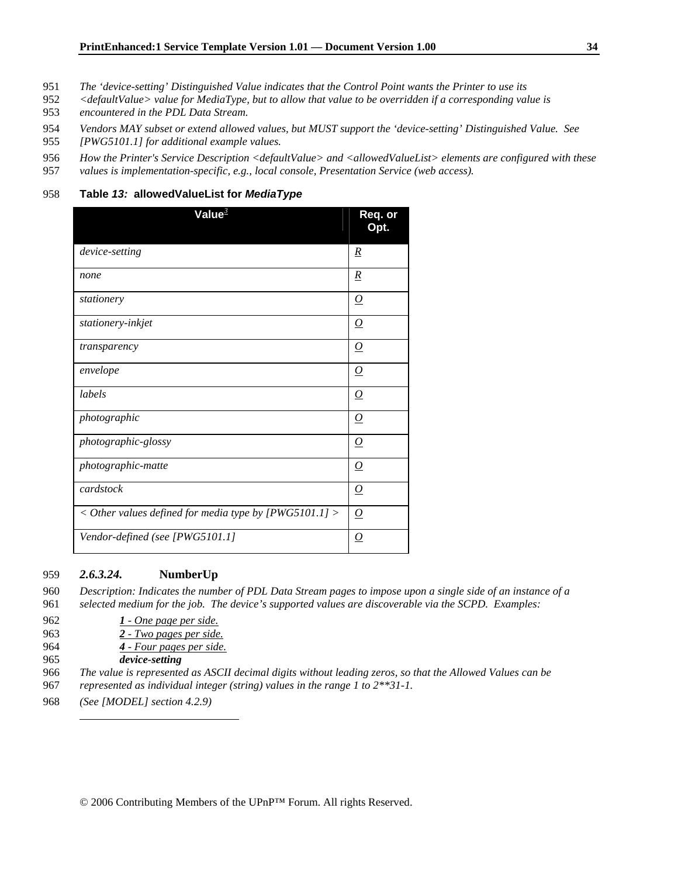- 951 *The 'device-setting' Distinguished Value indicates that the Control Point wants the Printer to use its*
- 952 *<defaultValue> value for MediaType, but to allow that value to be overridden if a corresponding value is*  953 *encountered in the PDL Data Stream.*
- 954 *Vendors MAY subset or extend allowed values, but MUST support the 'device-setting' Distinguished Value. See*
- 955 *[PWG5101.1] for additional example values.*
- 956 *How the Printer's Service Description <defaultValue> and <allowedValueList> elements are configured with these*
- 957 *values is implementation-specific, e.g., local console, Presentation Service (web access).*

#### 958 **Table** *13:* **allowedValueList for** *MediaType*

| Value $^3$                                                       | Req. or<br>Opt.     |
|------------------------------------------------------------------|---------------------|
| device-setting                                                   | R                   |
| none                                                             | $\underline{R}$     |
| stationery                                                       | $\varrho$           |
| stationery-inkjet                                                | $\overline{\Omega}$ |
| transparency                                                     | $\overline{\Omega}$ |
| envelope                                                         | $\overline{\Omega}$ |
| labels                                                           | $\Omega$            |
| photographic                                                     | $\overline{\Omega}$ |
| photographic-glossy                                              | $\Omega$            |
| photographic-matte                                               | $\varrho$           |
| cardstock                                                        | $\Omega$            |
| $\langle$ Other values defined for media type by [PWG5101.1] $>$ | $\overline{\Omega}$ |
| Vendor-defined (see [PWG5101.1]                                  | $\overline{\Omega}$ |

#### 959 *2.6.3.24.* **NumberUp**

960 *Description: Indicates the number of PDL Data Stream pages to impose upon a single side of an instance of a*  961 *selected medium for the job. The device's supported values are discoverable via the SCPD. Examples:* 

- 962 *1 One page per side.*
- 963 *2 Two pages per side.*
- 964 *4 Four pages per side.*
- 965 *device-setting*

 $\overline{a}$ 

- 966 *The value is represented as ASCII decimal digits without leading zeros, so that the Allowed Values can be*  967 *represented as individual integer (string) values in the range 1 to 2\*\*31-1.*
- 968 *(See [MODEL] section 4.2.9)*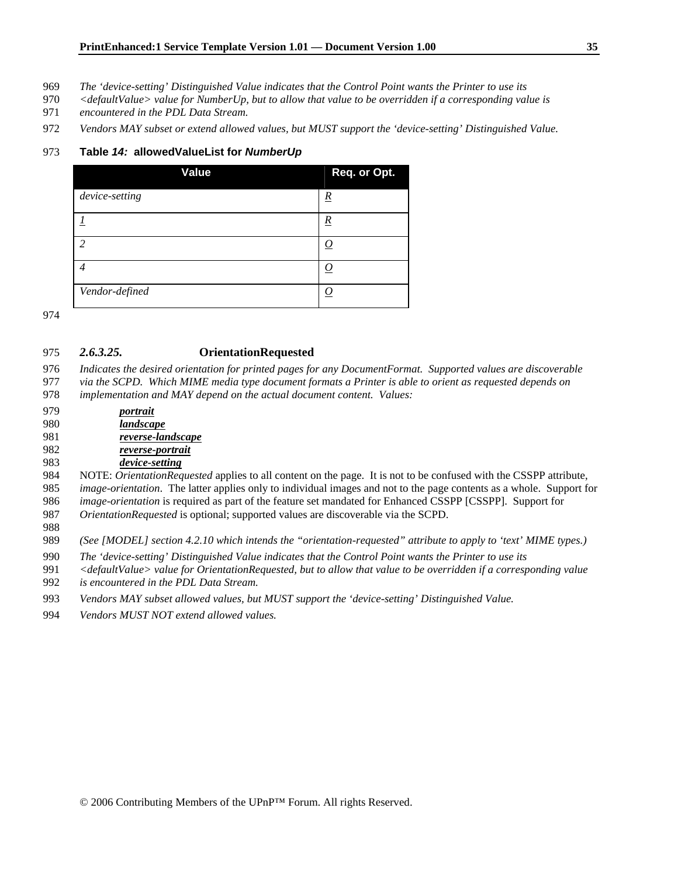- *The 'device-setting' Distinguished Value indicates that the Control Point wants the Printer to use its*
- *<defaultValue> value for NumberUp, but to allow that value to be overridden if a corresponding value is encountered in the PDL Data Stream.*
- *Vendors MAY subset or extend allowed values, but MUST support the 'device-setting' Distinguished Value.*

#### **Table** *14:* **allowedValueList for** *NumberUp*

| Value          | Req. or Opt.    |
|----------------|-----------------|
| device-setting | $\underline{R}$ |
|                | $\underline{R}$ |
| $\overline{c}$ | O               |
| 4              | <u>О</u>        |
| Vendor-defined |                 |

#### *2.6.3.25.* **OrientationRequested**

*Indicates the desired orientation for printed pages for any DocumentFormat. Supported values are discoverable* 

- *via the SCPD. Which MIME media type document formats a Printer is able to orient as requested depends on*
- *implementation and MAY depend on the actual document content. Values:*
- *portrait landscape reverse-landscape reverse-portrait*

### *device-setting*

984 NOTE: *OrientationRequested* applies to all content on the page. It is not to be confused with the CSSPP attribute, *image-orientation*. The latter applies only to individual images and not to the page contents as a whole. Support for

- *image-orientation* is required as part of the feature set mandated for Enhanced CSSPP [CSSPP]. Support for
- *OrientationRequested* is optional; supported values are discoverable via the SCPD.

*(See [MODEL] section 4.2.10 which intends the "orientation-requested" attribute to apply to 'text' MIME types.)* 

- *The 'device-setting' Distinguished Value indicates that the Control Point wants the Printer to use its*
- *<defaultValue> value for OrientationRequested, but to allow that value to be overridden if a corresponding value*
- *is encountered in the PDL Data Stream.*
- *Vendors MAY subset allowed values, but MUST support the 'device-setting' Distinguished Value.*
- *Vendors MUST NOT extend allowed values.*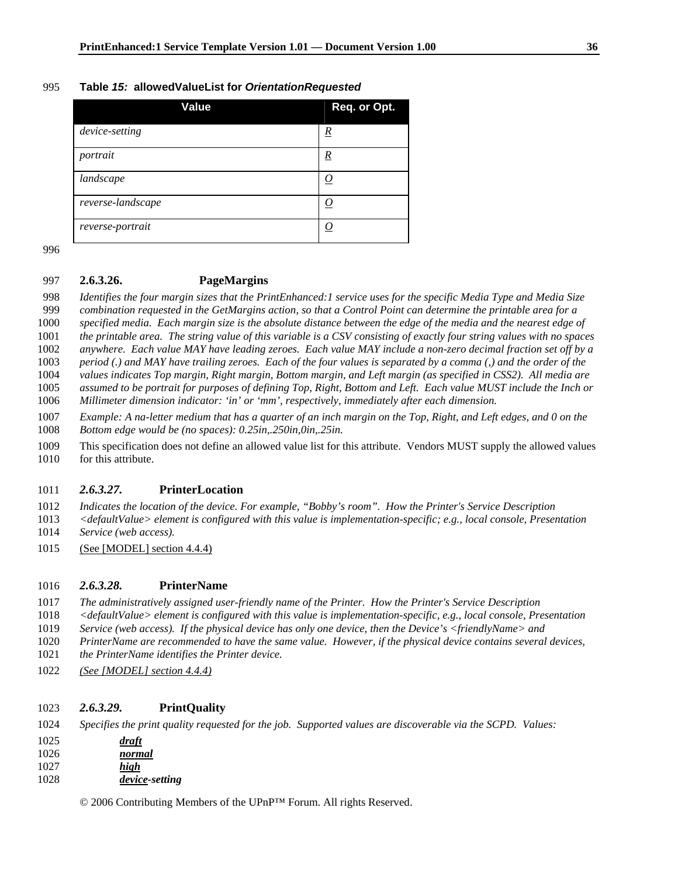#### **Table** *15:* **allowedValueList for** *OrientationRequested*

| Value             | Req. or Opt.    |
|-------------------|-----------------|
| device-setting    | $\underline{R}$ |
| portrait          | $\overline{R}$  |
| landscape         | <u>О</u>        |
| reverse-landscape | O               |
| reverse-portrait  | 0               |

### **2.6.3.26. PageMargins**

*Identifies the four margin sizes that the PrintEnhanced:1 service uses for the specific Media Type and Media Size* 

*combination requested in the GetMargins action, so that a Control Point can determine the printable area for a* 

*specified media. Each margin size is the absolute distance between the edge of the media and the nearest edge of* 

*the printable area. The string value of this variable is a CSV consisting of exactly four string values with no spaces* 

*anywhere. Each value MAY have leading zeroes. Each value MAY include a non-zero decimal fraction set off by a* 

*period (.) and MAY have trailing zeroes. Each of the four values is separated by a comma (,) and the order of the values indicates Top margin, Right margin, Bottom margin, and Left margin (as specified in CSS2). All media are* 

*assumed to be portrait for purposes of defining Top, Right, Bottom and Left. Each value MUST include the Inch or* 

*Millimeter dimension indicator: 'in' or 'mm', respectively, immediately after each dimension.* 

*Example: A na-letter medium that has a quarter of an inch margin on the Top, Right, and Left edges, and 0 on the Bottom edge would be (no spaces): 0.25in,.250in,0in,.25in.* 

1009 This specification does not define an allowed value list for this attribute. Vendors MUST supply the allowed values 1010 for this attribute.

### *2.6.3.27.* **PrinterLocation**

*Indicates the location of the device. For example, "Bobby's room". How the Printer's Service Description* 

*<defaultValue> element is configured with this value is implementation-specific; e.g., local console, Presentation* 

- *Service (web access).*
- 1015 (See [MODEL] section 4.4.4)

#### *2.6.3.28.* **PrinterName**

*The administratively assigned user-friendly name of the Printer. How the Printer's Service Description* 

- *<defaultValue> element is configured with this value is implementation-specific, e.g., local console, Presentation*
- *Service (web access). If the physical device has only one device, then the Device's <friendlyName> and*
- *PrinterName are recommended to have the same value. However, if the physical device contains several devices,*
- *the PrinterName identifies the Printer device.*
- *(See [MODEL] section 4.4.4)*

#### *2.6.3.29.* **PrintQuality**

*Specifies the print quality requested for the job. Supported values are discoverable via the SCPD. Values:* 

*draft normal high* 

*device-setting*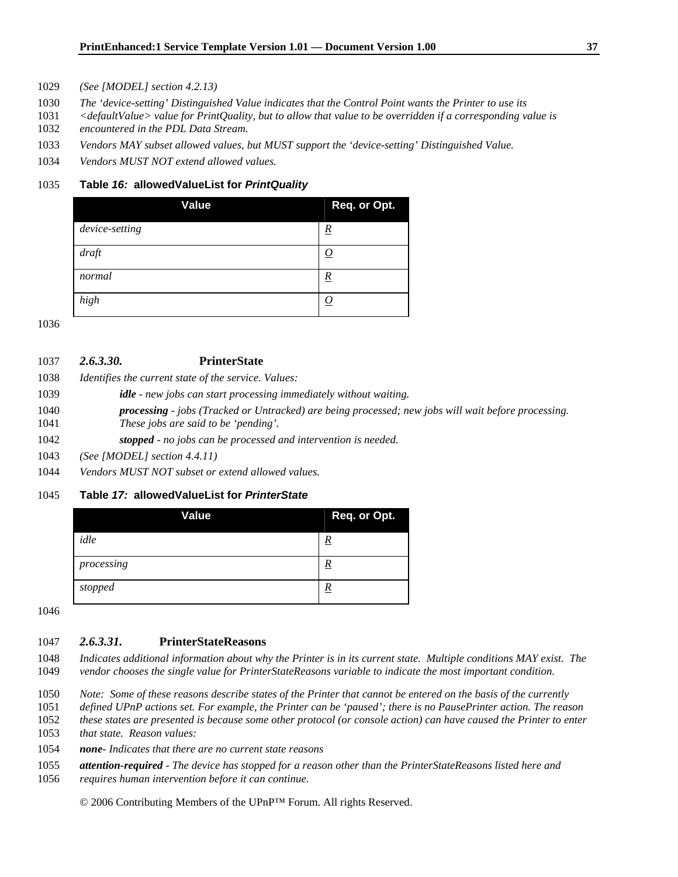- *(See [MODEL] section 4.2.13)*
- *The 'device-setting' Distinguished Value indicates that the Control Point wants the Printer to use its*
- *<defaultValue> value for PrintQuality, but to allow that value to be overridden if a corresponding value is*
- *encountered in the PDL Data Stream.*
- *Vendors MAY subset allowed values, but MUST support the 'device-setting' Distinguished Value.*
- *Vendors MUST NOT extend allowed values.*

#### **Table** *16:* **allowedValueList for** *PrintQuality*

| <b>Value</b>   | Req. or Opt.    |
|----------------|-----------------|
| device-setting | $\underline{R}$ |
| draft          | <u>0</u>        |
| normal         | <u>R</u>        |
| high           | O               |

| 1037 | 2.6.3.30. | <b>PrinterState</b> |
|------|-----------|---------------------|
|      |           |                     |

- *Identifies the current state of the service. Values:*
- *idle new jobs can start processing immediately without waiting.*
- *processing jobs (Tracked or Untracked) are being processed; new jobs will wait before processing. These jobs are said to be 'pending'.*
- *stopped no jobs can be processed and intervention is needed.*
- *(See [MODEL] section 4.4.11)*
- *Vendors MUST NOT subset or extend allowed values.*

### **Table** *17:* **allowedValueList for** *PrinterState*

| Value      | Req. or Opt. |
|------------|--------------|
| idle       | <u>R</u>     |
| processing | <u>R</u>     |
| stopped    | <u>R</u>     |

### *2.6.3.31.* **PrinterStateReasons**

- *Indicates additional information about why the Printer is in its current state. Multiple conditions MAY exist. The vendor chooses the single value for PrinterStateReasons variable to indicate the most important condition.*
- *Note: Some of these reasons describe states of the Printer that cannot be entered on the basis of the currently*
- *defined UPnP actions set. For example, the Printer can be 'paused'; there is no PausePrinter action. The reason*
- *these states are presented is because some other protocol (or console action) can have caused the Printer to enter*
- *that state. Reason values:*
- *none Indicates that there are no current state reasons*
- *attention-required The device has stopped for a reason other than the PrinterStateReasons listed here and*
- *requires human intervention before it can continue.*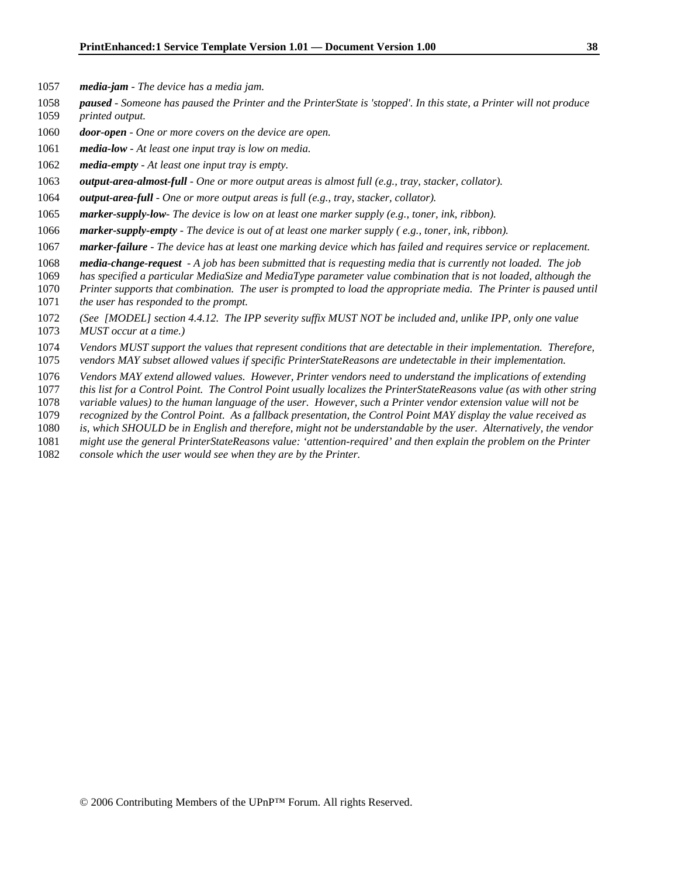- *media-jam The device has a media jam.*
- *paused Someone has paused the Printer and the PrinterState is 'stopped'. In this state, a Printer will not produce*
- *printed output.*
- *door-open One or more covers on the device are open.*
- *media-low At least one input tray is low on media.*
- *media-empty At least one input tray is empty.*
- *output-area-almost-full One or more output areas is almost full (e.g., tray, stacker, collator).*
- *output-area-full One or more output areas is full (e.g., tray, stacker, collator).*
- *marker-supply-low The device is low on at least one marker supply (e.g., toner, ink, ribbon).*
- *marker-supply-empty The device is out of at least one marker supply ( e.g., toner, ink, ribbon).*
- *marker-failure The device has at least one marking device which has failed and requires service or replacement.*
- *media-change-request A job has been submitted that is requesting media that is currently not loaded. The job*
- *has specified a particular MediaSize and MediaType parameter value combination that is not loaded, although the*
- *Printer supports that combination. The user is prompted to load the appropriate media. The Printer is paused until*
- *the user has responded to the prompt.*
- *(See [MODEL] section 4.4.12. The IPP severity suffix MUST NOT be included and, unlike IPP, only one value*
- *MUST occur at a time.)*
- *Vendors MUST support the values that represent conditions that are detectable in their implementation. Therefore,*
- *vendors MAY subset allowed values if specific PrinterStateReasons are undetectable in their implementation.*
- *Vendors MAY extend allowed values. However, Printer vendors need to understand the implications of extending*
- *this list for a Control Point. The Control Point usually localizes the PrinterStateReasons value (as with other string*
- *variable values) to the human language of the user. However, such a Printer vendor extension value will not be*
- *recognized by the Control Point. As a fallback presentation, the Control Point MAY display the value received as*
- *is, which SHOULD be in English and therefore, might not be understandable by the user. Alternatively, the vendor*
- *might use the general PrinterStateReasons value: 'attention-required' and then explain the problem on the Printer*
- *console which the user would see when they are by the Printer.*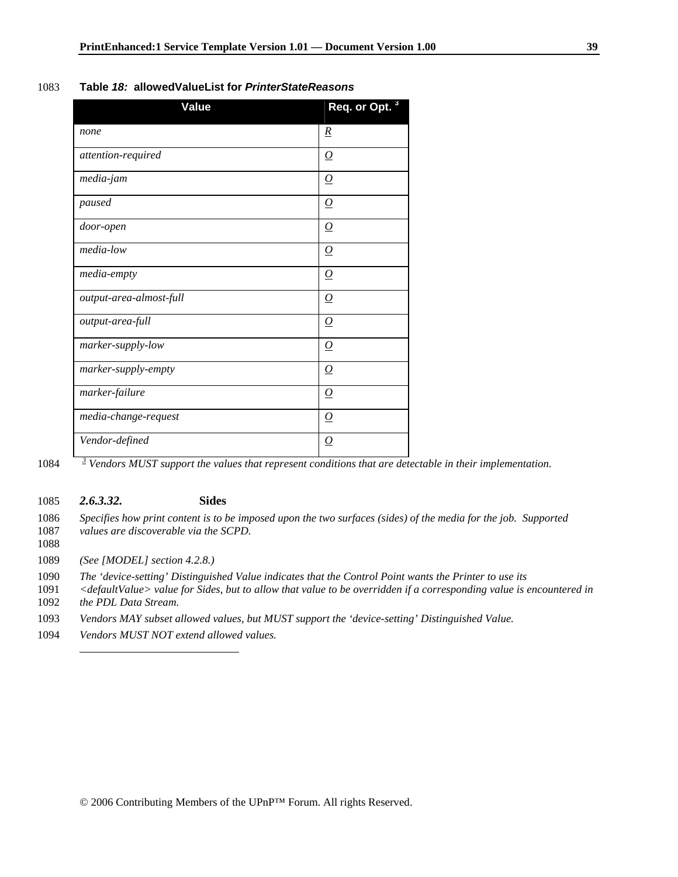### 1083 **Table** *18:* **allowedValueList for** *PrinterStateReasons*

| <b>Value</b>            | Req. or Opt. <sup>3</sup> |
|-------------------------|---------------------------|
| none                    | $\underline{R}$           |
| attention-required      | $\overline{O}$            |
| media-jam               | $\Omega$                  |
| paused                  | $\overline{\Omega}$       |
| door-open               | $\Omega$                  |
| media-low               | $\Omega$                  |
| media-empty             | $\overline{O}$            |
| output-area-almost-full | $\overline{\Omega}$       |
| output-area-full        | $\overline{\Omega}$       |
| marker-supply-low       | $\overline{\Omega}$       |
| marker-supply-empty     | $\overline{\Omega}$       |
| marker-failure          | $\Omega$                  |
| media-change-request    | $\Omega$                  |
| Vendor-defined          | $\overline{\Omega}$       |

 $1084$  <sup>3</sup> Vendors MUST support the values that represent conditions that are detectable in their implementation.

## 1085 *2.6.3.32.* **Sides**

- 1086 *Specifies how print content is to be imposed upon the two surfaces (sides) of the media for the job. Supported*  1087 *values are discoverable via the SCPD.*
- 1088

1089 *(See [MODEL] section 4.2.8.)* 

- 1090 *The 'device-setting' Distinguished Value indicates that the Control Point wants the Printer to use its*
- 1091 *<defaultValue> value for Sides, but to allow that value to be overridden if a corresponding value is encountered in*
- 1092 *the PDL Data Stream.*

 $\overline{\phantom{a}}$ 

- 1093 *Vendors MAY subset allowed values, but MUST support the 'device-setting' Distinguished Value.*
- 1094 *Vendors MUST NOT extend allowed values.*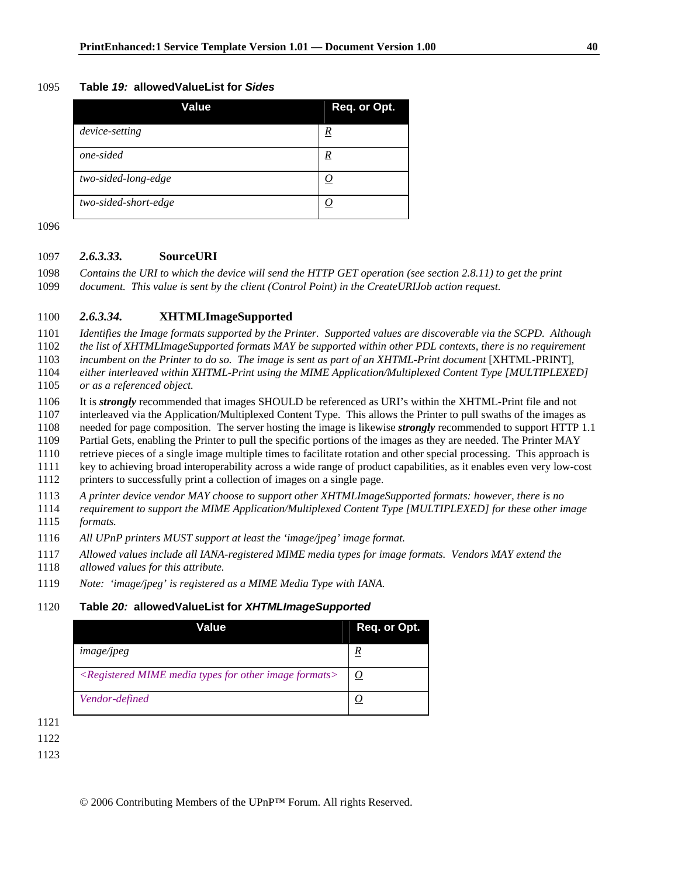#### 1095 **Table** *19:* **allowedValueList for** *Sides*

| Value                | Req. or Opt.    |
|----------------------|-----------------|
| device-setting       | $\underline{R}$ |
| one-sided            | <u>R</u>        |
| two-sided-long-edge  |                 |
| two-sided-short-edge |                 |

1096

#### 1097 *2.6.3.33.* **SourceURI**

1098 *Contains the URI to which the device will send the HTTP GET operation (see section 2.8.11) to get the print*  1099 *document. This value is sent by the client (Control Point) in the CreateURIJob action request.* 

### 1100 *2.6.3.34.* **XHTMLImageSupported**

1101 *Identifies the Image formats supported by the Printer. Supported values are discoverable via the SCPD. Although* 

1102 *the list of XHTMLImageSupported formats MAY be supported within other PDL contexts, there is no requirement* 

1103 *incumbent on the Printer to do so. The image is sent as part of an XHTML-Print document* [XHTML-PRINT]*,* 

1104 *either interleaved within XHTML-Print using the MIME Application/Multiplexed Content Type [MULTIPLEXED]*  1105 *or as a referenced object.* 

1106 It is *strongly* recommended that images SHOULD be referenced as URI's within the XHTML-Print file and not

1107 interleaved via the Application/Multiplexed Content Type. This allows the Printer to pull swaths of the images as

1108 needed for page composition. The server hosting the image is likewise *strongly* recommended to support HTTP 1.1 1109 Partial Gets, enabling the Printer to pull the specific portions of the images as they are needed. The Printer MAY

1110 retrieve pieces of a single image multiple times to facilitate rotation and other special processing. This approach is

1111 key to achieving broad interoperability across a wide range of product capabilities, as it enables even very low-cost

1112 printers to successfully print a collection of images on a single page.

1113 *A printer device vendor MAY choose to support other XHTMLImageSupported formats: however, there is no* 

1114 *requirement to support the MIME Application/Multiplexed Content Type [MULTIPLEXED] for these other image*  1115 *formats.* 

1116 *All UPnP printers MUST support at least the 'image/jpeg' image format.* 

1117 *Allowed values include all IANA-registered MIME media types for image formats. Vendors MAY extend the* 

- 1118 *allowed values for this attribute.*
- 1119 *Note: 'image/jpeg' is registered as a MIME Media Type with IANA.*

### 1120 **Table** *20:* **allowedValueList for** *XHTMLImageSupported*

| Value                                                                                   | Req. or Opt.  |
|-----------------------------------------------------------------------------------------|---------------|
| image/ipeg                                                                              | R             |
| <registered for="" formats="" image="" media="" mime="" other="" types=""></registered> | $\mathcal{Q}$ |
| Vendor-defined                                                                          |               |

1121

1122

1123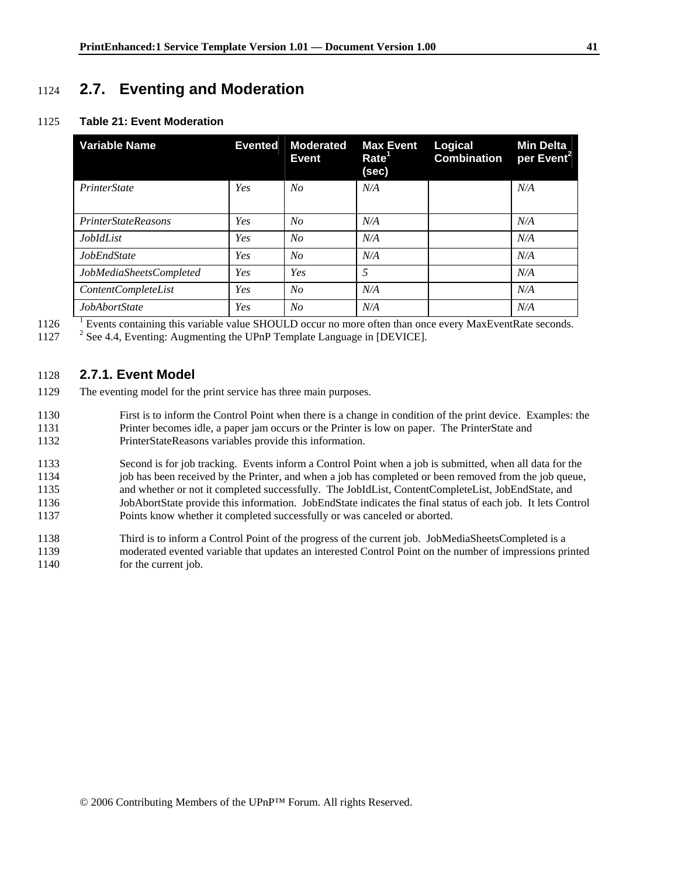# 1124 **2.7. Eventing and Moderation**

### 1125 **Table 21: Event Moderation**

| <b>Variable Name</b>       | <b>Evented</b> | <b>Moderated</b><br><b>Event</b> | <b>Max Event</b><br>Rate <sup>1</sup><br>(sec) | Logical<br><b>Combination</b> | <b>Min Delta</b><br>per Event <sup>2</sup> |
|----------------------------|----------------|----------------------------------|------------------------------------------------|-------------------------------|--------------------------------------------|
| <i>PrinterState</i>        | Yes            | No                               | N/A                                            |                               | N/A                                        |
| <b>PrinterStateReasons</b> | Yes            | No                               | N/A                                            |                               | N/A                                        |
| <i>JobIdList</i>           | Yes            | No                               | N/A                                            |                               | N/A                                        |
| <b>JobEndState</b>         | Yes            | No                               | N/A                                            |                               | N/A                                        |
| JobMediaSheetsCompleted    | Yes            | Yes                              | 5                                              |                               | N/A                                        |
| <i>ContentCompleteList</i> | Yes            | No                               | N/A                                            |                               | N/A                                        |
| JobAbortState              | Yes            | N <sub>O</sub>                   | N/A                                            |                               | N/A                                        |

1126 Events containing this variable value SHOULD occur no more often than once every MaxEventRate seconds.<br>1127 <sup>2</sup> See 4.4, Eventing: Augmenting the UPnP Template Language in [DEVICE].

## 1128 **2.7.1. Event Model**

- 1129 The eventing model for the print service has three main purposes.
- 1130 First is to inform the Control Point when there is a change in condition of the print device. Examples: the 1131 Printer becomes idle, a paper jam occurs or the Printer is low on paper. The PrinterState and 1132 PrinterStateReasons variables provide this information.
- 1133 Second is for job tracking. Events inform a Control Point when a job is submitted, when all data for the 1134 job has been received by the Printer, and when a job has completed or been removed from the job queue, 1135 and whether or not it completed successfully. The JobIdList, ContentCompleteList, JobEndState, and 1136 JobAbortState provide this information. JobEndState indicates the final status of each job. It lets Control 1137 Points know whether it completed successfully or was canceled or aborted.
- 1138 Third is to inform a Control Point of the progress of the current job. JobMediaSheetsCompleted is a 1139 moderated evented variable that updates an interested Control Point on the number of impressions printed 1140 for the current job.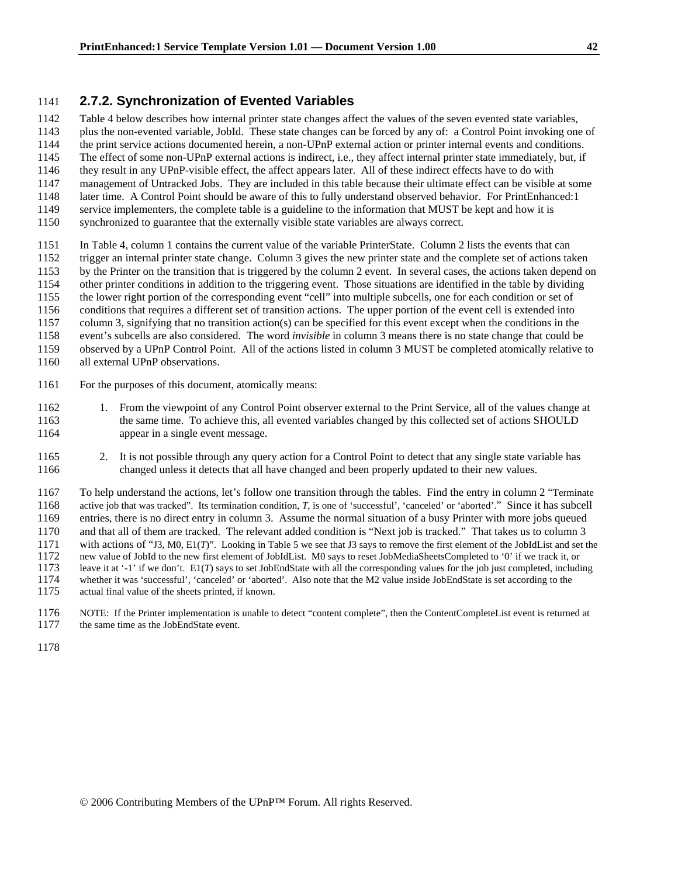## 1141 **2.7.2. Synchronization of Evented Variables**

1142 Table 4 below describes how internal printer state changes affect the values of the seven evented state variables, 1143 plus the non-evented variable, JobId. These state changes can be forced by any of: a Control Point invoking one of 1144 the print service actions documented herein, a non-UPnP external action or printer internal events and conditions. 1145 The effect of some non-UPnP external actions is indirect, i.e., they affect internal printer state immediately, but, if 1146 they result in any UPnP-visible effect, the affect appears later. All of these indirect effects have to do with 1147 management of Untracked Jobs. They are included in this table because their ultimate effect can be visible at some 1148 later time. A Control Point should be aware of this to fully understand observed behavior. For PrintEnhanced:1 1149 service implementers, the complete table is a guideline to the information that MUST be kept and how it is 1150 synchronized to guarantee that the externally visible state variables are always correct.

- 1151 In Table 4, column 1 contains the current value of the variable PrinterState. Column 2 lists the events that can 1152 trigger an internal printer state change. Column 3 gives the new printer state and the complete set of actions taken 1153 by the Printer on the transition that is triggered by the column 2 event. In several cases, the actions taken depend on 1154 other printer conditions in addition to the triggering event. Those situations are identified in the table by dividing 1155 the lower right portion of the corresponding event "cell" into multiple subcells, one for each condition or set of 1156 conditions that requires a different set of transition actions. The upper portion of the event cell is extended into 1157 column 3, signifying that no transition action(s) can be specified for this event except when the conditions in the 1158 event's subcells are also considered. The word *invisible* in column 3 means there is no state change that could be 1159 observed by a UPnP Control Point. All of the actions listed in column 3 MUST be completed atomically relative to 1160 all external UPnP observations.
- 1161 For the purposes of this document, atomically means:
- 1162 1. From the viewpoint of any Control Point observer external to the Print Service, all of the values change at 1163 the same time. To achieve this, all evented variables changed by this collected set of actions SHOULD 1164 appear in a single event message.
- 1165 2. It is not possible through any query action for a Control Point to detect that any single state variable has 1166 changed unless it detects that all have changed and been properly updated to their new values.

1167 To help understand the actions, let's follow one transition through the tables. Find the entry in column 2 "Terminate 1168 active job that was tracked". Its termination condition, *T*, is one of 'successful', 'canceled' or 'aborted'." Since it has subcell 1169 entries, there is no direct entry in column 3. Assume the normal situation of a busy Printer with more jobs queued 1170 and that all of them are tracked. The relevant added condition is "Next job is tracked." That takes us to column 3 1171 with actions of "J3, M0, E1(*T*)". Looking in Table 5 we see that J3 says to remove the first element of the JobIdList and set the 1172 new value of JobId to the new first element of JobIdList. M0 says to reset JobMediaSheetsCompleted to '0' if we track it, or 1173 leave it at '-1' if we don't. E1(*T*) says to set JobEndState with all the corresponding values for the job just completed, including 1174 whether it was 'successful', 'canceled' or 'aborted'. Also note that the M2 value inside JobEndState is set according to the 1175 actual final value of the sheets printed, if known. actual final value of the sheets printed, if known.

- 1176 NOTE: If the Printer implementation is unable to detect "content complete", then the ContentCompleteList event is returned at the same time as the JobEndState event. the same time as the JobEndState event.
- 1178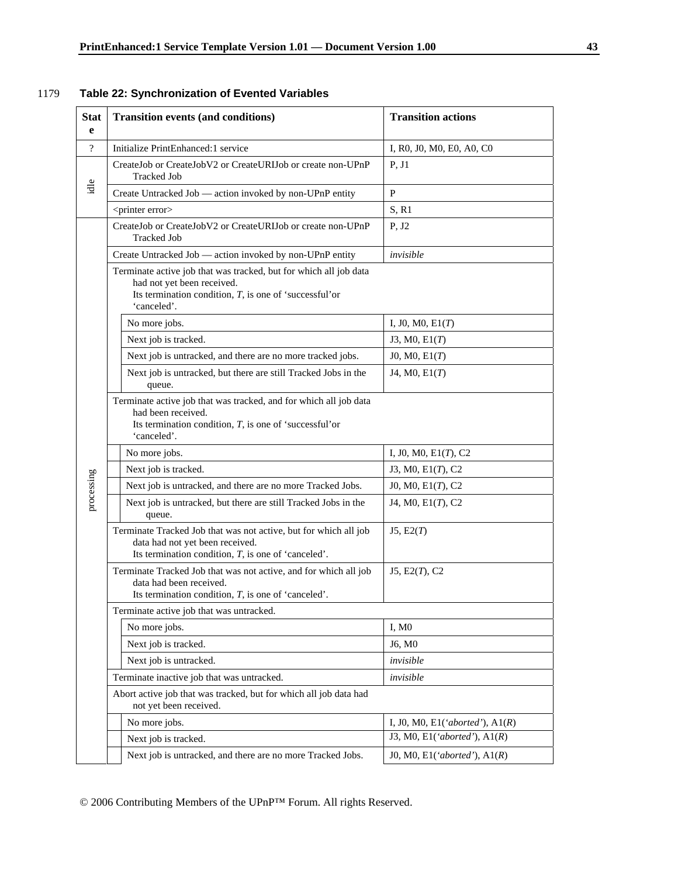## 1179 **Table 22: Synchronization of Evented Variables**

| <b>Stat</b><br>e         | <b>Transition events (and conditions)</b>                                                                                                                                   | <b>Transition actions</b>         |  |  |
|--------------------------|-----------------------------------------------------------------------------------------------------------------------------------------------------------------------------|-----------------------------------|--|--|
| $\overline{\mathcal{L}}$ | Initialize PrintEnhanced:1 service                                                                                                                                          | I, R0, J0, M0, E0, A0, C0         |  |  |
|                          | CreateJob or CreateJobV2 or CreateURIJob or create non-UPnP<br><b>Tracked Job</b>                                                                                           | P, J1                             |  |  |
| idle                     | Create Untracked Job — action invoked by non-UPnP entity                                                                                                                    | $\mathbf{P}$                      |  |  |
|                          | <printer error=""></printer>                                                                                                                                                | S, R1                             |  |  |
|                          | CreateJob or CreateJobV2 or CreateURIJob or create non-UPnP<br><b>Tracked Job</b>                                                                                           | P, J2                             |  |  |
|                          | Create Untracked Job — action invoked by non-UPnP entity                                                                                                                    | invisible                         |  |  |
|                          | Terminate active job that was tracked, but for which all job data<br>had not yet been received.<br>Its termination condition, $T$ , is one of 'successful'or<br>'canceled'. |                                   |  |  |
|                          | No more jobs.                                                                                                                                                               | I, J0, M0, $E1(T)$                |  |  |
|                          | Next job is tracked.                                                                                                                                                        | J3, M0, E1(T)                     |  |  |
|                          | Next job is untracked, and there are no more tracked jobs.                                                                                                                  | J0, M0, E1(T)                     |  |  |
|                          | Next job is untracked, but there are still Tracked Jobs in the<br>queue.                                                                                                    | J4, M0, E1(T)                     |  |  |
|                          | Terminate active job that was tracked, and for which all job data<br>had been received.<br>Its termination condition, $T$ , is one of 'successful'or<br>'canceled'.         |                                   |  |  |
|                          | No more jobs.                                                                                                                                                               | I, J0, M0, $E1(T)$ , C2           |  |  |
|                          | Next job is tracked.                                                                                                                                                        | J3, M0, E1(T), C2                 |  |  |
| processing               | Next job is untracked, and there are no more Tracked Jobs.                                                                                                                  | J0, M0, E1(T), C2                 |  |  |
|                          | Next job is untracked, but there are still Tracked Jobs in the<br>queue.                                                                                                    | J4, M0, E1(T), C2                 |  |  |
|                          | Terminate Tracked Job that was not active, but for which all job<br>data had not yet been received.<br>Its termination condition, $T$ , is one of 'canceled'.               | J5, E2(T)                         |  |  |
|                          | Terminate Tracked Job that was not active, and for which all job<br>data had been received.<br>Its termination condition, $T$ , is one of 'canceled'.                       | J5, E2(T), C2                     |  |  |
|                          | Terminate active job that was untracked.                                                                                                                                    |                                   |  |  |
|                          | No more jobs.                                                                                                                                                               | I, M0                             |  |  |
|                          | Next job is tracked.                                                                                                                                                        | J6, M0                            |  |  |
|                          | Next job is untracked.                                                                                                                                                      | invisible                         |  |  |
|                          | Terminate inactive job that was untracked.                                                                                                                                  | invisible                         |  |  |
|                          | Abort active job that was tracked, but for which all job data had<br>not yet been received.                                                                                 |                                   |  |  |
|                          | No more jobs.                                                                                                                                                               | I, J0, M0, E1('aborted'), $A1(R)$ |  |  |
|                          | Next job is tracked.                                                                                                                                                        | J3, M0, E1('aborted'), $A1(R)$    |  |  |
|                          | Next job is untracked, and there are no more Tracked Jobs.                                                                                                                  | J0, M0, E1('aborted'), $A1(R)$    |  |  |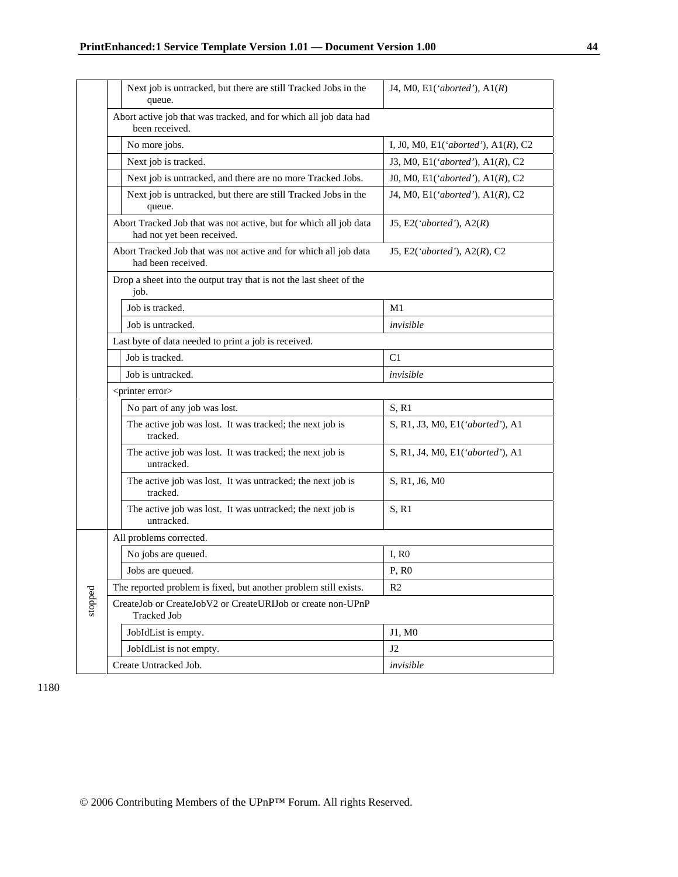|         |                         | Next job is untracked, but there are still Tracked Jobs in the<br>queue.                        | J4, M0, E1('aborted'), $A1(R)$         |  |  |
|---------|-------------------------|-------------------------------------------------------------------------------------------------|----------------------------------------|--|--|
|         |                         | Abort active job that was tracked, and for which all job data had<br>been received.             |                                        |  |  |
|         |                         | No more jobs.                                                                                   | I, J0, M0, E1('aborted'), $A1(R)$ , C2 |  |  |
|         |                         | Next job is tracked.                                                                            | J3, M0, E1('aborted'), $A1(R)$ , C2    |  |  |
|         |                         | Next job is untracked, and there are no more Tracked Jobs.                                      | J0, M0, E1('aborted'), $A1(R)$ , C2    |  |  |
|         |                         | Next job is untracked, but there are still Tracked Jobs in the<br>queue.                        | J4, M0, E1('aborted'), A1(R), C2       |  |  |
|         |                         | Abort Tracked Job that was not active, but for which all job data<br>had not yet been received. | J5, E2('aborted'), $A2(R)$             |  |  |
|         |                         | Abort Tracked Job that was not active and for which all job data<br>had been received.          | J5, E2('aborted'), A2(R), C2           |  |  |
|         |                         | Drop a sheet into the output tray that is not the last sheet of the<br>job.                     |                                        |  |  |
|         | Job is tracked.         |                                                                                                 | M1                                     |  |  |
|         |                         | Job is untracked.                                                                               | invisible                              |  |  |
|         |                         | Last byte of data needed to print a job is received.                                            |                                        |  |  |
|         |                         | Job is tracked.                                                                                 | C1                                     |  |  |
|         |                         | Job is untracked.                                                                               | invisible                              |  |  |
|         |                         | <printer error=""></printer>                                                                    |                                        |  |  |
|         |                         | No part of any job was lost.                                                                    | S, R1                                  |  |  |
|         |                         | The active job was lost. It was tracked; the next job is<br>tracked.                            | S, R1, J3, M0, E1('aborted'), A1       |  |  |
|         |                         | The active job was lost. It was tracked; the next job is<br>untracked.                          | S, R1, J4, M0, E1('aborted'), A1       |  |  |
|         |                         | The active job was lost. It was untracked; the next job is<br>tracked.                          | S, R1, J6, M0                          |  |  |
|         |                         | The active job was lost. It was untracked; the next job is<br>untracked.                        | S, R1                                  |  |  |
|         | All problems corrected. |                                                                                                 |                                        |  |  |
|         |                         | No jobs are queued.                                                                             | I, R0                                  |  |  |
|         |                         | Jobs are queued.                                                                                | P. R <sub>0</sub>                      |  |  |
|         |                         | The reported problem is fixed, but another problem still exists.                                | R <sub>2</sub>                         |  |  |
| stopped |                         | CreateJob or CreateJobV2 or CreateURIJob or create non-UPnP<br><b>Tracked Job</b>               |                                        |  |  |
|         |                         | JobIdList is empty.                                                                             | J1, M0                                 |  |  |
|         |                         | JobIdList is not empty.                                                                         | J <sub>2</sub>                         |  |  |
|         |                         | Create Untracked Job.                                                                           | invisible                              |  |  |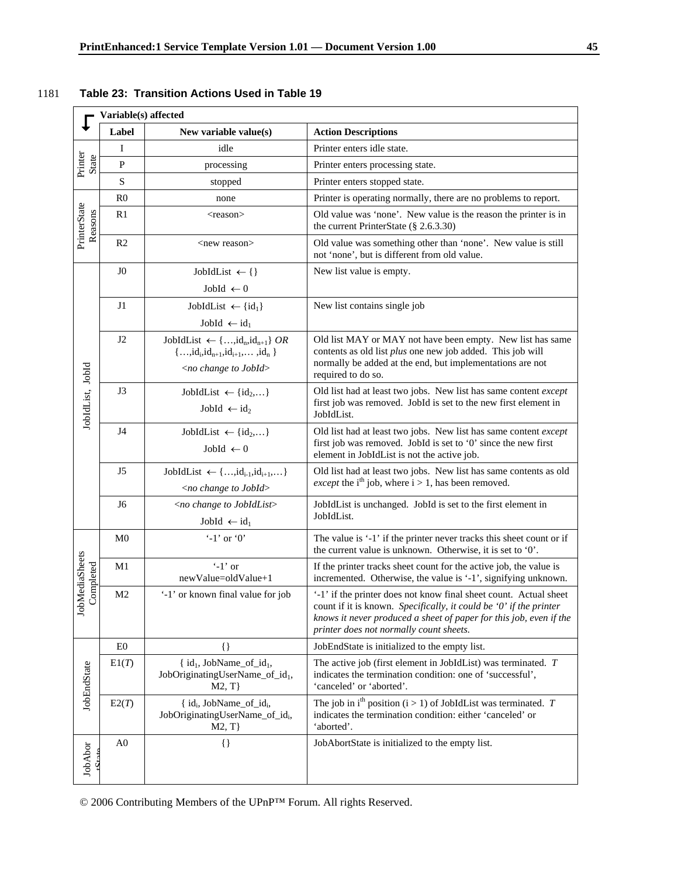|                                |                      | Variable(s) affected                                                                                                              |                                                                                                                                                                                                                                                          |  |  |
|--------------------------------|----------------------|-----------------------------------------------------------------------------------------------------------------------------------|----------------------------------------------------------------------------------------------------------------------------------------------------------------------------------------------------------------------------------------------------------|--|--|
|                                | Label                | New variable value(s)                                                                                                             | <b>Action Descriptions</b>                                                                                                                                                                                                                               |  |  |
| Printer<br>State               | I                    | idle                                                                                                                              | Printer enters idle state.                                                                                                                                                                                                                               |  |  |
|                                | $\mathbf{P}$         | processing                                                                                                                        | Printer enters processing state.                                                                                                                                                                                                                         |  |  |
|                                | S                    | stopped                                                                                                                           | Printer enters stopped state.                                                                                                                                                                                                                            |  |  |
|                                | R <sub>0</sub>       | none                                                                                                                              | Printer is operating normally, there are no problems to report.                                                                                                                                                                                          |  |  |
| PrinterState<br>Reasons        | R1<br>$<$ reason $>$ |                                                                                                                                   | Old value was 'none'. New value is the reason the printer is in<br>the current PrinterState (§ 2.6.3.30)                                                                                                                                                 |  |  |
|                                | R <sub>2</sub>       | <new reason=""></new>                                                                                                             | Old value was something other than 'none'. New value is still<br>not 'none', but is different from old value.                                                                                                                                            |  |  |
|                                | J <sub>0</sub>       | JobIdList $\leftarrow \{\}$                                                                                                       | New list value is empty.                                                                                                                                                                                                                                 |  |  |
|                                |                      | JobId $\leftarrow$ 0                                                                                                              |                                                                                                                                                                                                                                                          |  |  |
|                                | J1                   | JobIdList $\leftarrow \{id_1\}$                                                                                                   | New list contains single job                                                                                                                                                                                                                             |  |  |
|                                |                      | JobId $\leftarrow id_1$                                                                                                           |                                                                                                                                                                                                                                                          |  |  |
|                                | J2                   | JobIdList $\leftarrow \{,id_n,id_{n+1}\}$ OR<br>${, id_i, id_{n+1}, id_{i+1}, \dots, id_n}$<br><no change="" jobid="" to=""></no> | Old list MAY or MAY not have been empty. New list has same<br>contents as old list plus one new job added. This job will<br>normally be added at the end, but implementations are not<br>required to do so.                                              |  |  |
| JobIdList, JobId               | J3                   | JobIdList $\leftarrow \{id_2,\}$<br>JobId $\leftarrow$ id <sub>2</sub>                                                            | Old list had at least two jobs. New list has same content except<br>first job was removed. JobId is set to the new first element in<br>JobIdList.                                                                                                        |  |  |
|                                | J4                   | JobIdList $\leftarrow \{\mathrm{id}_2, \dots\}$<br>JobId $\leftarrow$ 0                                                           | Old list had at least two jobs. New list has same content except<br>first job was removed. JobId is set to '0' since the new first<br>element in JobIdList is not the active job.                                                                        |  |  |
|                                | J5                   | $JobIdList \leftarrow \{,id_{i-1},id_{i+1},\}$<br><no change="" jobid="" to=""></no>                                              | Old list had at least two jobs. New list has same contents as old<br><i>except</i> the i <sup>th</sup> job, where $i > 1$ , has been removed.                                                                                                            |  |  |
|                                | J6                   | <no change="" jobidlist="" to=""><br/>JobId <math>\leftarrow</math> id<sub>1</sub></no>                                           | JobIdList is unchanged. JobId is set to the first element in<br>JobIdList.                                                                                                                                                                               |  |  |
|                                | M <sub>0</sub>       | $-1'$ or $0'$                                                                                                                     | The value is '-1' if the printer never tracks this sheet count or if<br>the current value is unknown. Otherwise, it is set to '0'.                                                                                                                       |  |  |
| MediaSheets<br>Completed       | M1                   | $\cdot$ -1' or<br>newValue=oldValue+1                                                                                             | If the printer tracks sheet count for the active job, the value is<br>incremented. Otherwise, the value is '-1', signifying unknown.                                                                                                                     |  |  |
| dol                            | M <sub>2</sub>       | '-1' or known final value for job                                                                                                 | '-1' if the printer does not know final sheet count. Actual sheet<br>count if it is known. Specifically, it could be '0' if the printer<br>knows it never produced a sheet of paper for this job, even if the<br>printer does not normally count sheets. |  |  |
|                                | E0                   | $\{\}$                                                                                                                            | JobEndState is initialized to the empty list.                                                                                                                                                                                                            |  |  |
| <b>JobEndState</b>             | E1(T)                | $\{ id_1, JobName_of_id_1,$<br>JobOriginatingUserName_of_id1,<br>M2, T                                                            | The active job (first element in JobIdList) was terminated. $T$<br>indicates the termination condition: one of 'successful',<br>'canceled' or 'aborted'.                                                                                                 |  |  |
|                                | E2(T)                | { id <sub>i</sub> , JobName_of_id <sub>i</sub> ,<br>JobOriginatingUserName_of_id <sub>i</sub> ,<br>M2, T                          | The job in i <sup>th</sup> position (i > 1) of JobIdList was terminated. T<br>indicates the termination condition: either 'canceled' or<br>'aborted'.                                                                                                    |  |  |
| JobAbor<br>$\ddot{\mathbf{S}}$ | A <sub>0</sub>       | $\{\}$                                                                                                                            | JobAbortState is initialized to the empty list.                                                                                                                                                                                                          |  |  |

## 1181 **Table 23: Transition Actions Used in Table 19**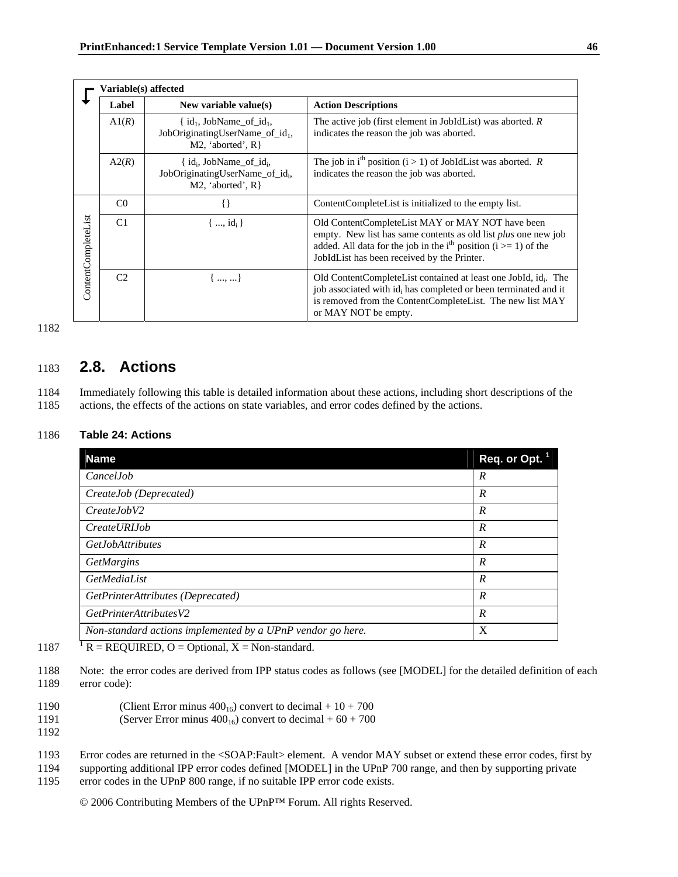|                     | Variable(s) affected              |                                                                                                    |                                                                                                                                                                                                                                                              |  |  |
|---------------------|-----------------------------------|----------------------------------------------------------------------------------------------------|--------------------------------------------------------------------------------------------------------------------------------------------------------------------------------------------------------------------------------------------------------------|--|--|
|                     | Label<br>New variable value $(s)$ |                                                                                                    | <b>Action Descriptions</b>                                                                                                                                                                                                                                   |  |  |
|                     | A1(R)                             | $\{ id_1, JobName_of_id_1,$<br>JobOriginatingUserName_of_id <sub>1</sub> ,<br>M2, 'aborted', $R$ } | The active job (first element in JobIdList) was aborted. $R$<br>indicates the reason the job was aborted.                                                                                                                                                    |  |  |
|                     | A2(R)                             | $\{ id_i, JobName of id_i,$<br>JobOriginatingUserName of id <sub>i</sub> ,<br>M2, 'aborted', $R$ } | The job in i <sup>th</sup> position ( $i > 1$ ) of JobIdList was aborted. R<br>indicates the reason the job was aborted.                                                                                                                                     |  |  |
|                     | C <sub>0</sub>                    |                                                                                                    | Content Complete List is initialized to the empty list.                                                                                                                                                                                                      |  |  |
| ContentCompleteList | C <sub>1</sub>                    | ${, id_i}$                                                                                         | Old ContentCompleteList MAY or MAY NOT have been<br>empty. New list has same contents as old list <i>plus</i> one new job<br>added. All data for the job in the i <sup>th</sup> position ( $i \ge 1$ ) of the<br>JobIdList has been received by the Printer. |  |  |
|                     | C <sub>2</sub>                    | ${, }$                                                                                             | Old ContentCompleteList contained at least one JobId, id. The<br>job associated with id <sub>i</sub> has completed or been terminated and it<br>is removed from the ContentCompleteList. The new list MAY<br>or MAY NOT be empty.                            |  |  |

## 1183 **2.8. Actions**

1184 Immediately following this table is detailed information about these actions, including short descriptions of the 1185 actions, the effects of the actions on state variables, and error codes defined by the actions.

#### 1186 **Table 24: Actions**

| <b>Name</b>                                                | Req. or Opt. 1   |
|------------------------------------------------------------|------------------|
| CancelJob                                                  | R                |
| CreateJob (Deprecated)                                     | $\boldsymbol{R}$ |
| CreateJobV2                                                | $\boldsymbol{R}$ |
| <i>CreateURIJob</i>                                        | $\boldsymbol{R}$ |
| <b>GetJobAttributes</b>                                    | $\boldsymbol{R}$ |
| GetMargins                                                 | $\boldsymbol{R}$ |
| GetMediaList                                               | $\boldsymbol{R}$ |
| GetPrinterAttributes (Deprecated)                          | $\overline{R}$   |
| GetPrinterAttributesV2                                     | R                |
| Non-standard actions implemented by a UPnP vendor go here. | X                |
|                                                            |                  |

- 1187  $\overline{R} = \text{REQUIRED}$ , O = Optional, X = Non-standard.
- 1188 Note: the error codes are derived from IPP status codes as follows (see [MODEL] for the detailed definition of each 1189 error code):
- 1190 (Client Error minus  $400_{16}$ ) convert to decimal +  $10 + 700$
- 1191 (Server Error minus  $400_{16}$ ) convert to decimal +  $60 + 700$
- 1192

1193 Error codes are returned in the <SOAP:Fault> element. A vendor MAY subset or extend these error codes, first by

1194 supporting additional IPP error codes defined [MODEL] in the UPnP 700 range, and then by supporting private

1195 error codes in the UPnP 800 range, if no suitable IPP error code exists.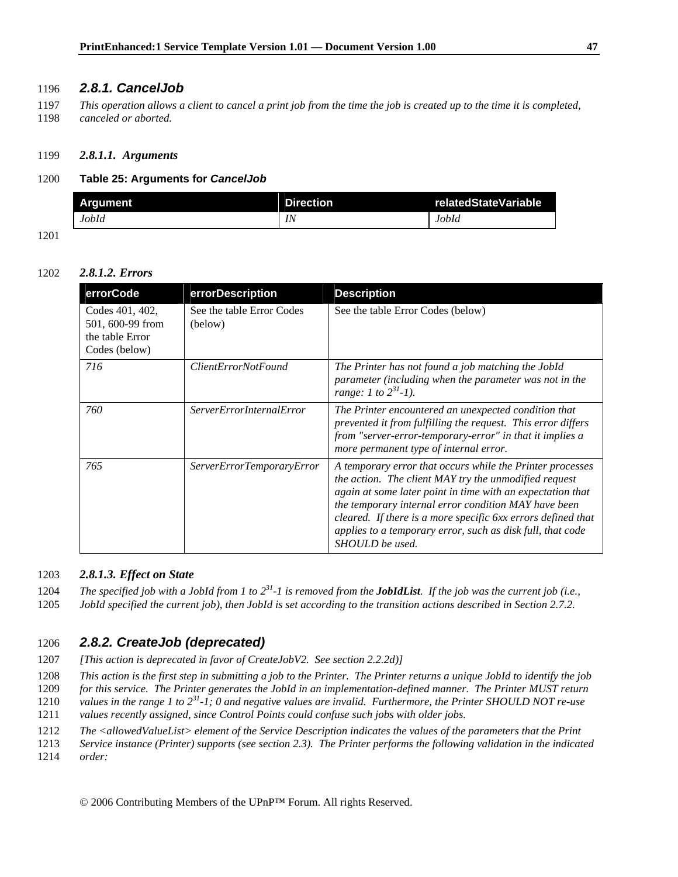## 1196 *2.8.1. CancelJob*

1197 *This operation allows a client to cancel a print job from the time the job is created up to the time it is completed,*  1198 *canceled or aborted.*

### 1199 *2.8.1.1. Arguments*

### 1200 **Table 25: Arguments for** *CancelJob*

| Araument | <b>Direction</b> | relatedStateVariable |
|----------|------------------|----------------------|
| JobId    | IN               | JobId                |

1201

### 1202 *2.8.1.2. Errors*

| errorCode                                                               | errorDescription                     | <b>Description</b>                                                                                                                                                                                                                                                                                                                                                                        |
|-------------------------------------------------------------------------|--------------------------------------|-------------------------------------------------------------------------------------------------------------------------------------------------------------------------------------------------------------------------------------------------------------------------------------------------------------------------------------------------------------------------------------------|
| Codes 401, 402,<br>501, 600-99 from<br>the table Error<br>Codes (below) | See the table Error Codes<br>(below) | See the table Error Codes (below)                                                                                                                                                                                                                                                                                                                                                         |
| 716                                                                     | <i>ClientErrorNotFound</i>           | The Printer has not found a job matching the JobId<br>parameter (including when the parameter was not in the<br>range: 1 to $2^{31}$ -1).                                                                                                                                                                                                                                                 |
| 760                                                                     | <i>ServerErrorInternalError</i>      | The Printer encountered an unexpected condition that<br>prevented it from fulfilling the request. This error differs<br>from "server-error-temporary-error" in that it implies a<br>more permanent type of internal error.                                                                                                                                                                |
| 765                                                                     | ServerErrorTemporaryError            | A temporary error that occurs while the Printer processes<br>the action. The client MAY try the unmodified request<br>again at some later point in time with an expectation that<br>the temporary internal error condition MAY have been<br>cleared. If there is a more specific 6xx errors defined that<br>applies to a temporary error, such as disk full, that code<br>SHOULD be used. |

### 1203 *2.8.1.3. Effect on State*

1204 *The specified job with a JobId from 1 to*  $2^{31}$ -1 is removed from the *JobIdList*. If the job was the current job (i.e.,

1205 *JobId specified the current job), then JobId is set according to the transition actions described in Section 2.7.2.* 

## 1206 *2.8.2. CreateJob (deprecated)*

1207 *[This action is deprecated in favor of CreateJobV2. See section 2.2.2d)]* 

1208 *This action is the first step in submitting a job to the Printer. The Printer returns a unique JobId to identify the job* 

1209 *for this service. The Printer generates the JobId in an implementation-defined manner. The Printer MUST return* 

1210 values in the range 1 to  $2^{31}$ -1; 0 and negative values are invalid. Furthermore, the Printer SHOULD NOT re-use

1211 *values recently assigned, since Control Points could confuse such jobs with older jobs.* 

1212 *The <allowedValueList> element of the Service Description indicates the values of the parameters that the Print* 

1213 *Service instance (Printer) supports (see section 2.3). The Printer performs the following validation in the indicated*  1214 *order:*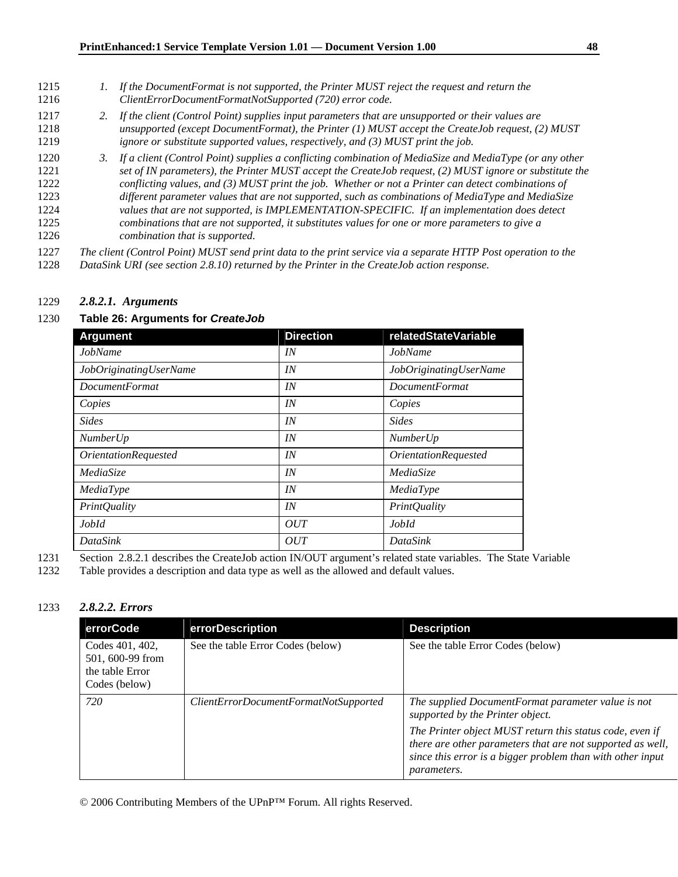- 1215 *1. If the DocumentFormat is not supported, the Printer MUST reject the request and return the*  1216 *ClientErrorDocumentFormatNotSupported (720) error code.*
- 1217 *2. If the client (Control Point) supplies input parameters that are unsupported or their values are*  1218 *unsupported (except DocumentFormat), the Printer (1) MUST accept the CreateJob request, (2) MUST*  1219 *ignore or substitute supported values, respectively, and (3) MUST print the job.*
- 1220 *3. If a client (Control Point) supplies a conflicting combination of MediaSize and MediaType (or any other*  1221 *set of IN parameters), the Printer MUST accept the CreateJob request, (2) MUST ignore or substitute the* 1222 *conflicting values, and (3) MUST print the job. Whether or not a Printer can detect combinations of*  1223 *different parameter values that are not supported, such as combinations of MediaType and MediaSize*  1224 *values that are not supported, is IMPLEMENTATION-SPECIFIC. If an implementation does detect*  1225 *combinations that are not supported, it substitutes values for one or more parameters to give a*  1226 *combination that is supported.*

1227 *The client (Control Point) MUST send print data to the print service via a separate HTTP Post operation to the* 

1228 *DataSink URI (see section 2.8.10) returned by the Printer in the CreateJob action response.*

#### 1229 *2.8.2.1. Arguments*

#### 1230 **Table 26: Arguments for** *CreateJob*

| <b>Argument</b>                    | <b>Direction</b> | <b>relatedStateVariable</b> |
|------------------------------------|------------------|-----------------------------|
| JobName                            | IN               | JobName                     |
| JobOriginatingUserName             | IN               | JobOriginatingUserName      |
| <b>DocumentFormat</b>              | IN               | <b>DocumentFormat</b>       |
| Copies                             | IN               | Copies                      |
| <b>Sides</b>                       | IN               | <b>Sides</b>                |
| <b>NumberUp</b>                    | IN               | <i>NumberUp</i>             |
| <i><b>OrientationRequested</b></i> | IN               | <b>OrientationRequested</b> |
| MediaSize                          | IN               | MediaSize                   |
| MediaType                          | IN               | MediaType                   |
| <b>PrintQuality</b>                | IN               | <i>PrintQuality</i>         |
| JobId                              | OUT              | JobId                       |
| DataSink                           | OUT              | <b>DataSink</b>             |

1231 Section 2.8.2.1 describes the CreateJob action IN/OUT argument's related state variables. The State Variable

1232 Table provides a description and data type as well as the allowed and default values.

### 1233 *2.8.2.2. Errors*

| errorCode                                                               | errorDescription                      | <b>Description</b>                                                                                                                                                                                         |
|-------------------------------------------------------------------------|---------------------------------------|------------------------------------------------------------------------------------------------------------------------------------------------------------------------------------------------------------|
| Codes 401, 402,<br>501, 600-99 from<br>the table Error<br>Codes (below) | See the table Error Codes (below)     | See the table Error Codes (below)                                                                                                                                                                          |
| 720                                                                     | ClientErrorDocumentFormatNotSupported | The supplied DocumentFormat parameter value is not<br>supported by the Printer object.                                                                                                                     |
|                                                                         |                                       | The Printer object MUST return this status code, even if<br>there are other parameters that are not supported as well,<br>since this error is a bigger problem than with other input<br><i>parameters.</i> |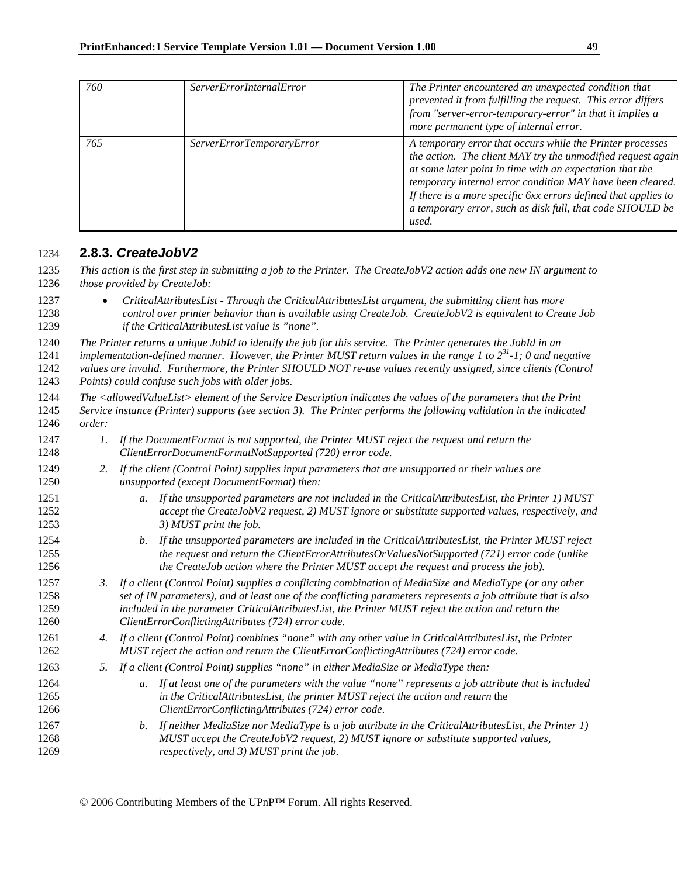| 760 | <i>ServerErrorInternalError</i>  | The Printer encountered an unexpected condition that<br>prevented it from fulfilling the request. This error differs<br>from "server-error-temporary-error" in that it implies a<br>more permanent type of internal error.                                                                                                                                                                |
|-----|----------------------------------|-------------------------------------------------------------------------------------------------------------------------------------------------------------------------------------------------------------------------------------------------------------------------------------------------------------------------------------------------------------------------------------------|
| 765 | <i>ServerErrorTemporaryError</i> | A temporary error that occurs while the Printer processes<br>the action. The client MAY try the unmodified request again<br>at some later point in time with an expectation that the<br>temporary internal error condition MAY have been cleared.<br>If there is a more specific 6xx errors defined that applies to<br>a temporary error, such as disk full, that code SHOULD be<br>used. |

## **2.8.3.** *CreateJobV2*

*This action is the first step in submitting a job to the Printer. The CreateJobV2 action adds one new IN argument to those provided by CreateJob:* 

- *CriticalAttributesList Through the CriticalAttributesList argument, the submitting client has more control over printer behavior than is available using CreateJob. CreateJobV2 is equivalent to Create Job if the CriticalAttributesList value is "none".*
- *The Printer returns a unique JobId to identify the job for this service. The Printer generates the JobId in an*

*implementation-defined manner. However, the Printer MUST return values in the range 1 to 2<sup>31</sup>-1; 0 and negative values are invalid. Furthermore, the Printer SHOULD NOT re-use values recently assigned, since clients (Control Points) could confuse such jobs with older jobs.* 

- *The <allowedValueList> element of the Service Description indicates the values of the parameters that the Print Service instance (Printer) supports (see section 3). The Printer performs the following validation in the indicated order:*
- *1. If the DocumentFormat is not supported, the Printer MUST reject the request and return the ClientErrorDocumentFormatNotSupported (720) error code.*
- *2. If the client (Control Point) supplies input parameters that are unsupported or their values are unsupported (except DocumentFormat) then:*
- *a. If the unsupported parameters are not included in the CriticalAttributesList, the Printer 1) MUST accept the CreateJobV2 request, 2) MUST ignore or substitute supported values, respectively, and 3) MUST print the job.*
- *b. If the unsupported parameters are included in the CriticalAttributesList, the Printer MUST reject the request and return the ClientErrorAttributesOrValuesNotSupported (721) error code (unlike the CreateJob action where the Printer MUST accept the request and process the job).*
- *3. If a client (Control Point) supplies a conflicting combination of MediaSize and MediaType (or any other set of IN parameters), and at least one of the conflicting parameters represents a job attribute that is also included in the parameter CriticalAttributesList, the Printer MUST reject the action and return the ClientErrorConflictingAttributes (724) error code.*
- *4. If a client (Control Point) combines "none" with any other value in CriticalAttributesList, the Printer MUST reject the action and return the ClientErrorConflictingAttributes (724) error code.*
- *5. If a client (Control Point) supplies "none" in either MediaSize or MediaType then:*
- *a. If at least one of the parameters with the value "none" represents a job attribute that is included in the CriticalAttributesList, the printer MUST reject the action and return* the *ClientErrorConflictingAttributes (724) error code*.
- *b. If neither MediaSize nor MediaType is a job attribute in the CriticalAttributesList, the Printer 1) MUST accept the CreateJobV2 request, 2) MUST ignore or substitute supported values, respectively, and 3) MUST print the job.*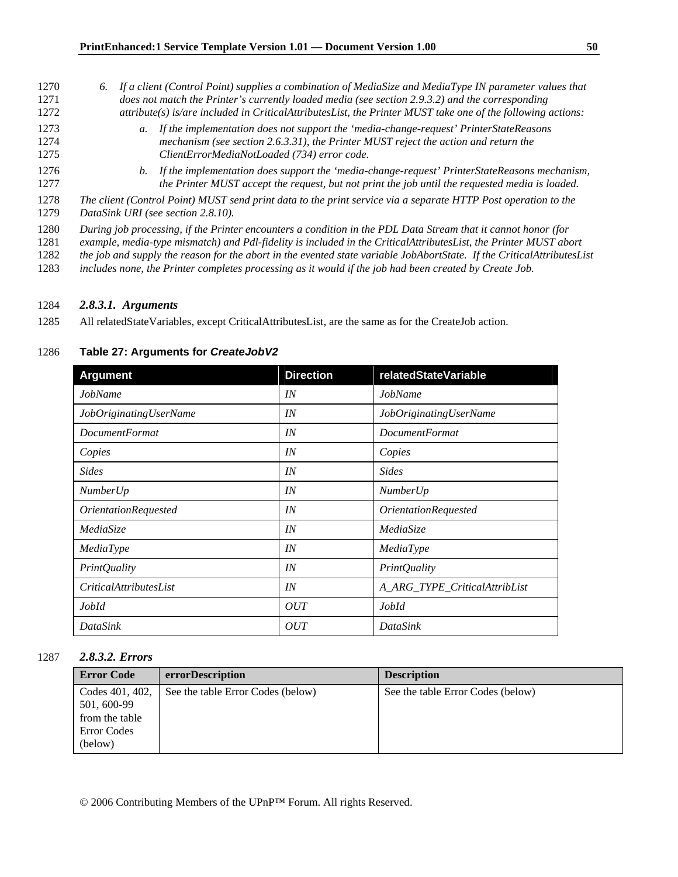- 1270 *6. If a client (Control Point) supplies a combination of MediaSize and MediaType IN parameter values that*  1271 *does not match the Printer's currently loaded media (see section 2.9.3.2) and the corresponding*  1272 *attribute(s) is/are included in CriticalAttributesList, the Printer MUST take one of the following actions:*  1273 *a. If the implementation does not support the 'media-change-request' PrinterStateReasons*  1274 *mechanism (see section 2.6.3.31), the Printer MUST reject the action and return the*  1275 *ClientErrorMediaNotLoaded (734) error code.*  1276 *b. If the implementation does support the 'media-change-request' PrinterStateReasons mechanism,*
- 1277 *the Printer MUST accept the request, but not print the job until the requested media is loaded.*
- 1278 *The client (Control Point) MUST send print data to the print service via a separate HTTP Post operation to the*  1279 *DataSink URI (see section 2.8.10).*
- 
- 1280 *During job processing, if the Printer encounters a condition in the PDL Data Stream that it cannot honor (for*
- 1281 *example, media-type mismatch) and Pdl-fidelity is included in the CriticalAttributesList, the Printer MUST abort*
- 1282 *the job and supply the reason for the abort in the evented state variable JobAbortState. If the CriticalAttributesList*
- 1283 *includes none, the Printer completes processing as it would if the job had been created by Create Job.*

### 1284 *2.8.3.1. Arguments*

1285 All relatedStateVariables, except CriticalAttributesList, are the same as for the CreateJob action.

### 1286 **Table 27: Arguments for** *CreateJobV2*

| <b>Argument</b>                    | <b>Direction</b> | relatedStateVariable               |
|------------------------------------|------------------|------------------------------------|
| JobName                            | IN               | <b>JobName</b>                     |
| JobOriginatingUserName             | IN               | JobOriginatingUserName             |
| <b>DocumentFormat</b>              | IN               | <i>DocumentFormat</i>              |
| Copies                             | IN               | Copies                             |
| <b>Sides</b>                       | IN               | <b>Sides</b>                       |
| <i>NumberUp</i>                    | IN               | <b>NumberUp</b>                    |
| <i><b>OrientationRequested</b></i> | IN               | <i><b>OrientationRequested</b></i> |
| MediaSize                          | IN               | MediaSize                          |
| MediaType                          | IN               | MediaType                          |
| <b>PrintQuality</b>                | IN               | <b>PrintQuality</b>                |
| <i>CriticalAttributesList</i>      | IN               | A_ARG_TYPE_CriticalAttribList      |
| JobId                              | OUT              | JobId                              |
| DataSink                           | OUT              | DataSink                           |

#### 1287 *2.8.3.2. Errors*

| <b>Error Code</b>                                                          | errorDescription                  | <b>Description</b>                |
|----------------------------------------------------------------------------|-----------------------------------|-----------------------------------|
| Codes 401, 402,<br>501, 600-99<br>from the table<br>Error Codes<br>(below) | See the table Error Codes (below) | See the table Error Codes (below) |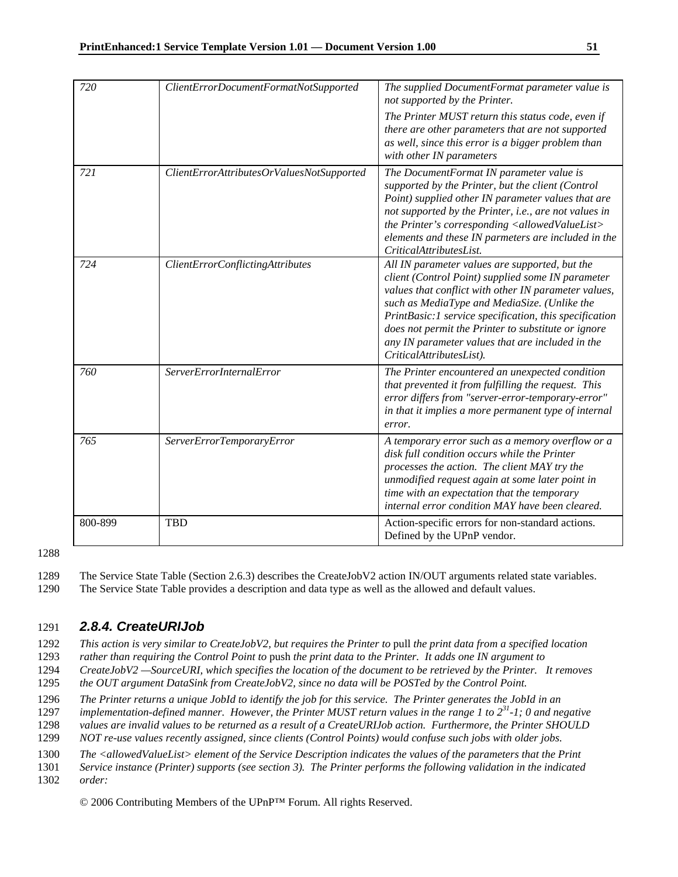| 720     | ClientErrorDocumentFormatNotSupported     | The supplied DocumentFormat parameter value is<br>not supported by the Printer.                                                                                                                                                                                                                                                                                                                              |
|---------|-------------------------------------------|--------------------------------------------------------------------------------------------------------------------------------------------------------------------------------------------------------------------------------------------------------------------------------------------------------------------------------------------------------------------------------------------------------------|
|         |                                           | The Printer MUST return this status code, even if<br>there are other parameters that are not supported<br>as well, since this error is a bigger problem than<br>with other IN parameters                                                                                                                                                                                                                     |
| 721     | ClientErrorAttributesOrValuesNotSupported | The DocumentFormat IN parameter value is<br>supported by the Printer, but the client (Control<br>Point) supplied other IN parameter values that are<br>not supported by the Printer, i.e., are not values in<br>the Printer's corresponding <allowedvaluelist><br/>elements and these IN parmeters are included in the<br/>CriticalAttributesList.</allowedvaluelist>                                        |
| 724     | ClientErrorConflictingAttributes          | All IN parameter values are supported, but the<br>client (Control Point) supplied some IN parameter<br>values that conflict with other IN parameter values,<br>such as MediaType and MediaSize. (Unlike the<br>PrintBasic:1 service specification, this specification<br>does not permit the Printer to substitute or ignore<br>any IN parameter values that are included in the<br>CriticalAttributesList). |
| 760     | <b>ServerErrorInternalError</b>           | The Printer encountered an unexpected condition<br>that prevented it from fulfilling the request. This<br>error differs from "server-error-temporary-error"<br>in that it implies a more permanent type of internal<br>error.                                                                                                                                                                                |
| 765     | ServerErrorTemporaryError                 | A temporary error such as a memory overflow or a<br>disk full condition occurs while the Printer<br>processes the action. The client MAY try the<br>unmodified request again at some later point in<br>time with an expectation that the temporary<br>internal error condition MAY have been cleared.                                                                                                        |
| 800-899 | <b>TBD</b>                                | Action-specific errors for non-standard actions.<br>Defined by the UPnP vendor.                                                                                                                                                                                                                                                                                                                              |

1289 The Service State Table (Section 2.6.3) describes the CreateJobV2 action IN/OUT arguments related state variables.

1290 The Service State Table provides a description and data type as well as the allowed and default values.

## 1291 *2.8.4. CreateURIJob*

1292 *This action is very similar to CreateJobV2, but requires the Printer to* pull *the print data from a specified location* 

1293 *rather than requiring the Control Point to* push *the print data to the Printer. It adds one IN argument to* 

1294 *CreateJobV2 —SourceURI, which specifies the location of the document to be retrieved by the Printer. It removes* 

1295 *the OUT argument DataSink from CreateJobV2, since no data will be POSTed by the Control Point.* 

1296 *The Printer returns a unique JobId to identify the job for this service. The Printer generates the JobId in an* 

1297 *implementation-defined manner. However, the Printer MUST return values in the range 1 to 2<sup>31</sup>-1; 0 and negative* 

1298 *values are invalid values to be returned as a result of a CreateURIJob action. Furthermore, the Printer SHOULD* 

1299 *NOT re-use values recently assigned, since clients (Control Points) would confuse such jobs with older jobs.* 

1300 *The <allowedValueList> element of the Service Description indicates the values of the parameters that the Print* 

1301 *Service instance (Printer) supports (see section 3). The Printer performs the following validation in the indicated*  1302 *order:*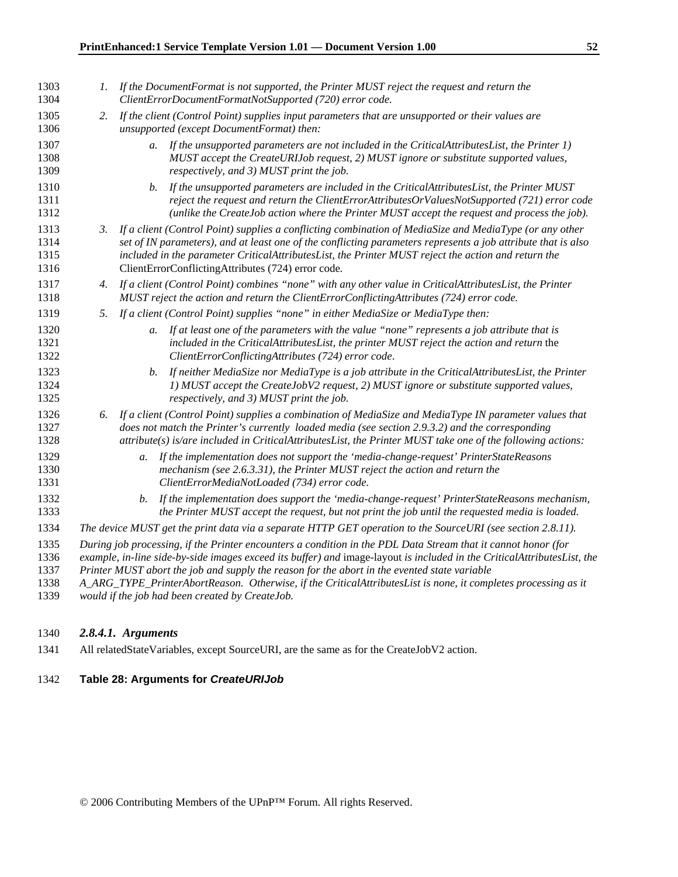| 1303<br>1304                 |    | 1. If the DocumentFormat is not supported, the Printer MUST reject the request and return the<br>ClientErrorDocumentFormatNotSupported (720) error code.                                                                                                                                                                                                                              |
|------------------------------|----|---------------------------------------------------------------------------------------------------------------------------------------------------------------------------------------------------------------------------------------------------------------------------------------------------------------------------------------------------------------------------------------|
| 1305<br>1306                 | 2. | If the client (Control Point) supplies input parameters that are unsupported or their values are<br>unsupported (except DocumentFormat) then:                                                                                                                                                                                                                                         |
| 1307<br>1308<br>1309         |    | If the unsupported parameters are not included in the CriticalAttributesList, the Printer 1)<br>$a_{\cdot}$<br>MUST accept the CreateURIJob request, 2) MUST ignore or substitute supported values,<br>respectively, and 3) MUST print the job.                                                                                                                                       |
| 1310<br>1311<br>1312         |    | If the unsupported parameters are included in the CriticalAttributesList, the Printer MUST<br>b.<br>reject the request and return the ClientErrorAttributesOrValuesNotSupported (721) error code<br>(unlike the CreateJob action where the Printer MUST accept the request and process the job).                                                                                      |
| 1313<br>1314<br>1315<br>1316 | 3. | If a client (Control Point) supplies a conflicting combination of MediaSize and MediaType (or any other<br>set of IN parameters), and at least one of the conflicting parameters represents a job attribute that is also<br>included in the parameter CriticalAttributesList, the Printer MUST reject the action and return the<br>ClientErrorConflictingAttributes (724) error code. |
| 1317<br>1318                 | 4. | If a client (Control Point) combines "none" with any other value in CriticalAttributesList, the Printer<br>MUST reject the action and return the ClientErrorConflictingAttributes (724) error code.                                                                                                                                                                                   |
| 1319                         | 5. | If a client (Control Point) supplies "none" in either MediaSize or MediaType then:                                                                                                                                                                                                                                                                                                    |
| 1320<br>1321<br>1322         |    | a. If at least one of the parameters with the value "none" represents a job attribute that is<br>included in the CriticalAttributesList, the printer MUST reject the action and return the<br>ClientErrorConflictingAttributes (724) error code.                                                                                                                                      |
| 1323<br>1324<br>1325         |    | If neither MediaSize nor MediaType is a job attribute in the CriticalAttributesList, the Printer<br>b.<br>1) MUST accept the CreateJobV2 request, 2) MUST ignore or substitute supported values,<br>respectively, and 3) MUST print the job.                                                                                                                                          |
| 1326<br>1327<br>1328         |    | 6. If a client (Control Point) supplies a combination of MediaSize and MediaType IN parameter values that<br>does not match the Printer's currently loaded media (see section 2.9.3.2) and the corresponding<br>attribute(s) is/are included in CriticalAttributesList, the Printer MUST take one of the following actions:                                                           |
| 1329<br>1330<br>1331         |    | If the implementation does not support the 'media-change-request' PrinterStateReasons<br>a.<br>mechanism (see 2.6.3.31), the Printer MUST reject the action and return the<br>ClientErrorMediaNotLoaded (734) error code.                                                                                                                                                             |
| 1332<br>1333                 |    | If the implementation does support the 'media-change-request' PrinterStateReasons mechanism,<br>b.<br>the Printer MUST accept the request, but not print the job until the requested media is loaded.                                                                                                                                                                                 |
| 1334                         |    | The device MUST get the print data via a separate HTTP GET operation to the SourceURI (see section 2.8.11).                                                                                                                                                                                                                                                                           |
| 1335<br>1336<br>1337         |    | During job processing, if the Printer encounters a condition in the PDL Data Stream that it cannot honor (for<br>example, in-line side-by-side images exceed its buffer) and image-layout is included in the CriticalAttributesList, the<br>Printer MUST abort the job and supply the reason for the abort in the evented state variable                                              |
| 1338<br>1339                 |    | A_ARG_TYPE_PrinterAbortReason. Otherwise, if the CriticalAttributesList is none, it completes processing as it<br>would if the job had been created by CreateJob.                                                                                                                                                                                                                     |

## *2.8.4.1. Arguments*

1341 All relatedStateVariables, except SourceURI, are the same as for the CreateJobV2 action.

### **Table 28: Arguments for** *CreateURIJob*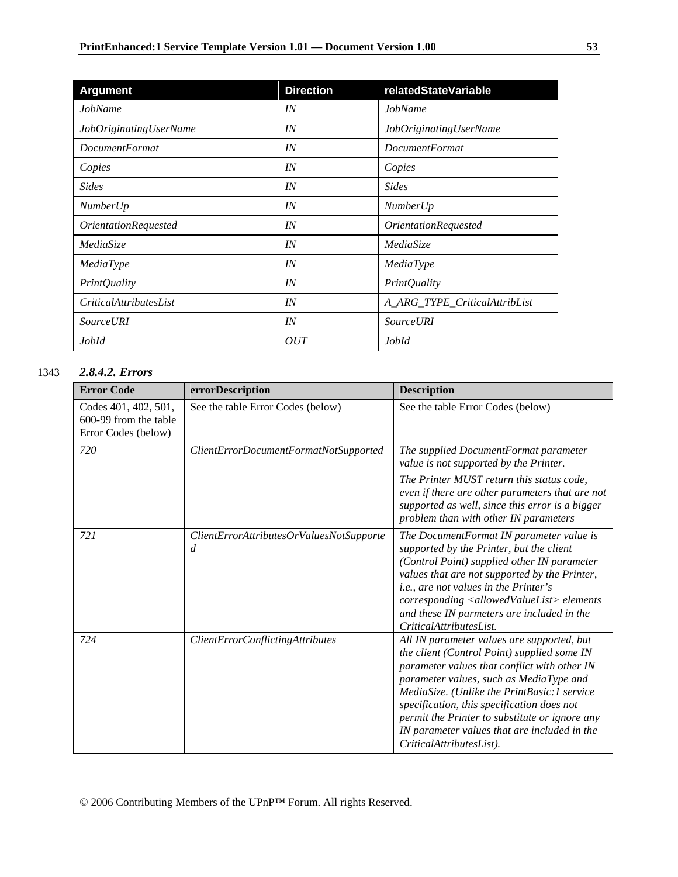| <b>Argument</b>                    | <b>Direction</b> | relatedStateVariable               |
|------------------------------------|------------------|------------------------------------|
| JobName                            | IN               | JobName                            |
| JobOriginatingUserName             | IN               | JobOriginatingUserName             |
| <b>DocumentFormat</b>              | IN               | <i>DocumentFormat</i>              |
| Copies                             | IN               | Copies                             |
| <b>Sides</b>                       | IN               | <b>Sides</b>                       |
| <b>NumberUp</b>                    | IN               | <b>NumberUp</b>                    |
| <i><b>OrientationRequested</b></i> | IN               | <i><b>OrientationRequested</b></i> |
| MediaSize                          | IN               | MediaSize                          |
| MediaType                          | IN               | MediaType                          |
| <b>PrintQuality</b>                | IN               | <b>PrintQuality</b>                |
| <i>CriticalAttributesList</i>      | IN               | A_ARG_TYPE_CriticalAttribList      |
| <b>Source URI</b>                  | IN               | <b>Source URI</b>                  |
| JobId                              | OUT              | JobId                              |

## 1343 *2.8.4.2. Errors*

| <b>Error Code</b>                                                    | errorDescription                                           | <b>Description</b>                                                                                                                                                                                                                                                                                                                                                                                              |
|----------------------------------------------------------------------|------------------------------------------------------------|-----------------------------------------------------------------------------------------------------------------------------------------------------------------------------------------------------------------------------------------------------------------------------------------------------------------------------------------------------------------------------------------------------------------|
| Codes 401, 402, 501,<br>600-99 from the table<br>Error Codes (below) | See the table Error Codes (below)                          | See the table Error Codes (below)                                                                                                                                                                                                                                                                                                                                                                               |
| 720                                                                  | ClientErrorDocumentFormatNotSupported                      | The supplied DocumentFormat parameter<br>value is not supported by the Printer.<br>The Printer MUST return this status code,<br>even if there are other parameters that are not<br>supported as well, since this error is a bigger<br>problem than with other IN parameters                                                                                                                                     |
| 721                                                                  | ClientErrorAttributesOrValuesNotSupporte<br>$\overline{d}$ | The DocumentFormat IN parameter value is<br>supported by the Printer, but the client<br>(Control Point) supplied other IN parameter<br>values that are not supported by the Printer,<br><i>i.e., are not values in the Printer's</i><br>corresponding <allowedvaluelist> elements<br/>and these IN parmeters are included in the<br/>CriticalAttributesList.</allowedvaluelist>                                 |
| 724                                                                  | ClientErrorConflictingAttributes                           | All IN parameter values are supported, but<br>the client (Control Point) supplied some IN<br>parameter values that conflict with other IN<br>parameter values, such as MediaType and<br>MediaSize. (Unlike the PrintBasic:1 service<br>specification, this specification does not<br>permit the Printer to substitute or ignore any<br>IN parameter values that are included in the<br>CriticalAttributesList). |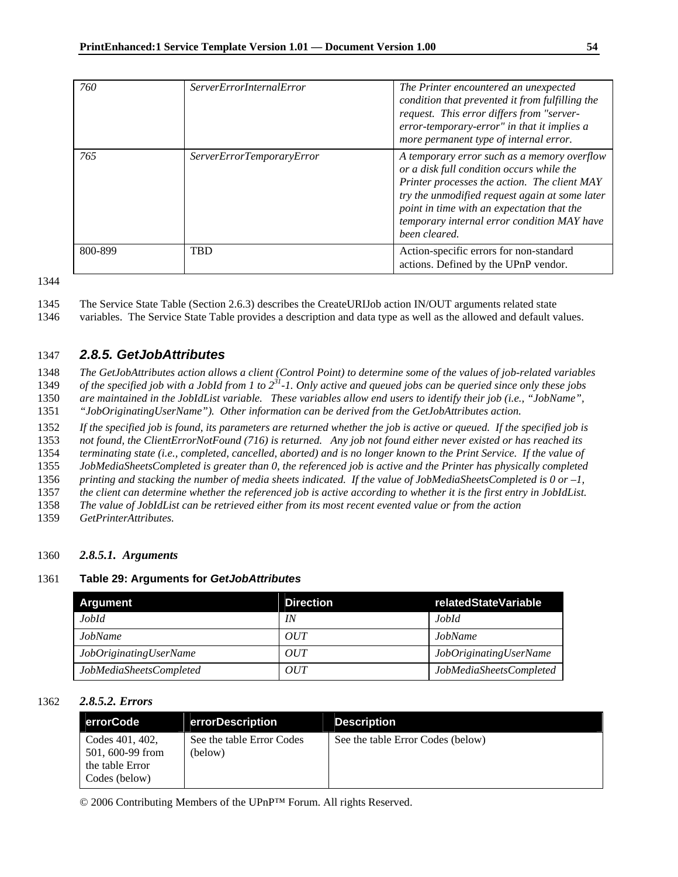| 760     | <i>ServerErrorInternalError</i> | The Printer encountered an unexpected<br>condition that prevented it from fulfilling the<br>request. This error differs from "server-<br>error-temporary-error" in that it implies a<br>more permanent type of internal error.                                                                           |
|---------|---------------------------------|----------------------------------------------------------------------------------------------------------------------------------------------------------------------------------------------------------------------------------------------------------------------------------------------------------|
| 765     | ServerErrorTemporaryError       | A temporary error such as a memory overflow<br>or a disk full condition occurs while the<br>Printer processes the action. The client MAY<br>try the unmodified request again at some later<br>point in time with an expectation that the<br>temporary internal error condition MAY have<br>been cleared. |
| 800-899 | <b>TBD</b>                      | Action-specific errors for non-standard<br>actions. Defined by the UPnP vendor.                                                                                                                                                                                                                          |

1346 variables. The Service State Table provides a description and data type as well as the allowed and default values.

## 1347 *2.8.5. GetJobAttributes*

1348 *The GetJobAttributes action allows a client (Control Point) to determine some of the values of job-related variables*  1349 *of the specified job with a JobId from 1 to*  $2^{31}$ -1. Only active and queued jobs can be queried since only these jobs

1350 *are maintained in the JobIdList variable. These variables allow end users to identify their job (i.e., "JobName",* 

1351 *"JobOriginatingUserName"). Other information can be derived from the GetJobAttributes action.* 

1352 *If the specified job is found, its parameters are returned whether the job is active or queued. If the specified job is* 

1353 *not found, the ClientErrorNotFound (716) is returned. Any job not found either never existed or has reached its* 

1354 *terminating state (i.e., completed, cancelled, aborted) and is no longer known to the Print Service. If the value of* 

1355 *JobMediaSheetsCompleted is greater than 0, the referenced job is active and the Printer has physically completed* 

1356 *printing and stacking the number of media sheets indicated. If the value of JobMediaSheetsCompleted is 0 or –1,*  1357 *the client can determine whether the referenced job is active according to whether it is the first entry in JobIdList.* 

1358 *The value of JobIdList can be retrieved either from its most recent evented value or from the action* 

1359 *GetPrinterAttributes.*

### 1360 *2.8.5.1. Arguments*

### 1361 **Table 29: Arguments for** *GetJobAttributes*

| Argument                | <b>Direction</b> | relatedStateVariable    |
|-------------------------|------------------|-------------------------|
| JobId                   | IN               | JobId                   |
| JobName                 | OUT              | JobName                 |
| JobOriginatingUserName  | OUT              | JobOriginatingUserName  |
| JobMediaSheetsCompleted | OUT              | JobMediaSheetsCompleted |

### 1362 *2.8.5.2. Errors*

| errorCode                                                               | errorDescription                     | <b>Description</b>                |
|-------------------------------------------------------------------------|--------------------------------------|-----------------------------------|
| Codes 401, 402,<br>501, 600-99 from<br>the table Error<br>Codes (below) | See the table Error Codes<br>(below) | See the table Error Codes (below) |

<sup>1345</sup> The Service State Table (Section 2.6.3) describes the CreateURIJob action IN/OUT arguments related state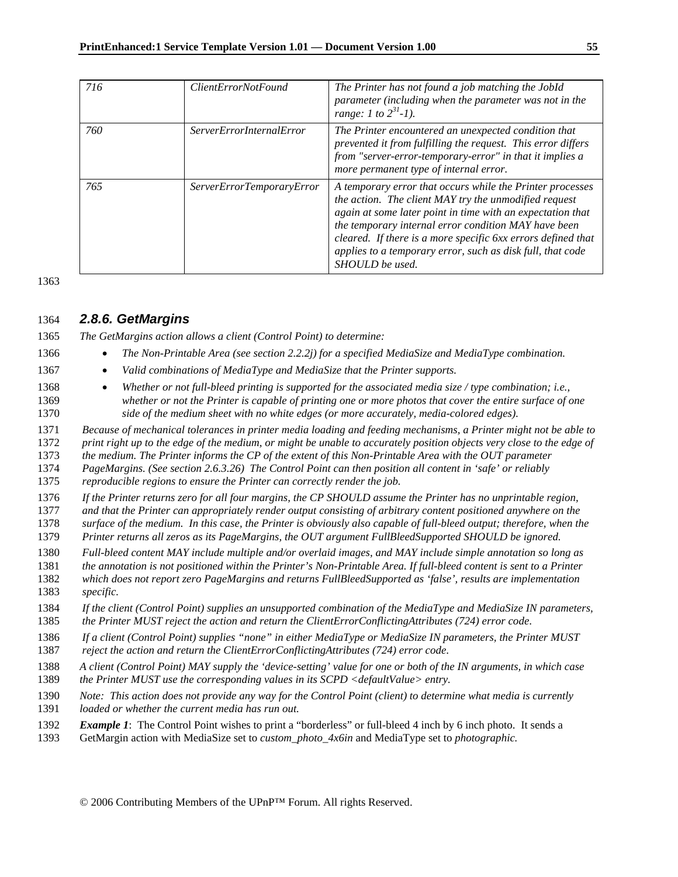| 716 | <i>ClientErrorNotFound</i>      | The Printer has not found a job matching the JobId<br>parameter (including when the parameter was not in the<br>range: 1 to $2^{31}$ -1).                                                                                                                                                                                                                                                 |
|-----|---------------------------------|-------------------------------------------------------------------------------------------------------------------------------------------------------------------------------------------------------------------------------------------------------------------------------------------------------------------------------------------------------------------------------------------|
| 760 | <i>ServerErrorInternalError</i> | The Printer encountered an unexpected condition that<br>prevented it from fulfilling the request. This error differs<br>from "server-error-temporary-error" in that it implies a<br>more permanent type of internal error.                                                                                                                                                                |
| 765 | ServerErrorTemporaryError       | A temporary error that occurs while the Printer processes<br>the action. The client MAY try the unmodified request<br>again at some later point in time with an expectation that<br>the temporary internal error condition MAY have been<br>cleared. If there is a more specific 6xx errors defined that<br>applies to a temporary error, such as disk full, that code<br>SHOULD be used. |

## *2.8.6. GetMargins*

*The GetMargins action allows a client (Control Point) to determine:* 

- *The Non-Printable Area (see section 2.2.2j) for a specified MediaSize and MediaType combination.*
- *Valid combinations of MediaType and MediaSize that the Printer supports.*
- *Whether or not full-bleed printing is supported for the associated media size / type combination; i.e., whether or not the Printer is capable of printing one or more photos that cover the entire surface of one side of the medium sheet with no white edges (or more accurately, media-colored edges)*.

*Because of mechanical tolerances in printer media loading and feeding mechanisms, a Printer might not be able to* 

*print right up to the edge of the medium, or might be unable to accurately position objects very close to the edge of* 

*the medium. The Printer informs the CP of the extent of this Non-Printable Area with the OUT parameter* 

*PageMargins. (See section 2.6.3.26) The Control Point can then position all content in 'safe' or reliably* 

*reproducible regions to ensure the Printer can correctly render the job.* 

*If the Printer returns zero for all four margins, the CP SHOULD assume the Printer has no unprintable region,* 

*and that the Printer can appropriately render output consisting of arbitrary content positioned anywhere on the* 

*surface of the medium. In this case, the Printer is obviously also capable of full-bleed output; therefore, when the* 

*Printer returns all zeros as its PageMargins, the OUT argument FullBleedSupported SHOULD be ignored.* 

*Full-bleed content MAY include multiple and/or overlaid images, and MAY include simple annotation so long as* 

*the annotation is not positioned within the Printer's Non-Printable Area. If full-bleed content is sent to a Printer* 

- *which does not report zero PageMargins and returns FullBleedSupported as 'false', results are implementation specific.*
- *If the client (Control Point) supplies an unsupported combination of the MediaType and MediaSize IN parameters, the Printer MUST reject the action and return the ClientErrorConflictingAttributes (724) error code*.

*If a client (Control Point) supplies "none" in either MediaType or MediaSize IN parameters, the Printer MUST* 

*reject the action and return the ClientErrorConflictingAttributes (724) error code*.

- *A client (Control Point) MAY supply the 'device-setting' value for one or both of the IN arguments, in which case the Printer MUST use the corresponding values in its SCPD <defaultValue> entry.*
- *Note: This action does not provide any way for the Control Point (client) to determine what media is currently*
- *loaded or whether the current media has run out.*
- *Example 1*: The Control Point wishes to print a "borderless" or full-bleed 4 inch by 6 inch photo. It sends a
- 1393 GetMargin action with MediaSize set to *custom\_photo\_4x6in* and MediaType set to *photographic.*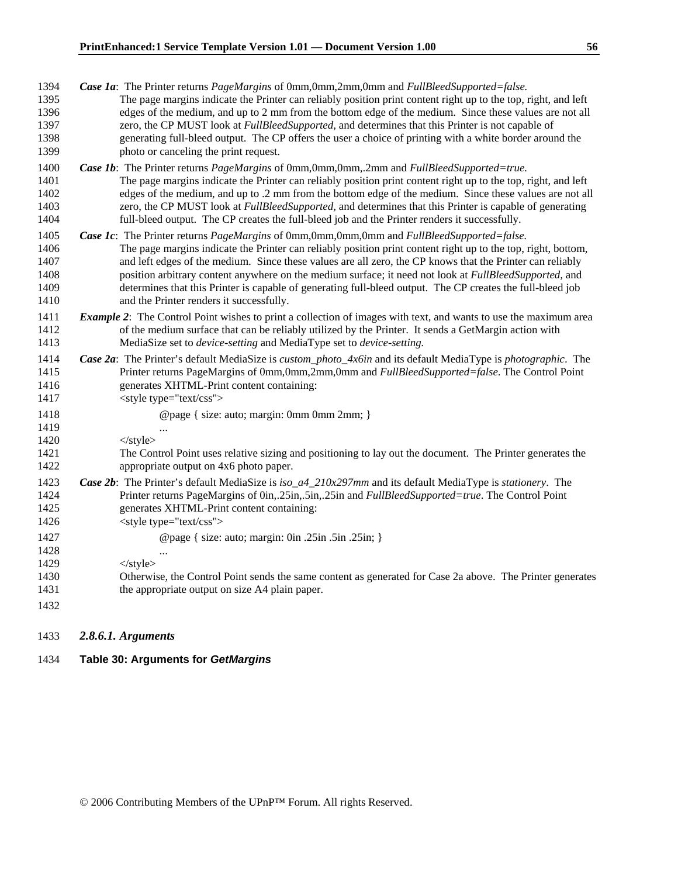| Case 1a: The Printer returns PageMargins of 0mm,0mm,2mm,0mm and FullBleedSupported=false.<br>The page margins indicate the Printer can reliably position print content right up to the top, right, and left<br>edges of the medium, and up to 2 mm from the bottom edge of the medium. Since these values are not all<br>zero, the CP MUST look at <i>FullBleedSupported</i> , and determines that this Printer is not capable of<br>generating full-bleed output. The CP offers the user a choice of printing with a white border around the<br>photo or canceling the print request.              |
|-----------------------------------------------------------------------------------------------------------------------------------------------------------------------------------------------------------------------------------------------------------------------------------------------------------------------------------------------------------------------------------------------------------------------------------------------------------------------------------------------------------------------------------------------------------------------------------------------------|
| Case 1b: The Printer returns PageMargins of 0mm,0mm,0mm,.2mm and FullBleedSupported=true.<br>The page margins indicate the Printer can reliably position print content right up to the top, right, and left<br>edges of the medium, and up to .2 mm from the bottom edge of the medium. Since these values are not all<br>zero, the CP MUST look at <i>FullBleedSupported</i> , and determines that this Printer is capable of generating<br>full-bleed output. The CP creates the full-bleed job and the Printer renders it successfully.                                                          |
| Case 1c: The Printer returns PageMargins of 0mm,0mm,0mm,0mm and FullBleedSupported=false.<br>The page margins indicate the Printer can reliably position print content right up to the top, right, bottom,<br>and left edges of the medium. Since these values are all zero, the CP knows that the Printer can reliably<br>position arbitrary content anywhere on the medium surface; it need not look at <i>FullBleedSupported</i> , and<br>determines that this Printer is capable of generating full-bleed output. The CP creates the full-bleed job<br>and the Printer renders it successfully. |
| <b>Example 2:</b> The Control Point wishes to print a collection of images with text, and wants to use the maximum area<br>of the medium surface that can be reliably utilized by the Printer. It sends a GetMargin action with<br>MediaSize set to <i>device-setting</i> and MediaType set to <i>device-setting</i> .                                                                                                                                                                                                                                                                              |
| Case 2a: The Printer's default MediaSize is custom_photo_4x6in and its default MediaType is photographic. The<br>Printer returns PageMargins of 0mm,0mm,2mm,0mm and FullBleedSupported=false. The Control Point                                                                                                                                                                                                                                                                                                                                                                                     |
| generates XHTML-Print content containing:<br><style type="text/css"></style>                                                                                                                                                                                                                                                                                                                                                                                                                                                                                                                        |

## 1433 *2.8.6.1. Arguments*

## 1434 **Table 30: Arguments for** *GetMargins*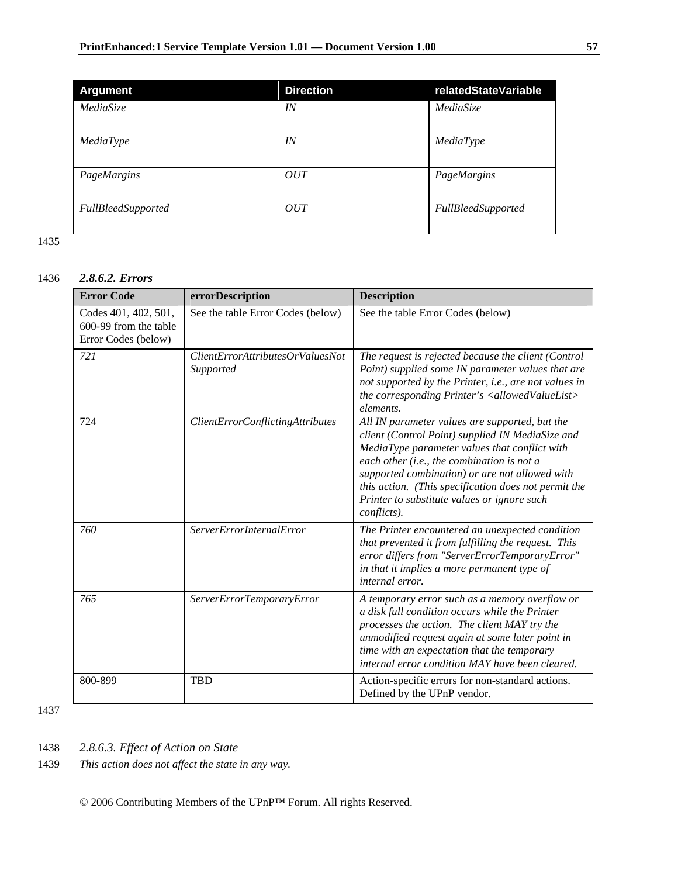| <b>Argument</b>           | <b>Direction</b> | relatedStateVariable |
|---------------------------|------------------|----------------------|
| MediaSize                 | IN               | MediaSize            |
| MediaType                 | IN               | MediaType            |
| PageMargins               | OUT              | PageMargins          |
| <b>FullBleedSupported</b> | OUT              | FullBleedSupported   |

## 1436 *2.8.6.2. Errors*

| <b>Error Code</b>                                                    | errorDescription                               | <b>Description</b>                                                                                                                                                                                                                                                                                                                                                        |
|----------------------------------------------------------------------|------------------------------------------------|---------------------------------------------------------------------------------------------------------------------------------------------------------------------------------------------------------------------------------------------------------------------------------------------------------------------------------------------------------------------------|
| Codes 401, 402, 501,<br>600-99 from the table<br>Error Codes (below) | See the table Error Codes (below)              | See the table Error Codes (below)                                                                                                                                                                                                                                                                                                                                         |
| 721                                                                  | ClientErrorAttributes OrValuesNot<br>Supported | The request is rejected because the client (Control<br>Point) supplied some IN parameter values that are<br>not supported by the Printer, i.e., are not values in<br>the corresponding Printer's <allowedvaluelist><br/>elements.</allowedvaluelist>                                                                                                                      |
| 724                                                                  | ClientErrorConflictingAttributes               | All IN parameter values are supported, but the<br>client (Control Point) supplied IN MediaSize and<br>MediaType parameter values that conflict with<br>each other (i.e., the combination is not a<br>supported combination) or are not allowed with<br>this action. (This specification does not permit the<br>Printer to substitute values or ignore such<br>conflicts). |
| 760                                                                  | <b>ServerErrorInternalError</b>                | The Printer encountered an unexpected condition<br>that prevented it from fulfilling the request. This<br>error differs from "ServerErrorTemporaryError"<br>in that it implies a more permanent type of<br>internal error.                                                                                                                                                |
| 765                                                                  | ServerErrorTemporaryError                      | A temporary error such as a memory overflow or<br>a disk full condition occurs while the Printer<br>processes the action. The client MAY try the<br>unmodified request again at some later point in<br>time with an expectation that the temporary<br>internal error condition MAY have been cleared.                                                                     |
| 800-899                                                              | <b>TBD</b>                                     | Action-specific errors for non-standard actions.<br>Defined by the UPnP vendor.                                                                                                                                                                                                                                                                                           |

1437

1438 *2.8.6.3. Effect of Action on State* 

1439 *This action does not affect the state in any way.*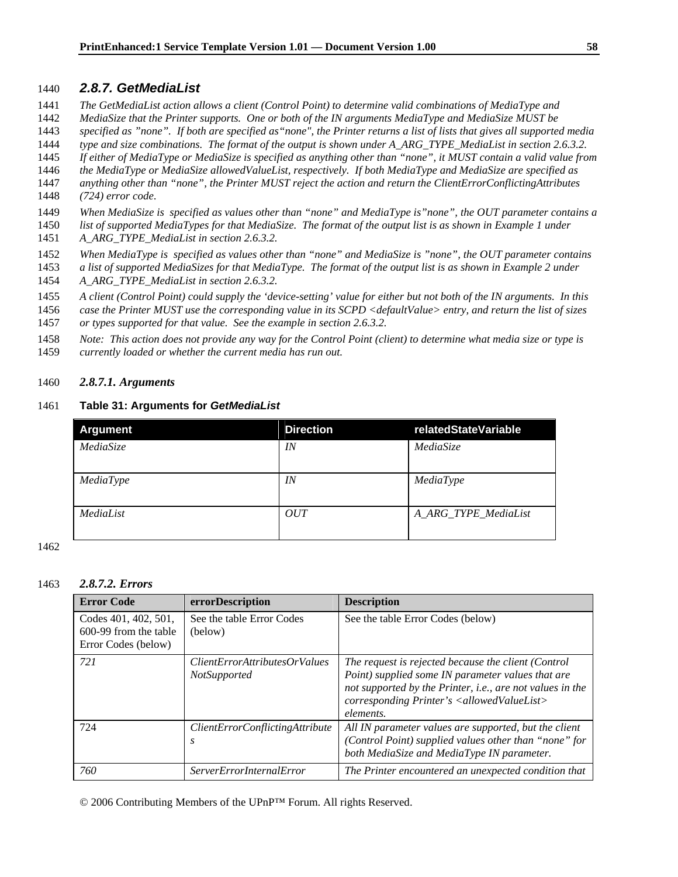## 1440 *2.8.7. GetMediaList*

- 1441 *The GetMediaList action allows a client (Control Point) to determine valid combinations of MediaType and*
- 1442 *MediaSize that the Printer supports. One or both of the IN arguments MediaType and MediaSize MUST be*
- 1443 *specified as "none". If both are specified as"none", the Printer returns a list of lists that gives all supported media*
- 1444 *type and size combinations. The format of the output is shown under A\_ARG\_TYPE\_MediaList in section 2.6.3.2.*
- 1445 *If either of MediaType or MediaSize is specified as anything other than "none", it MUST contain a valid value from*
- 1446 *the MediaType or MediaSize allowedValueList, respectively. If both MediaType and MediaSize are specified as*
- 1447 *anything other than "none", the Printer MUST reject the action and return the ClientErrorConflictingAttributes*  1448 *(724) error code*.
- 1449 *When MediaSize is specified as values other than "none" and MediaType is"none", the OUT parameter contains a*
- 1450 *list of supported MediaTypes for that MediaSize. The format of the output list is as shown in Example 1 under*  1451 *A\_ARG\_TYPE\_MediaList in section 2.6.3.2.*
- 1452 *When MediaType is specified as values other than "none" and MediaSize is "none", the OUT parameter contains*
- 1453 *a list of supported MediaSizes for that MediaType. The format of the output list is as shown in Example 2 under*  1454 *A\_ARG\_TYPE\_MediaList in section 2.6.3.2.*
- 1455 *A client (Control Point) could supply the 'device-setting' value for either but not both of the IN arguments. In this*
- 1456 *case the Printer MUST use the corresponding value in its SCPD <defaultValue> entry, and return the list of sizes*
- 1457 *or types supported for that value. See the example in section 2.6.3.2.*
- 1458 *Note: This action does not provide any way for the Control Point (client) to determine what media size or type is*
- 1459 *currently loaded or whether the current media has run out.*

#### 1460 *2.8.7.1. Arguments*

#### 1461 **Table 31: Arguments for** *GetMediaList*

| <b>Argument</b> | <b>Direction</b> | relatedStateVariable |
|-----------------|------------------|----------------------|
| MediaSize       | IN               | MediaSize            |
| MediaType       | IN               | MediaType            |
| MediaList       | OUT              | A_ARG_TYPE_MediaList |

1462

#### 1463 *2.8.7.2. Errors*

| <b>Error Code</b>                                                    | errorDescription                                     | <b>Description</b>                                                                                                                                                                                                                                   |
|----------------------------------------------------------------------|------------------------------------------------------|------------------------------------------------------------------------------------------------------------------------------------------------------------------------------------------------------------------------------------------------------|
| Codes 401, 402, 501,<br>600-99 from the table<br>Error Codes (below) | See the table Error Codes<br>(below)                 | See the table Error Codes (below)                                                                                                                                                                                                                    |
| 721                                                                  | <i>ClientErrorAttributesOrValues</i><br>NotSupported | The request is rejected because the client (Control<br>Point) supplied some IN parameter values that are<br>not supported by the Printer, i.e., are not values in the<br>corresponding Printer's <allowedvaluelist><br/>elements.</allowedvaluelist> |
| 724                                                                  | <i>ClientErrorConflictingAttribute</i><br>.S         | All IN parameter values are supported, but the client<br>(Control Point) supplied values other than "none" for<br>both MediaSize and MediaType IN parameter.                                                                                         |
| 760                                                                  | <i>ServerErrorInternalError</i>                      | The Printer encountered an unexpected condition that                                                                                                                                                                                                 |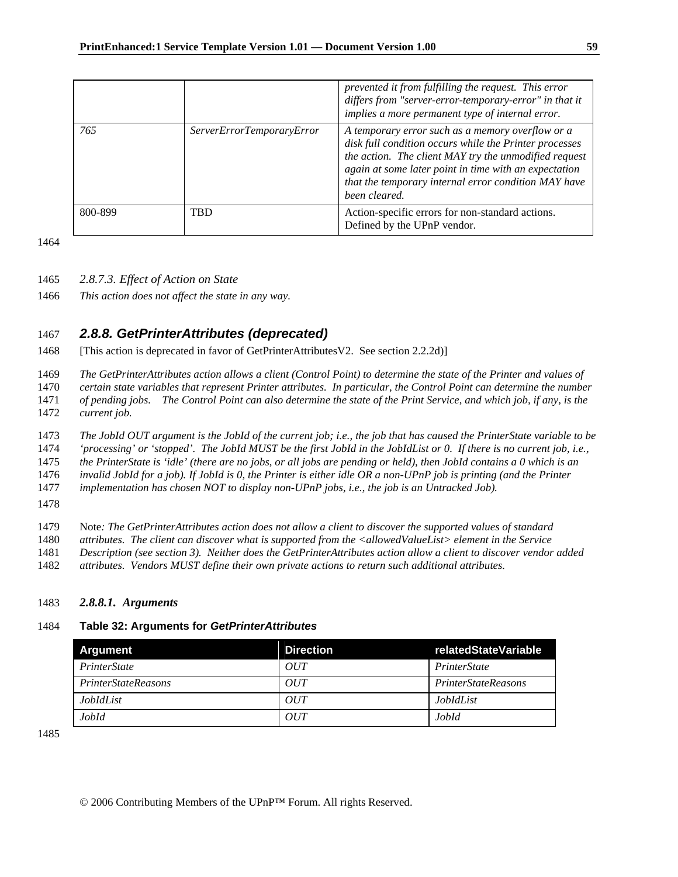|         |                           | prevented it from fulfilling the request. This error<br>differs from "server-error-temporary-error" in that it<br>implies a more permanent type of internal error.                                                                                                                                    |
|---------|---------------------------|-------------------------------------------------------------------------------------------------------------------------------------------------------------------------------------------------------------------------------------------------------------------------------------------------------|
| 765     | ServerErrorTemporaryError | A temporary error such as a memory overflow or a<br>disk full condition occurs while the Printer processes<br>the action. The client MAY try the unmodified request<br>again at some later point in time with an expectation<br>that the temporary internal error condition MAY have<br>been cleared. |
| 800-899 | <b>TBD</b>                | Action-specific errors for non-standard actions.<br>Defined by the UPnP vendor.                                                                                                                                                                                                                       |

1465 *2.8.7.3. Effect of Action on State* 

1466 *This action does not affect the state in any way.* 

## 1467 *2.8.8. GetPrinterAttributes (deprecated)*

1468 [This action is deprecated in favor of GetPrinterAttributesV2. See section 2.2.2d)]

1469 *The GetPrinterAttributes action allows a client (Control Point) to determine the state of the Printer and values of* 

1470 *certain state variables that represent Printer attributes. In particular, the Control Point can determine the number* 

1471 *of pending jobs. The Control Point can also determine the state of the Print Service, and which job, if any, is the*  1472 *current job.* 

1473 *The JobId OUT argument is the JobId of the current job; i.e., the job that has caused the PrinterState variable to be* 

1474 *'processing' or 'stopped'. The JobId MUST be the first JobId in the JobIdList or 0. If there is no current job, i.e.,* 

1475 *the PrinterState is 'idle' (there are no jobs, or all jobs are pending or held), then JobId contains a 0 which is an* 

1476 *invalid JobId for a job). If JobId is 0, the Printer is either idle OR a non-UPnP job is printing (and the Printer* 

1477 *implementation has chosen NOT to display non-UPnP jobs, i.e., the job is an Untracked Job).* 

1478

1479 Note*: The GetPrinterAttributes action does not allow a client to discover the supported values of standard* 

- 1480 *attributes. The client can discover what is supported from the <allowedValueList> element in the Service*
- 1481 *Description (see section 3). Neither does the GetPrinterAttributes action allow a client to discover vendor added*
- 1482 *attributes. Vendors MUST define their own private actions to return such additional attributes.*

## 1483 *2.8.8.1. Arguments*

## 1484 **Table 32: Arguments for** *GetPrinterAttributes*

| <b>Argument</b>            | <b>Direction</b> | relatedStateVariable       |
|----------------------------|------------------|----------------------------|
| <i>PrinterState</i>        | OUT              | PrinterState               |
| <i>PrinterStateReasons</i> | OUT              | <i>PrinterStateReasons</i> |
| <i>JobIdList</i>           | OUT              | <i>JobIdList</i>           |
| JobId                      | OUT              | JobId                      |

1485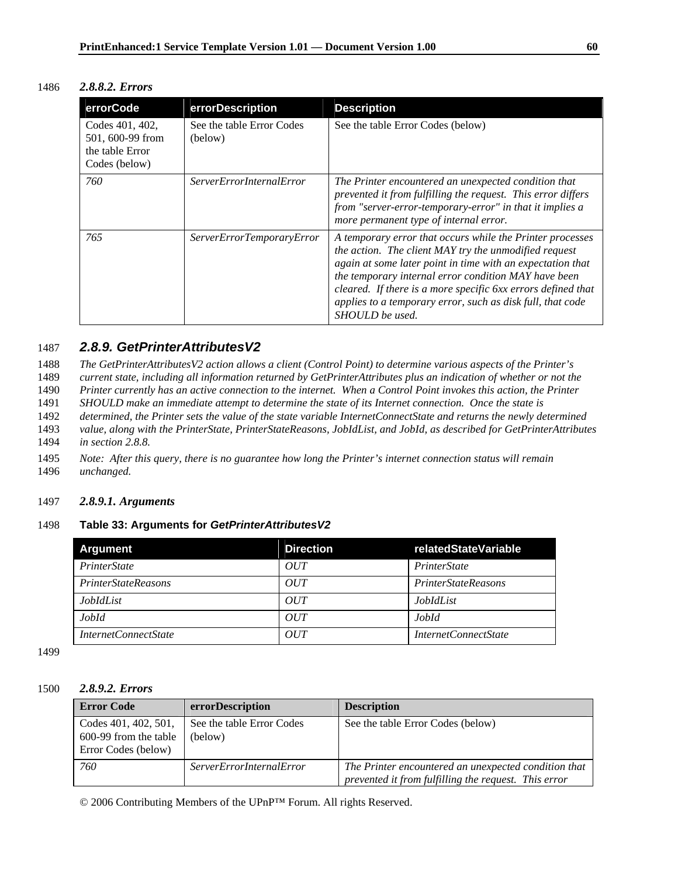|  | 1486 | 2.8.8.2. Errors |
|--|------|-----------------|
|--|------|-----------------|

| errorCode                                                               | errorDescription                     | <b>Description</b>                                                                                                                                                                                                                                                                                                                                                                        |
|-------------------------------------------------------------------------|--------------------------------------|-------------------------------------------------------------------------------------------------------------------------------------------------------------------------------------------------------------------------------------------------------------------------------------------------------------------------------------------------------------------------------------------|
| Codes 401, 402,<br>501, 600-99 from<br>the table Error<br>Codes (below) | See the table Error Codes<br>(below) | See the table Error Codes (below)                                                                                                                                                                                                                                                                                                                                                         |
| 760                                                                     | <i>ServerErrorInternalError</i>      | The Printer encountered an unexpected condition that<br>prevented it from fulfilling the request. This error differs<br>from "server-error-temporary-error" in that it implies a<br>more permanent type of internal error.                                                                                                                                                                |
| 765                                                                     | ServerErrorTemporaryError            | A temporary error that occurs while the Printer processes<br>the action. The client MAY try the unmodified request<br>again at some later point in time with an expectation that<br>the temporary internal error condition MAY have been<br>cleared. If there is a more specific 6xx errors defined that<br>applies to a temporary error, such as disk full, that code<br>SHOULD be used. |

## 1487 *2.8.9. GetPrinterAttributesV2*

1488 *The GetPrinterAttributesV2 action allows a client (Control Point) to determine various aspects of the Printer's* 

1489 *current state, including all information returned by GetPrinterAttributes plus an indication of whether or not the* 

1490 *Printer currently has an active connection to the internet. When a Control Point invokes this action, the Printer* 

1491 *SHOULD make an immediate attempt to determine the state of its Internet connection. Once the state is* 

1492 *determined, the Printer sets the value of the state variable InternetConnectState and returns the newly determined*  1493 *value, along with the PrinterState, PrinterStateReasons, JobIdList, and JobId, as described for GetPrinterAttributes* 

1494 *in section 2.8.8.*

1495 *Note: After this query, there is no guarantee how long the Printer's internet connection status will remain*  1496 *unchanged.* 

### 1497 *2.8.9.1. Arguments*

## 1498 **Table 33: Arguments for** *GetPrinterAttributesV2*

| <b>Argument</b>             | <b>Direction</b> | relatedStateVariable        |
|-----------------------------|------------------|-----------------------------|
| PrinterState                | OUT              | PrinterState                |
| <i>PrinterStateReasons</i>  | OUT              | <i>PrinterStateReasons</i>  |
| <i>JobIdList</i>            | OUT              | <i>JobIdList</i>            |
| JobId                       | OUT              | <i>JobId</i>                |
| <i>InternetConnectState</i> | OUT              | <i>InternetConnectState</i> |

1499

### 1500 *2.8.9.2. Errors*

| <b>Error Code</b>                                                    | errorDescription                     | <b>Description</b>                                                                                           |
|----------------------------------------------------------------------|--------------------------------------|--------------------------------------------------------------------------------------------------------------|
| Codes 401, 402, 501,<br>600-99 from the table<br>Error Codes (below) | See the table Error Codes<br>(below) | See the table Error Codes (below)                                                                            |
| 760                                                                  | <i>ServerErrorInternalError</i>      | The Printer encountered an unexpected condition that<br>prevented it from fulfilling the request. This error |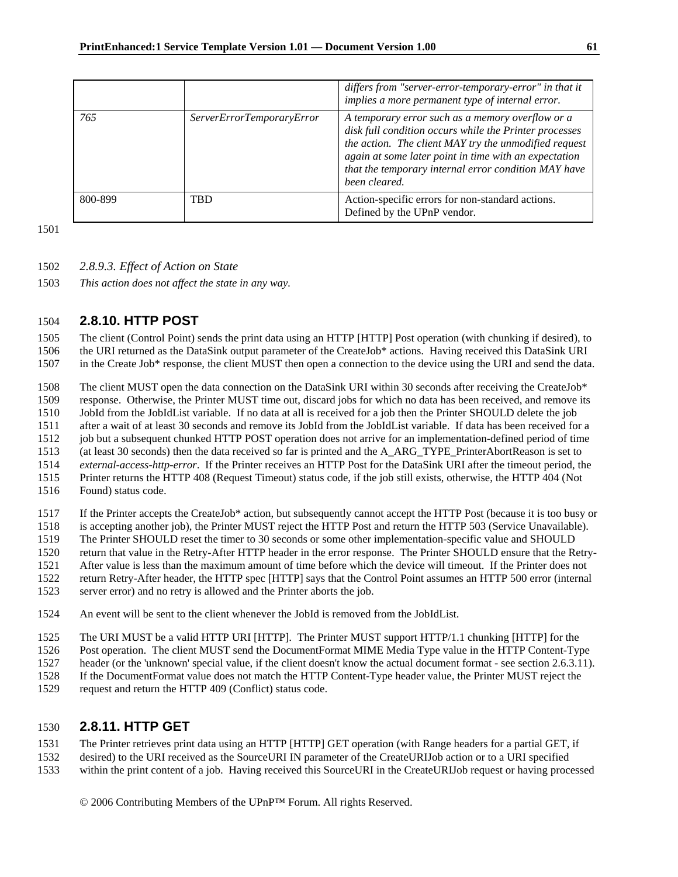|         |                           | differs from "server-error-temporary-error" in that it<br>implies a more permanent type of internal error.                                                                                                                                                                                            |
|---------|---------------------------|-------------------------------------------------------------------------------------------------------------------------------------------------------------------------------------------------------------------------------------------------------------------------------------------------------|
| 765     | ServerErrorTemporaryError | A temporary error such as a memory overflow or a<br>disk full condition occurs while the Printer processes<br>the action. The client MAY try the unmodified request<br>again at some later point in time with an expectation<br>that the temporary internal error condition MAY have<br>been cleared. |
| 800-899 | TBD                       | Action-specific errors for non-standard actions.<br>Defined by the UPnP vendor.                                                                                                                                                                                                                       |

- 1502 *2.8.9.3. Effect of Action on State*
- 1503 *This action does not affect the state in any way.*

## 1504 **2.8.10. HTTP POST**

1505 The client (Control Point) sends the print data using an HTTP [HTTP] Post operation (with chunking if desired), to 1506 the URI returned as the DataSink output parameter of the CreateJob\* actions. Having received this DataSink URI

1507 in the Create Job\* response, the client MUST then open a connection to the device using the URI and send the data.

1508 The client MUST open the data connection on the DataSink URI within 30 seconds after receiving the CreateJob\*

1509 response. Otherwise, the Printer MUST time out, discard jobs for which no data has been received, and remove its

1510 JobId from the JobIdList variable. If no data at all is received for a job then the Printer SHOULD delete the job

1511 after a wait of at least 30 seconds and remove its JobId from the JobIdList variable. If data has been received for a

1512 job but a subsequent chunked HTTP POST operation does not arrive for an implementation-defined period of time

1513 (at least 30 seconds) then the data received so far is printed and the A\_ARG\_TYPE\_PrinterAbortReason is set to

1514 *external-access-http-error*. If the Printer receives an HTTP Post for the DataSink URI after the timeout period, the

1515 Printer returns the HTTP 408 (Request Timeout) status code, if the job still exists, otherwise, the HTTP 404 (Not

1516 Found) status code.

1517 If the Printer accepts the CreateJob\* action, but subsequently cannot accept the HTTP Post (because it is too busy or

1518 is accepting another job), the Printer MUST reject the HTTP Post and return the HTTP 503 (Service Unavailable).

1519 The Printer SHOULD reset the timer to 30 seconds or some other implementation-specific value and SHOULD

1520 return that value in the Retry-After HTTP header in the error response. The Printer SHOULD ensure that the Retry-

1521 After value is less than the maximum amount of time before which the device will timeout. If the Printer does not

1522 return Retry-After header, the HTTP spec [HTTP] says that the Control Point assumes an HTTP 500 error (internal

1523 server error) and no retry is allowed and the Printer aborts the job.

1524 An event will be sent to the client whenever the JobId is removed from the JobIdList.

1525 The URI MUST be a valid HTTP URI [HTTP]. The Printer MUST support HTTP/1.1 chunking [HTTP] for the

1526 Post operation. The client MUST send the DocumentFormat MIME Media Type value in the HTTP Content-Type

1527 header (or the 'unknown' special value, if the client doesn't know the actual document format - see section 2.6.3.11).

1528 If the DocumentFormat value does not match the HTTP Content-Type header value, the Printer MUST reject the

1529 request and return the HTTP 409 (Conflict) status code.

## 1530 **2.8.11. HTTP GET**

1531 The Printer retrieves print data using an HTTP [HTTP] GET operation (with Range headers for a partial GET, if

1532 desired) to the URI received as the SourceURI IN parameter of the CreateURIJob action or to a URI specified

1533 within the print content of a job. Having received this SourceURI in the CreateURIJob request or having processed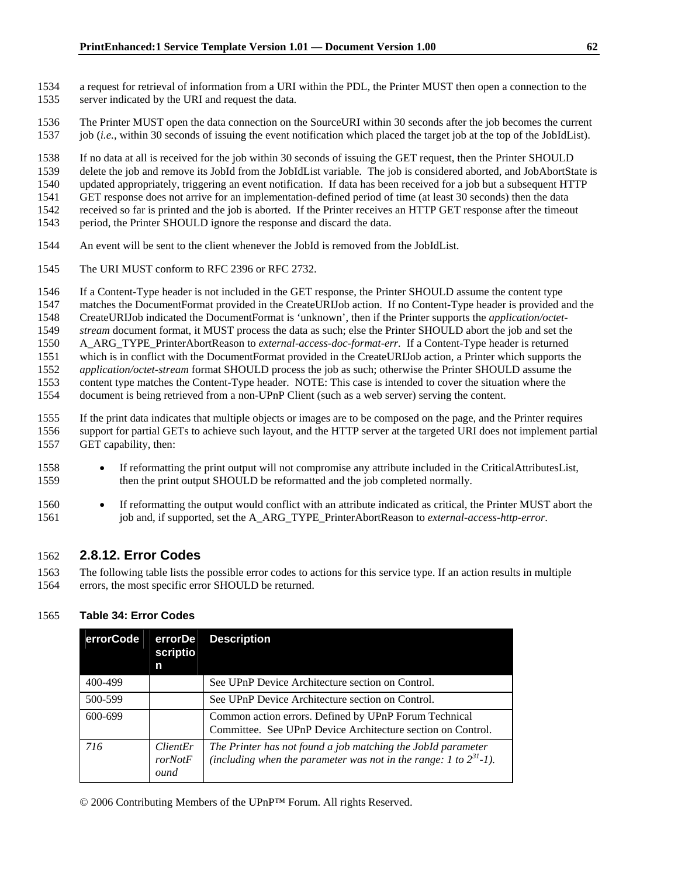- 1534 a request for retrieval of information from a URI within the PDL, the Printer MUST then open a connection to the 1535 server indicated by the URI and request the data.
- 1536 The Printer MUST open the data connection on the SourceURI within 30 seconds after the job becomes the current 1537 job (*i.e.,* within 30 seconds of issuing the event notification which placed the target job at the top of the JobIdList).

1538 If no data at all is received for the job within 30 seconds of issuing the GET request, then the Printer SHOULD

1539 delete the job and remove its JobId from the JobIdList variable. The job is considered aborted, and JobAbortState is 1540 updated appropriately, triggering an event notification. If data has been received for a job but a subsequent HTTP

1541 GET response does not arrive for an implementation-defined period of time (at least 30 seconds) then the data

1542 received so far is printed and the job is aborted. If the Printer receives an HTTP GET response after the timeout

- 1543 period, the Printer SHOULD ignore the response and discard the data.
- 1544 An event will be sent to the client whenever the JobId is removed from the JobIdList.
- 1545 The URI MUST conform to RFC 2396 or RFC 2732.

1546 If a Content-Type header is not included in the GET response, the Printer SHOULD assume the content type

1547 matches the DocumentFormat provided in the CreateURIJob action. If no Content-Type header is provided and the

1548 CreateURIJob indicated the DocumentFormat is 'unknown', then if the Printer supports the *application/octet-*

1549 *stream* document format, it MUST process the data as such; else the Printer SHOULD abort the job and set the

1550 A\_ARG\_TYPE\_PrinterAbortReason to *external-access-doc-format-err.* If a Content-Type header is returned

1551 which is in conflict with the DocumentFormat provided in the CreateURIJob action, a Printer which supports the

1552 *application/octet-stream* format SHOULD process the job as such; otherwise the Printer SHOULD assume the 1553 content type matches the Content-Type header. NOTE: This case is intended to cover the situation where the

1554 document is being retrieved from a non-UPnP Client (such as a web server) serving the content.

1555 If the print data indicates that multiple objects or images are to be composed on the page, and the Printer requires

- 1556 support for partial GETs to achieve such layout, and the HTTP server at the targeted URI does not implement partial 1557 GET capability, then:
- 1558 If reformatting the print output will not compromise any attribute included in the CriticalAttributesList, 1559 then the print output SHOULD be reformatted and the job completed normally.
- 1560 If reformatting the output would conflict with an attribute indicated as critical, the Printer MUST abort the 1561 job and, if supported, set the A\_ARG\_TYPE\_PrinterAbortReason to *external-access-http-error*.

## 1562 **2.8.12. Error Codes**

1563 The following table lists the possible error codes to actions for this service type. If an action results in multiple 1564 errors, the most specific error SHOULD be returned.

## 1565 **Table 34: Error Codes**

| errorCode | errorDe<br>scriptio<br>n           | <b>Description</b>                                                                                                                     |
|-----------|------------------------------------|----------------------------------------------------------------------------------------------------------------------------------------|
| 400-499   |                                    | See UPnP Device Architecture section on Control.                                                                                       |
| 500-599   |                                    | See UPnP Device Architecture section on Control.                                                                                       |
| 600-699   |                                    | Common action errors. Defined by UPnP Forum Technical<br>Committee. See UPnP Device Architecture section on Control.                   |
| 716       | <i>ClientEr</i><br>rorNotF<br>ound | The Printer has not found a job matching the JobId parameter<br>(including when the parameter was not in the range: 1 to $2^{31}$ -1). |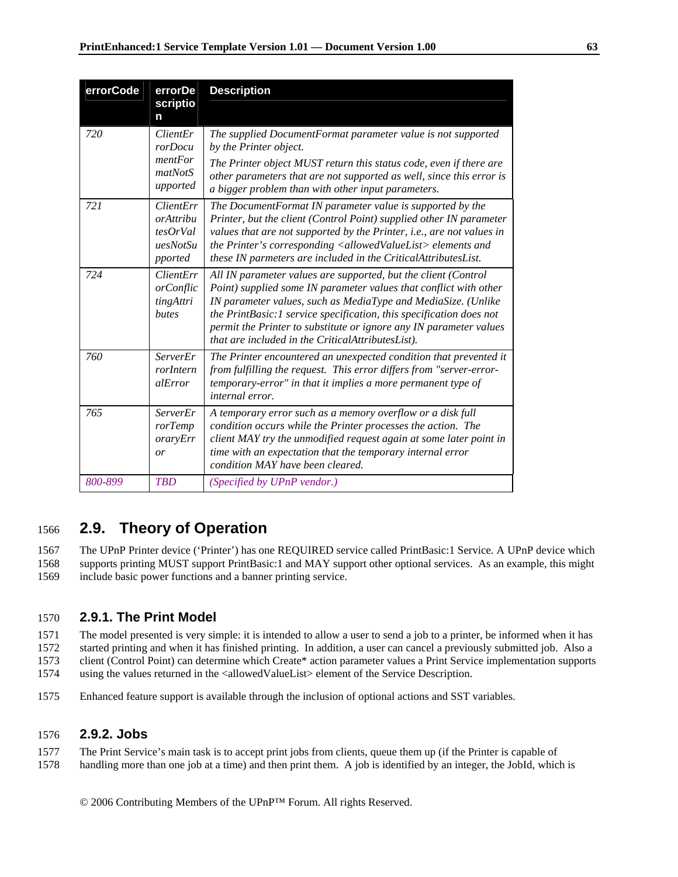| errorCode | errorDe<br>scriptio<br>n                                  | <b>Description</b>                                                                                                                                                                                                                                                                                                                                                                                     |
|-----------|-----------------------------------------------------------|--------------------------------------------------------------------------------------------------------------------------------------------------------------------------------------------------------------------------------------------------------------------------------------------------------------------------------------------------------------------------------------------------------|
| 720       | ClientEr<br>rorDocu<br>mentFor<br>matNotS<br>upported     | The supplied DocumentFormat parameter value is not supported<br>by the Printer object.<br>The Printer object MUST return this status code, even if there are<br>other parameters that are not supported as well, since this error is<br>a bigger problem than with other input parameters.                                                                                                             |
| 721       | ClientErr<br>orAttribu<br>tesOrVal<br>uesNotSu<br>pported | The DocumentFormat IN parameter value is supported by the<br>Printer, but the client (Control Point) supplied other IN parameter<br>values that are not supported by the Printer, i.e., are not values in<br>the Printer's corresponding <allowedvaluelist> elements and<br/>these IN parmeters are included in the CriticalAttributesList.</allowedvaluelist>                                         |
| 724       | <i>ClientErr</i><br>orConflic<br>tingAttri<br>butes       | All IN parameter values are supported, but the client (Control<br>Point) supplied some IN parameter values that conflict with other<br>IN parameter values, such as MediaType and MediaSize. (Unlike<br>the PrintBasic:1 service specification, this specification does not<br>permit the Printer to substitute or ignore any IN parameter values<br>that are included in the CriticalAttributesList). |
| 760       | ServerEr<br>rorIntern<br><i>alError</i>                   | The Printer encountered an unexpected condition that prevented it<br>from fulfilling the request. This error differs from "server-error-<br>temporary-error" in that it implies a more permanent type of<br><i>internal error.</i>                                                                                                                                                                     |
| 765       | ServerEr<br>rorTemp<br>oraryErr<br>or                     | A temporary error such as a memory overflow or a disk full<br>condition occurs while the Printer processes the action. The<br>client MAY try the unmodified request again at some later point in<br>time with an expectation that the temporary internal error<br>condition MAY have been cleared.                                                                                                     |
| 800-899   | <b>TBD</b>                                                | (Specified by UPnP vendor.)                                                                                                                                                                                                                                                                                                                                                                            |

# 1566 **2.9. Theory of Operation**

1567 The UPnP Printer device ('Printer') has one REQUIRED service called PrintBasic:1 Service. A UPnP device which 1568 supports printing MUST support PrintBasic:1 and MAY support other optional services. As an example, this might 1569 include basic power functions and a banner printing service.

## 1570 **2.9.1. The Print Model**

1571 The model presented is very simple: it is intended to allow a user to send a job to a printer, be informed when it has

1572 started printing and when it has finished printing. In addition, a user can cancel a previously submitted job. Also a 1573 client (Control Point) can determine which Create\* action parameter values a Print Service implementation supports

1574 using the values returned in the <allowedValueList> element of the Service Description.

1575 Enhanced feature support is available through the inclusion of optional actions and SST variables.

## 1576 **2.9.2. Jobs**

1577 The Print Service's main task is to accept print jobs from clients, queue them up (if the Printer is capable of 1578 handling more than one job at a time) and then print them. A job is identified by an integer, the JobId, which is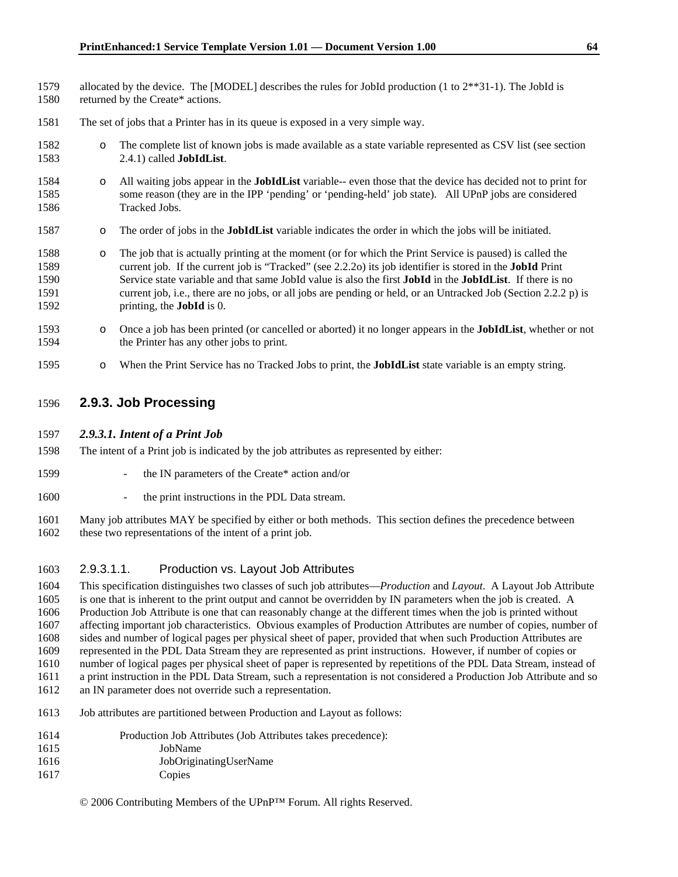- 1579 allocated by the device. The [MODEL] describes the rules for JobId production (1 to 2\*\*31-1). The JobId is 1580 returned by the Create\* actions.
- 1581 The set of jobs that a Printer has in its queue is exposed in a very simple way.
- 1582 o The complete list of known jobs is made available as a state variable represented as CSV list (see section 1583 2.4.1) called **JobIdList**.
- 1584 o All waiting jobs appear in the **JobIdList** variable-- even those that the device has decided not to print for 1585 some reason (they are in the IPP 'pending' or 'pending-held' job state). All UPnP jobs are considered 1586 Tracked Jobs.
- 1587 o The order of jobs in the **JobIdList** variable indicates the order in which the jobs will be initiated.
- 1588 o The job that is actually printing at the moment (or for which the Print Service is paused) is called the 1589 current job. If the current job is "Tracked" (see 2.2.2o) its job identifier is stored in the **JobId** Print 1590 Service state variable and that same JobId value is also the first **JobId** in the **JobIdList**. If there is no 1591 current job, i.e., there are no jobs, or all jobs are pending or held, or an Untracked Job (Section 2.2.2 p) is 1592 printing, the **JobId** is 0.
- 1593 o Once a job has been printed (or cancelled or aborted) it no longer appears in the **JobIdList**, whether or not 1594 the Printer has any other jobs to print.
- 1595 o When the Print Service has no Tracked Jobs to print, the **JobIdList** state variable is an empty string.

### 1596 **2.9.3. Job Processing**

#### 1597 *2.9.3.1. Intent of a Print Job*

- 1598 The intent of a Print job is indicated by the job attributes as represented by either:
- 1599 the IN parameters of the Create\* action and/or
- 1600 the print instructions in the PDL Data stream.

1601 Many job attributes MAY be specified by either or both methods. This section defines the precedence between 1602 these two representations of the intent of a print job.

### 1603 2.9.3.1.1. Production vs. Layout Job Attributes

1604 This specification distinguishes two classes of such job attributes—*Production* and *Layout*. A Layout Job Attribute 1605 is one that is inherent to the print output and cannot be overridden by IN parameters when the job is created. A 1606 Production Job Attribute is one that can reasonably change at the different times when the job is printed without 1607 affecting important job characteristics. Obvious examples of Production Attributes are number of copies, number of 1608 sides and number of logical pages per physical sheet of paper, provided that when such Production Attributes are 1609 represented in the PDL Data Stream they are represented as print instructions. However, if number of copies or

1610 number of logical pages per physical sheet of paper is represented by repetitions of the PDL Data Stream, instead of

1611 a print instruction in the PDL Data Stream, such a representation is not considered a Production Job Attribute and so 1612 an IN parameter does not override such a representation.

1613 Job attributes are partitioned between Production and Layout as follows:

| 1614 | Production Job Attributes (Job Attributes takes precedence): |
|------|--------------------------------------------------------------|
| 1615 | JobName                                                      |
| 1616 | JobOriginatingUserName                                       |
|      |                                                              |

1617 Copies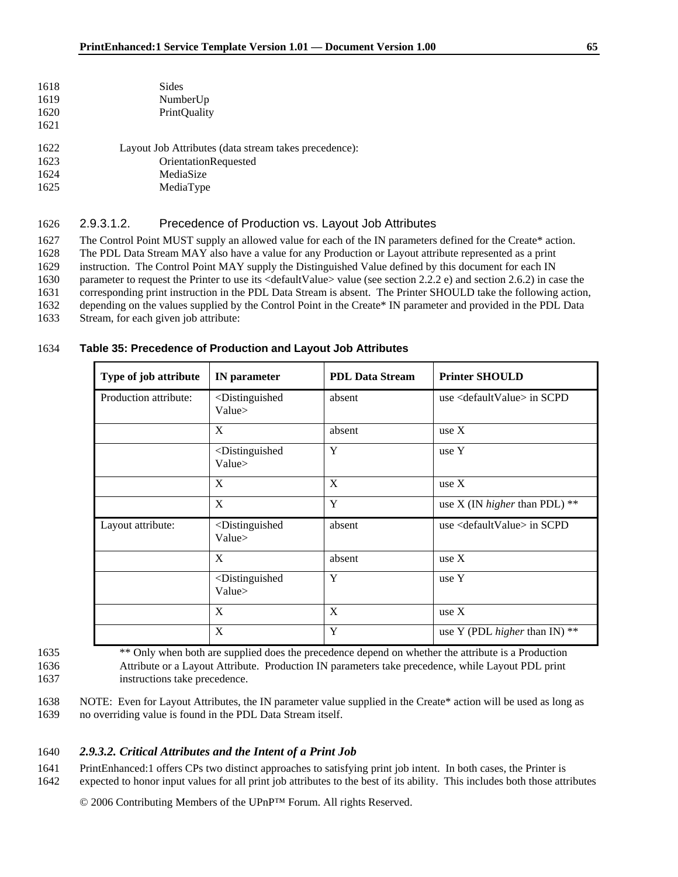| 1618 | Sides                                                 |
|------|-------------------------------------------------------|
| 1619 | NumberUp                                              |
| 1620 | <b>PrintQuality</b>                                   |
| 1621 |                                                       |
| 1622 | Layout Job Attributes (data stream takes precedence): |
| 1623 | <b>OrientationRequested</b>                           |
| 1624 | MediaSize                                             |
| 1625 | MediaType                                             |

#### 1626 2.9.3.1.2. Precedence of Production vs. Layout Job Attributes

1627 The Control Point MUST supply an allowed value for each of the IN parameters defined for the Create\* action. 1628 The PDL Data Stream MAY also have a value for any Production or Layout attribute represented as a print 1629 instruction. The Control Point MAY supply the Distinguished Value defined by this document for each IN

1630 parameter to request the Printer to use its <defaultValue> value (see section 2.2.2 e) and section 2.6.2) in case the

1631 corresponding print instruction in the PDL Data Stream is absent. The Printer SHOULD take the following action,

1632 depending on the values supplied by the Control Point in the Create\* IN parameter and provided in the PDL Data

1633 Stream, for each given job attribute:

## 1634 **Table 35: Precedence of Production and Layout Job Attributes**

| Type of job attribute<br><b>IN</b> parameter |                                                | <b>PDL Data Stream</b> | <b>Printer SHOULD</b>                   |  |
|----------------------------------------------|------------------------------------------------|------------------------|-----------------------------------------|--|
| Production attribute:                        | <distinguished<br>Value&gt;</distinguished<br> | absent                 | use $\langle$ default Value $>$ in SCPD |  |
|                                              | X                                              | absent                 | use $X$                                 |  |
|                                              | <distinguished<br>Value&gt;</distinguished<br> | Y                      | use Y                                   |  |
|                                              | X                                              | X                      | use X                                   |  |
|                                              | X                                              | Y                      | use X (IN <i>higher</i> than PDL) $**$  |  |
| Layout attribute:                            | <distinguished<br>Value&gt;</distinguished<br> | absent                 | use $\langle$ default Value $>$ in SCPD |  |
|                                              | X                                              | absent                 | use $X$                                 |  |
|                                              | <distinguished<br>Value&gt;</distinguished<br> | Y                      | use Y                                   |  |
|                                              | X                                              | X                      | use X                                   |  |
|                                              | X                                              | Y                      | use Y (PDL higher than IN) $**$         |  |

1635 \*\* Only when both are supplied does the precedence depend on whether the attribute is a Production 1636 Attribute or a Layout Attribute. Production IN parameters take precedence, while Layout PDL print 1637 instructions take precedence.

1638 NOTE: Even for Layout Attributes, the IN parameter value supplied in the Create\* action will be used as long as 1639 no overriding value is found in the PDL Data Stream itself.

### 1640 *2.9.3.2. Critical Attributes and the Intent of a Print Job*

1641 PrintEnhanced:1 offers CPs two distinct approaches to satisfying print job intent. In both cases, the Printer is 1642 expected to honor input values for all print job attributes to the best of its ability. This includes both those attributes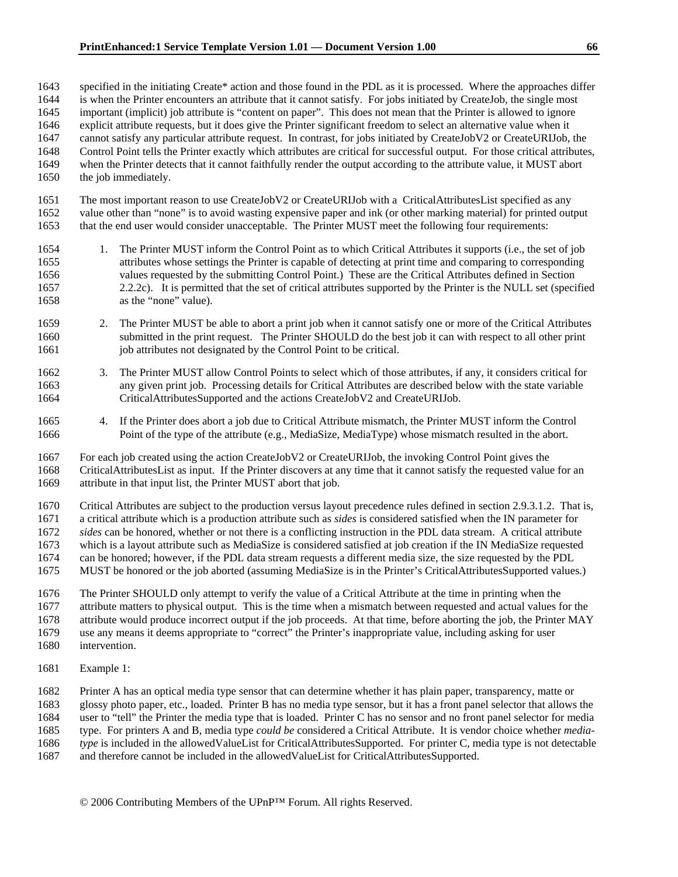1643 specified in the initiating Create\* action and those found in the PDL as it is processed. Where the approaches differ 1644 is when the Printer encounters an attribute that it cannot satisfy. For jobs initiated by CreateJob, the single most 1645 important (implicit) job attribute is "content on paper". This does not mean that the Printer is allowed to ignore 1646 explicit attribute requests, but it does give the Printer significant freedom to select an alternative value when it 1647 cannot satisfy any particular attribute request. In contrast, for jobs initiated by CreateJobV2 or CreateURIJob, the 1648 Control Point tells the Printer exactly which attributes are critical for successful output. For those critical attributes, 1649 when the Printer detects that it cannot faithfully render the output according to the attribute value, it MUST abort 1650 the job immediately.

- 1651 The most important reason to use CreateJobV2 or CreateURIJob with a CriticalAttributesList specified as any 1652 value other than "none" is to avoid wasting expensive paper and ink (or other marking material) for printed output 1653 that the end user would consider unacceptable. The Printer MUST meet the following four requirements:
- 1654 1. The Printer MUST inform the Control Point as to which Critical Attributes it supports (i.e., the set of job 1655 attributes whose settings the Printer is capable of detecting at print time and comparing to corresponding 1656 values requested by the submitting Control Point.) These are the Critical Attributes defined in Section 1657 2.2.2c). It is permitted that the set of critical attributes supported by the Printer is the NULL set (specified 1658 as the "none" value).
- 1659 2. The Printer MUST be able to abort a print job when it cannot satisfy one or more of the Critical Attributes 1660 submitted in the print request. The Printer SHOULD do the best job it can with respect to all other print 1661 iob attributes not designated by the Control Point to be critical.
- 1662 3. The Printer MUST allow Control Points to select which of those attributes, if any, it considers critical for 1663 any given print job. Processing details for Critical Attributes are described below with the state variable 1664 CriticalAttributesSupported and the actions CreateJobV2 and CreateURIJob.
- 1665 4. If the Printer does abort a job due to Critical Attribute mismatch, the Printer MUST inform the Control 1666 Point of the type of the attribute (e.g., MediaSize, MediaType) whose mismatch resulted in the abort.
- 1667 For each job created using the action CreateJobV2 or CreateURIJob, the invoking Control Point gives the 1668 CriticalAttributesList as input. If the Printer discovers at any time that it cannot satisfy the requested value for an 1669 attribute in that input list, the Printer MUST abort that job.
- 1670 Critical Attributes are subject to the production versus layout precedence rules defined in section 2.9.3.1.2. That is,
- 1671 a critical attribute which is a production attribute such as *sides* is considered satisfied when the IN parameter for
- 1672 *sides* can be honored, whether or not there is a conflicting instruction in the PDL data stream. A critical attribute
- 1673 which is a layout attribute such as MediaSize is considered satisfied at job creation if the IN MediaSize requested 1674 can be honored; however, if the PDL data stream requests a different media size, the size requested by the PDL
- 1675 MUST be honored or the job aborted (assuming MediaSize is in the Printer's CriticalAttributesSupported values.)
- 1676 The Printer SHOULD only attempt to verify the value of a Critical Attribute at the time in printing when the 1677 attribute matters to physical output. This is the time when a mismatch between requested and actual values for the 1678 attribute would produce incorrect output if the job proceeds. At that time, before aborting the job, the Printer MAY
- 1679 use any means it deems appropriate to "correct" the Printer's inappropriate value, including asking for user
- 1680 intervention.
- 1681 Example 1:

1682 Printer A has an optical media type sensor that can determine whether it has plain paper, transparency, matte or 1683 glossy photo paper, etc., loaded. Printer B has no media type sensor, but it has a front panel selector that allows the 1684 user to "tell" the Printer the media type that is loaded. Printer C has no sensor and no front panel selector for media 1685 type. For printers A and B, media type *could be* considered a Critical Attribute. It is vendor choice whether *media-*1686 *type* is included in the allowedValueList for CriticalAttributesSupported. For printer C, media type is not detectable

1687 and therefore cannot be included in the allowedValueList for CriticalAttributesSupported.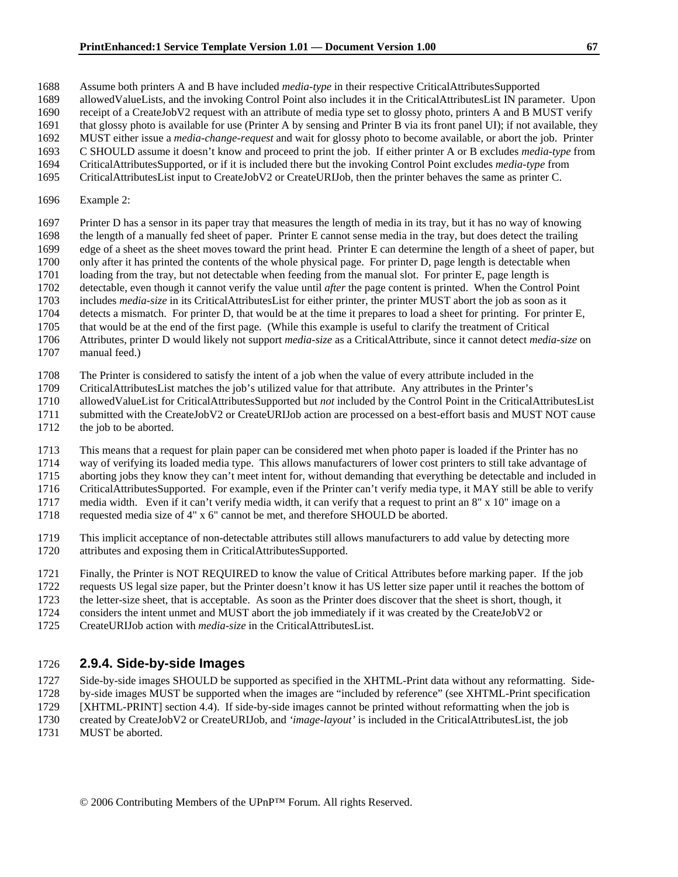- 1688 Assume both printers A and B have included *media-type* in their respective CriticalAttributesSupported
- 1689 allowedValueLists, and the invoking Control Point also includes it in the CriticalAttributesList IN parameter. Upon
- 1690 receipt of a CreateJobV2 request with an attribute of media type set to glossy photo, printers A and B MUST verify
- 1691 that glossy photo is available for use (Printer A by sensing and Printer B via its front panel UI); if not available, they
- 1692 MUST either issue a *media-change-request* and wait for glossy photo to become available, or abort the job. Printer
- 1693 C SHOULD assume it doesn't know and proceed to print the job. If either printer A or B excludes *media-type* from 1694 CriticalAttributesSupported, or if it is included there but the invoking Control Point excludes *media-type* from
- 1695 CriticalAttributesList input to CreateJobV2 or CreateURIJob, then the printer behaves the same as printer C.
- 
- 1696 Example 2:
- 1697 Printer D has a sensor in its paper tray that measures the length of media in its tray, but it has no way of knowing
- 1698 the length of a manually fed sheet of paper. Printer E cannot sense media in the tray, but does detect the trailing 1699 edge of a sheet as the sheet moves toward the print head. Printer E can determine the length of a sheet of paper, but
- 1700 only after it has printed the contents of the whole physical page. For printer D, page length is detectable when
- 1701 loading from the tray, but not detectable when feeding from the manual slot. For printer E, page length is
- 1702 detectable, even though it cannot verify the value until *after* the page content is printed. When the Control Point
- 1703 includes *media-size* in its CriticalAttributesList for either printer, the printer MUST abort the job as soon as it
- 1704 detects a mismatch. For printer D, that would be at the time it prepares to load a sheet for printing. For printer E,
- 1705 that would be at the end of the first page. (While this example is useful to clarify the treatment of Critical
- 1706 Attributes, printer D would likely not support *media-size* as a CriticalAttribute, since it cannot detect *media-size* on
- 1707 manual feed.)
- 1708 The Printer is considered to satisfy the intent of a job when the value of every attribute included in the
- 1709 CriticalAttributesList matches the job's utilized value for that attribute. Any attributes in the Printer's
- 1710 allowedValueList for CriticalAttributesSupported but *not* included by the Control Point in the CriticalAttributesList
- 1711 submitted with the CreateJobV2 or CreateURIJob action are processed on a best-effort basis and MUST NOT cause
- 1712 the job to be aborted.
- 1713 This means that a request for plain paper can be considered met when photo paper is loaded if the Printer has no
- 1714 way of verifying its loaded media type. This allows manufacturers of lower cost printers to still take advantage of
- 1715 aborting jobs they know they can't meet intent for, without demanding that everything be detectable and included in
- 1716 CriticalAttributesSupported. For example, even if the Printer can't verify media type, it MAY still be able to verify
- 1717 media width. Even if it can't verify media width, it can verify that a request to print an 8" x 10" image on a
- 1718 requested media size of 4" x 6" cannot be met, and therefore SHOULD be aborted.
- 1719 This implicit acceptance of non-detectable attributes still allows manufacturers to add value by detecting more 1720 attributes and exposing them in CriticalAttributesSupported.
- 1721 Finally, the Printer is NOT REQUIRED to know the value of Critical Attributes before marking paper. If the job
- 1722 requests US legal size paper, but the Printer doesn't know it has US letter size paper until it reaches the bottom of
- 1723 the letter-size sheet, that is acceptable. As soon as the Printer does discover that the sheet is short, though, it
- 1724 considers the intent unmet and MUST abort the job immediately if it was created by the CreateJobV2 or
- 1725 CreateURIJob action with *media-size* in the CriticalAttributesList.

## 1726 **2.9.4. Side-by-side Images**

- 1727 Side-by-side images SHOULD be supported as specified in the XHTML-Print data without any reformatting. Side-
- 1728 by-side images MUST be supported when the images are "included by reference" (see XHTML-Print specification
- 1729 [XHTML-PRINT] section 4.4). If side-by-side images cannot be printed without reformatting when the job is
- 1730 created by CreateJobV2 or CreateURIJob, and *'image-layout'* is included in the CriticalAttributesList, the job
- 1731 MUST be aborted.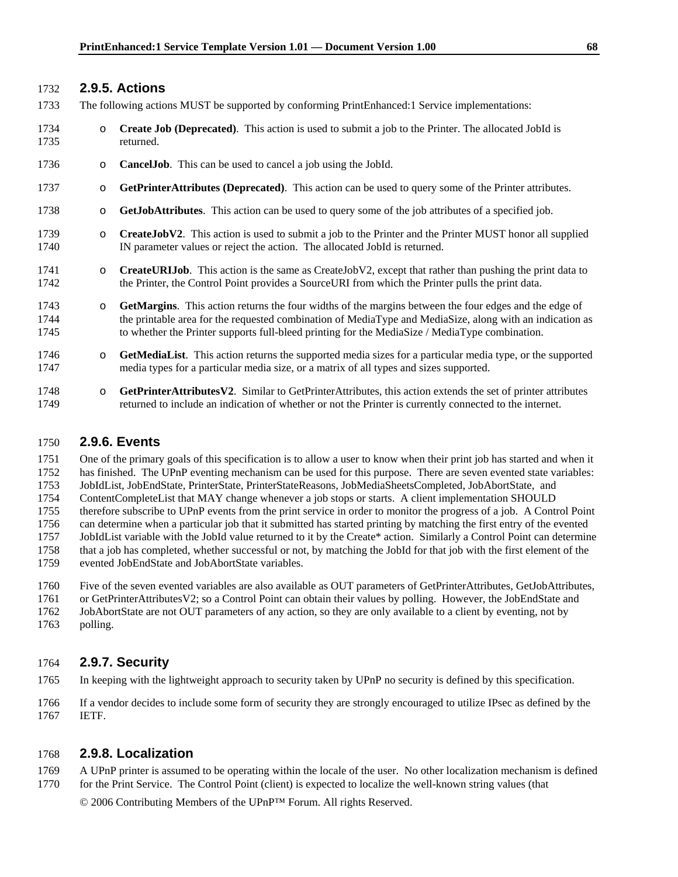## 1732 **2.9.5. Actions**

- 1733 The following actions MUST be supported by conforming PrintEnhanced:1 Service implementations:
- 1734 o **Create Job (Deprecated)**. This action is used to submit a job to the Printer. The allocated JobId is 1735 returned.
- 1736 o **CancelJob**. This can be used to cancel a job using the JobId.
- 1737 o **GetPrinterAttributes (Deprecated)**. This action can be used to query some of the Printer attributes.
- 1738 o **GetJobAttributes**. This action can be used to query some of the job attributes of a specified job.
- 1739 o **CreateJobV2**. This action is used to submit a job to the Printer and the Printer MUST honor all supplied 1740 IN parameter values or reject the action. The allocated JobId is returned.
- 1741 o **CreateURIJob**. This action is the same as CreateJobV2, except that rather than pushing the print data to 1742 the Printer, the Control Point provides a SourceURI from which the Printer pulls the print data.
- 1743 o **GetMargins**. This action returns the four widths of the margins between the four edges and the edge of 1744 the printable area for the requested combination of MediaType and MediaSize, along with an indication as 1745 to whether the Printer supports full-bleed printing for the MediaSize / MediaType combination.
- 1746 o **GetMediaList**. This action returns the supported media sizes for a particular media type, or the supported 1747 media types for a particular media size, or a matrix of all types and sizes supported.
- 1748 o **GetPrinterAttributesV2**. Similar to GetPrinterAttributes, this action extends the set of printer attributes returned to include an indication of whether or not the Printer is currently connected to the internet. 1749 returned to include an indication of whether or not the Printer is currently connected to the internet.

### 1750 **2.9.6. Events**

1751 One of the primary goals of this specification is to allow a user to know when their print job has started and when it 1752 has finished. The UPnP eventing mechanism can be used for this purpose. There are seven evented state variables:

1753 JobIdList, JobEndState, PrinterState, PrinterStateReasons, JobMediaSheetsCompleted, JobAbortState, and

1754 ContentCompleteList that MAY change whenever a job stops or starts. A client implementation SHOULD

1755 therefore subscribe to UPnP events from the print service in order to monitor the progress of a job. A Control Point

1756 can determine when a particular job that it submitted has started printing by matching the first entry of the evented

1757 JobIdList variable with the JobId value returned to it by the Create\* action. Similarly a Control Point can determine

- 1758 that a job has completed, whether successful or not, by matching the JobId for that job with the first element of the 1759 evented JobEndState and JobAbortState variables.
- 1760 Five of the seven evented variables are also available as OUT parameters of GetPrinterAttributes, GetJobAttributes,

1761 or GetPrinterAttributesV2; so a Control Point can obtain their values by polling. However, the JobEndState and

- 1762 JobAbortState are not OUT parameters of any action, so they are only available to a client by eventing, not by
- 1763 polling.

## 1764 **2.9.7. Security**

1765 In keeping with the lightweight approach to security taken by UPnP no security is defined by this specification.

1766 If a vendor decides to include some form of security they are strongly encouraged to utilize IPsec as defined by the 1767 IETF.

## 1768 **2.9.8. Localization**

1769 A UPnP printer is assumed to be operating within the locale of the user. No other localization mechanism is defined 1770 for the Print Service. The Control Point (client) is expected to localize the well-known string values (that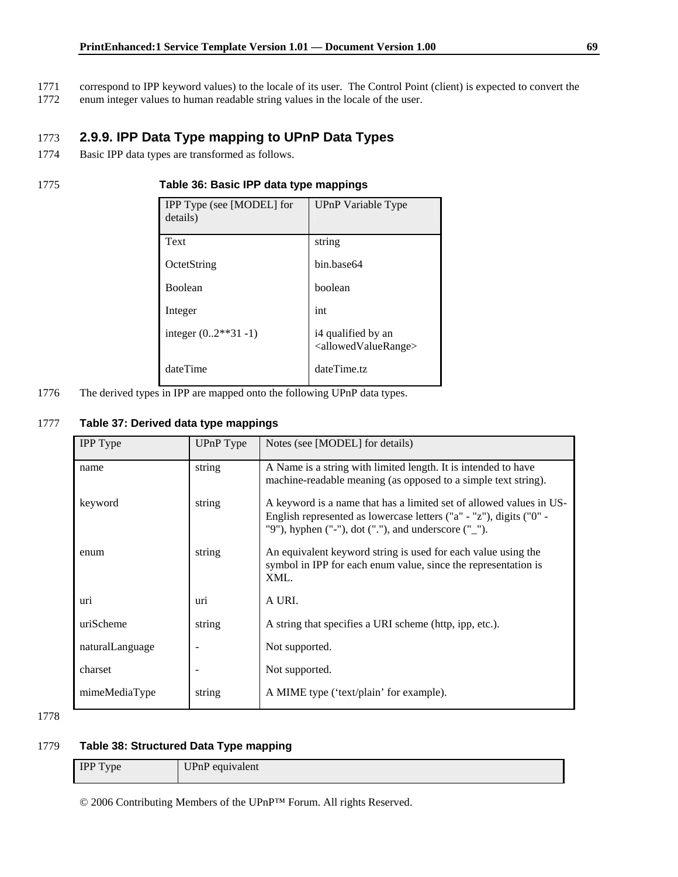- 1771 correspond to IPP keyword values) to the locale of its user. The Control Point (client) is expected to convert the
- 1772 enum integer values to human readable string values in the locale of the user.

## 1773 **2.9.9. IPP Data Type mapping to UPnP Data Types**

1774 Basic IPP data types are transformed as follows.

#### 1775 **Table 36: Basic IPP data type mappings**

| IPP Type (see [MODEL] for<br>details) | UPnP Variable Type                                            |
|---------------------------------------|---------------------------------------------------------------|
| Text                                  | string                                                        |
| OctetString                           | hin hase64                                                    |
| <b>Boolean</b>                        | boolean                                                       |
| Integer                               | int                                                           |
| integer $(0.2**31-1)$                 | i4 qualified by an<br><allowedvaluerange></allowedvaluerange> |
| dateTime                              | dateTime.tz                                                   |

1776 The derived types in IPP are mapped onto the following UPnP data types.

## 1777 **Table 37: Derived data type mappings**

| UPnP Type | Notes (see [MODEL] for details)                                                                                                                                                                       |
|-----------|-------------------------------------------------------------------------------------------------------------------------------------------------------------------------------------------------------|
| string    | A Name is a string with limited length. It is intended to have<br>machine-readable meaning (as opposed to a simple text string).                                                                      |
| string    | A keyword is a name that has a limited set of allowed values in US-<br>English represented as lowercase letters ("a" - "z"), digits ("0" -<br>"9"), hyphen ("-"), dot ("."), and underscore $("$ _"). |
| string    | An equivalent keyword string is used for each value using the<br>symbol in IPP for each enum value, since the representation is<br>XML.                                                               |
| uri       | A URI.                                                                                                                                                                                                |
| string    | A string that specifies a URI scheme (http, ipp, etc.).                                                                                                                                               |
|           | Not supported.                                                                                                                                                                                        |
|           | Not supported.                                                                                                                                                                                        |
| string    | A MIME type ('text/plain' for example).                                                                                                                                                               |
|           |                                                                                                                                                                                                       |

1778

## 1779 **Table 38: Structured Data Type mapping**

| <b>IPP</b> Type | - Univ<br>UPnP equivalent |
|-----------------|---------------------------|
|-----------------|---------------------------|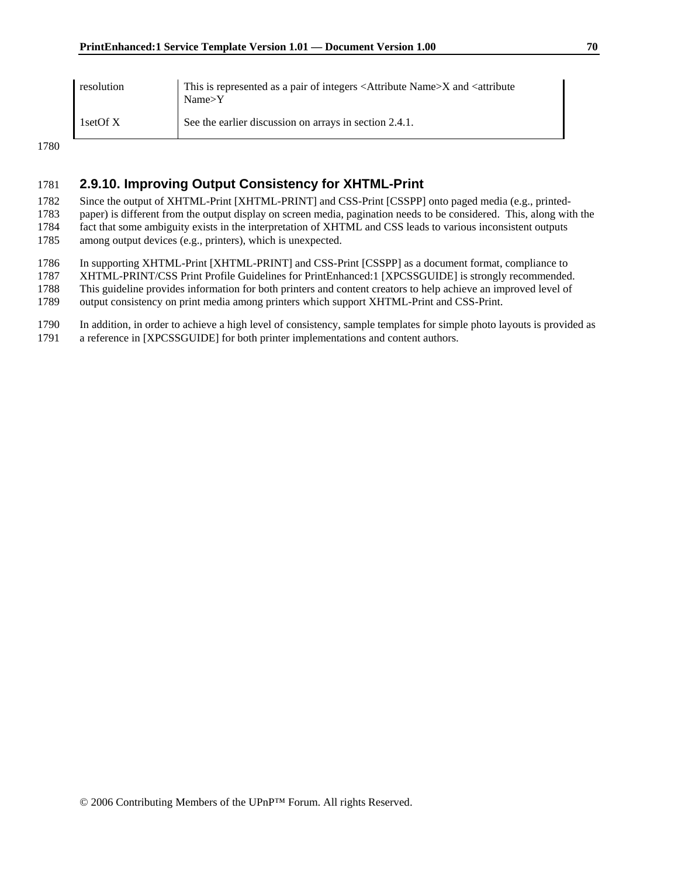| resolution | This is represented as a pair of integers <attribute name="">X and <attribute<br>Name &gt; Y</attribute<br></attribute> |
|------------|-------------------------------------------------------------------------------------------------------------------------|
| 1setOfX    | See the earlier discussion on arrays in section 2.4.1.                                                                  |

## 1781 **2.9.10. Improving Output Consistency for XHTML-Print**

1782 Since the output of XHTML-Print [XHTML-PRINT] and CSS-Print [CSSPP] onto paged media (e.g., printed-

1783 paper) is different from the output display on screen media, pagination needs to be considered. This, along with the 1784 fact that some ambiguity exists in the interpretation of XHTML and CSS leads to various inconsistent outputs

1785 among output devices (e.g., printers), which is unexpected.

1786 In supporting XHTML-Print [XHTML-PRINT] and CSS-Print [CSSPP] as a document format, compliance to

1787 XHTML-PRINT/CSS Print Profile Guidelines for PrintEnhanced:1 [XPCSSGUIDE] is strongly recommended.

1788 This guideline provides information for both printers and content creators to help achieve an improved level of

1789 output consistency on print media among printers which support XHTML-Print and CSS-Print.

1790 In addition, in order to achieve a high level of consistency, sample templates for simple photo layouts is provided as

1791 a reference in [XPCSSGUIDE] for both printer implementations and content authors.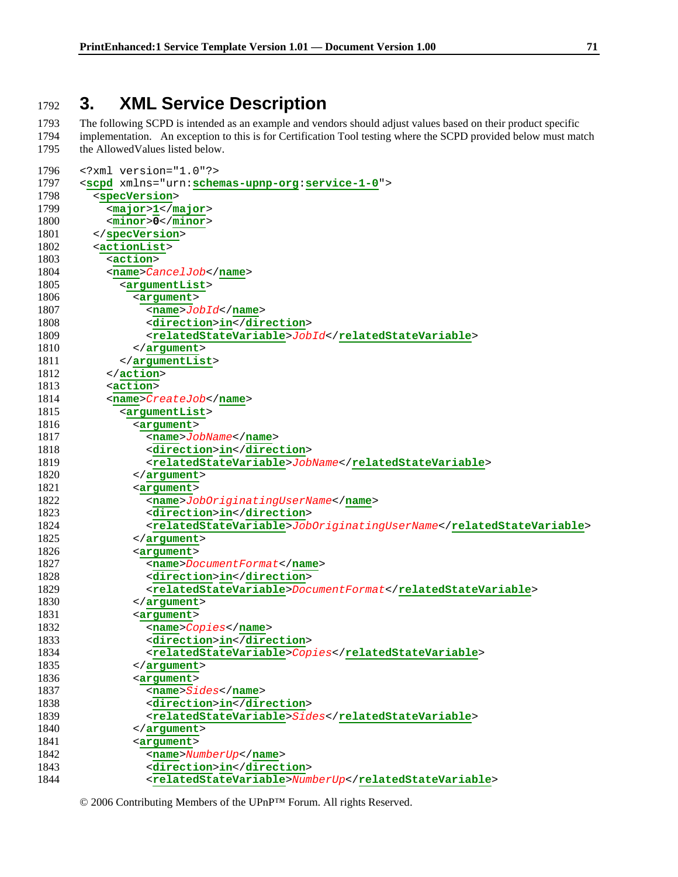# **3. XML Service Description**

1793 The following SCPD is intended as an example and vendors should adjust values based on their product specific 1794 implementation. An exception to this is for Certification Tool testing where the SCPD provided below must match 1795 the AllowedValues listed below.

| 1796 | xml version="1.0"?                                                  |
|------|---------------------------------------------------------------------|
| 1797 | <scpd xmlns="urn:schemas-upnp-org:service-1-0"></scpd>              |
| 1798 | <specversion></specversion>                                         |
| 1799 | <major>1</major>                                                    |
| 1800 | $minor > 0 < /minor$                                                |
| 1801 |                                                                     |
| 1802 | <actionlist></actionlist>                                           |
| 1803 | <action></action>                                                   |
| 1804 | $<$ name> $C$ ance $1J$ ob                                          |
| 1805 | <argumentlist></argumentlist>                                       |
| 1806 | <argument></argument>                                               |
| 1807 | $<$ name> $J$ <i>obId</i> < /name>                                  |
| 1808 | <direction>in</direction>                                           |
| 1809 | <relatedstatevariable>JobId</relatedstatevariable>                  |
| 1810 | $\langle$ argument>                                                 |
| 1811 |                                                                     |
| 1812 | $\alpha$ /action>                                                   |
| 1813 | <action></action>                                                   |
| 1814 | <name><i>CreateJob</i></name>                                       |
| 1815 | <argumentlist></argumentlist>                                       |
| 1816 | <argument></argument>                                               |
| 1817 | <name>JobName</name>                                                |
| 1818 | <direction>in</direction>                                           |
| 1819 | <relatedstatevariable>JobName</relatedstatevariable>                |
| 1820 | $\langle$ /argument>                                                |
| 1821 | <argument></argument>                                               |
| 1822 | <name>JobOriginatingUserName</name>                                 |
| 1823 | <direction>in</direction>                                           |
| 1824 | <relatedstatevariable>JobOriginatingUserName</relatedstatevariable> |
| 1825 | $\alpha$ / argument >                                               |
| 1826 | $\langle$ argument>                                                 |
| 1827 | <name>DocumentFormat</name>                                         |
| 1828 | <direction>in</direction>                                           |
| 1829 | <relatedstatevariable>DocumentFormat</relatedstatevariable>         |
| 1830 | $\langle$ argument>                                                 |
| 1831 | <argument></argument>                                               |
| 1832 | <name>Copies</name>                                                 |
| 1833 | <direction>in</direction>                                           |
| 1834 | <relatedstatevariable>Copies</relatedstatevariable>                 |
| 1835 |                                                                     |
| 1836 | <argument></argument>                                               |
| 1837 | <name>Sides</name>                                                  |
| 1838 | <direction>in</direction>                                           |
| 1839 | $< \verb relatedStateVariable>  Sides /relatedStateVariable> $      |
| 1840 |                                                                     |
| 1841 | <argument></argument>                                               |
| 1842 | <name>NumberUp</name>                                               |
| 1843 | <direction>in</direction>                                           |
| 1844 | <relatedstatevariable>NumberUp</relatedstatevariable>               |

© 2006 Contributing Members of the UPnP™ Forum. All rights Reserved.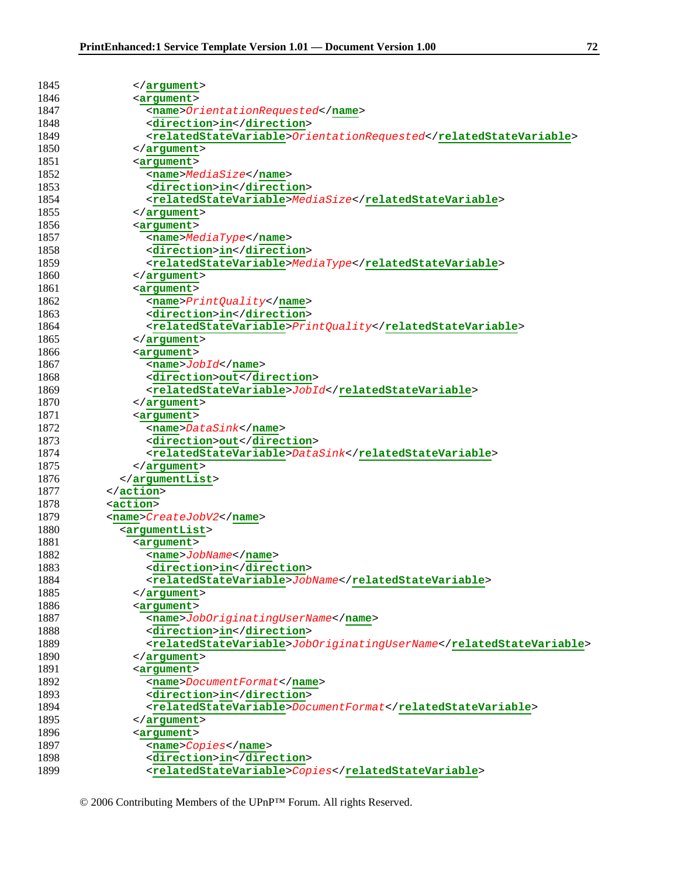| 1845 | $\langle$ /argument>                                                |
|------|---------------------------------------------------------------------|
| 1846 | <argument></argument>                                               |
| 1847 | <name>OrientationRequested</name>                                   |
| 1848 | <direction>in</direction>                                           |
| 1849 | <relatedstatevariable>OrientationRequested</relatedstatevariable>   |
| 1850 | $\langle$ argument>                                                 |
| 1851 | <argument></argument>                                               |
| 1852 | <name>MediaSize</name>                                              |
| 1853 | <direction>in</direction>                                           |
| 1854 | <relatedstatevariable>MediaSize</relatedstatevariable>              |
| 1855 | $\langle$ argument>                                                 |
| 1856 | <argument></argument>                                               |
| 1857 | <name>MediaType</name>                                              |
| 1858 | <direction>in</direction>                                           |
| 1859 | <relatedstatevariable>MediaType</relatedstatevariable>              |
| 1860 | $\langle$ argument>                                                 |
| 1861 | $\leq$ argument>                                                    |
| 1862 | <name>PrintQuality</name>                                           |
| 1863 | <direction>in</direction>                                           |
| 1864 | <relatedstatevariable>PrintQuality</relatedstatevariable>           |
| 1865 | $\langle$ argument>                                                 |
| 1866 | <argument></argument>                                               |
| 1867 | $<$ name> $J$ obI $d$                                               |
| 1868 | <direction>out</direction>                                          |
| 1869 | <relatedstatevariable>JobId</relatedstatevariable>                  |
| 1870 | $\langle$ argument>                                                 |
| 1871 | <argument></argument>                                               |
| 1872 | <name>DataSink</name>                                               |
| 1873 | <direction>out</direction>                                          |
| 1874 | <relatedstatevariable>DataSink</relatedstatevariable>               |
| 1875 | $\langle$ argument>                                                 |
| 1876 | $\alpha$ /argumentList>                                             |
| 1877 | $\langle$ /action>                                                  |
| 1878 | <action></action>                                                   |
| 1879 | <name>CreateJobV2</name>                                            |
| 1880 | <argumentlist></argumentlist>                                       |
| 1881 | <argument></argument>                                               |
| 1882 | <name>JobName</name>                                                |
| 1883 | <direction>in</direction>                                           |
| 1884 | <relatedstatevariable>JobName</relatedstatevariable>                |
| 1885 |                                                                     |
| 1886 | <argument></argument>                                               |
| 1887 | <name>JobOriginatingUserName</name>                                 |
| 1888 | <direction>in</direction>                                           |
| 1889 | <relatedstatevariable>JobOriginatingUserName</relatedstatevariable> |
| 1890 |                                                                     |
| 1891 | <argument></argument>                                               |
| 1892 | <name>DocumentFormat</name>                                         |
| 1893 | <direction>in</direction>                                           |
| 1894 | <relatedstatevariable>DocumentFormat</relatedstatevariable>         |
| 1895 |                                                                     |
| 1896 | <argument></argument>                                               |
| 1897 | <name>Copies</name>                                                 |
| 1898 | <direction>in</direction>                                           |
| 1899 | <relatedstatevariable>Copies</relatedstatevariable>                 |
|      |                                                                     |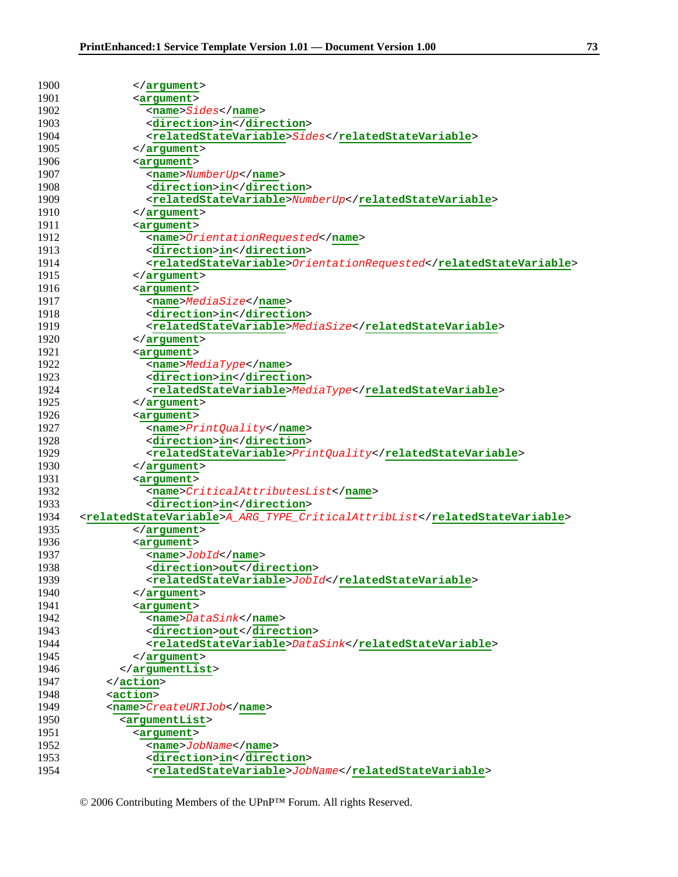| 1900 | $\langle$ argument>                                                        |
|------|----------------------------------------------------------------------------|
| 1901 | <argument></argument>                                                      |
| 1902 | $<$ name> $Sides$ /name>                                                   |
| 1903 | <direction>in</direction>                                                  |
| 1904 | $< \verb relatedStateVariable>  Sides /relatedStateVariable \\$            |
| 1905 | $\langle$ argument>                                                        |
| 1906 | <argument></argument>                                                      |
| 1907 | $<$ name>NumberUp                                                          |
| 1908 | <direction>in</direction>                                                  |
| 1909 | <relatedstatevariable>NumberUp</relatedstatevariable>                      |
| 1910 | $\langle$ /argument>                                                       |
| 1911 | <argument></argument>                                                      |
| 1912 | <name>OrientationRequested</name>                                          |
| 1913 | <direction>in</direction>                                                  |
| 1914 | <relatedstatevariable>OrientationRequested</relatedstatevariable>          |
| 1915 | $\langle$ /argument>                                                       |
| 1916 | <argument></argument>                                                      |
| 1917 | <name>MediaSize</name>                                                     |
| 1918 | <direction>in</direction>                                                  |
| 1919 | $< \verb relatedStateVariable>  Mediasize'  related State Variable \\$     |
| 1920 | $\langle$ /argument>                                                       |
| 1921 | <argument></argument>                                                      |
| 1922 | <name>MediaType</name>                                                     |
| 1923 | <direction>in</direction>                                                  |
| 1924 | <relatedstatevariable>MediaType</relatedstatevariable>                     |
| 1925 | $\langle$ argument>                                                        |
| 1926 | <argument></argument>                                                      |
| 1927 | <name>PrintQuality</name>                                                  |
| 1928 | <direction>in</direction>                                                  |
| 1929 | <relatedstatevariable>PrintQuality</relatedstatevariable>                  |
| 1930 | $\langle$ argument>                                                        |
| 1931 | <argument></argument>                                                      |
| 1932 | <name>CriticalAttributesList</name>                                        |
| 1933 | <direction>in</direction>                                                  |
| 1934 | <relatedstatevariable>A_ARG_TYPE_CriticalAttribList</relatedstatevariable> |
| 1935 | $\langle$ argument>                                                        |
| 1936 | <argument></argument>                                                      |
| 1937 | $<$ name> $J$ <i>obId</i>                                                  |
| 1938 | <direction>out</direction>                                                 |
| 1939 | <relatedstatevariable>JobId</relatedstatevariable>                         |
| 1940 | $\langle$ argument>                                                        |
| 1941 | <argument></argument>                                                      |
| 1942 | <name>DataSink</name>                                                      |
| 1943 | <direction>out</direction>                                                 |
| 1944 | <relatedstatevariable>DataSink</relatedstatevariable>                      |
| 1945 | $\langle$ argument>                                                        |
| 1946 |                                                                            |
| 1947 | $\langle$ action>                                                          |
| 1948 | <action></action>                                                          |
| 1949 | <name>CreateURIJob</name>                                                  |
| 1950 | <argumentlist></argumentlist>                                              |
| 1951 | <argument></argument>                                                      |
| 1952 | <name>JobName</name>                                                       |
| 1953 | <direction>in</direction>                                                  |
| 1954 | <relatedstatevariable>JobName</relatedstatevariable>                       |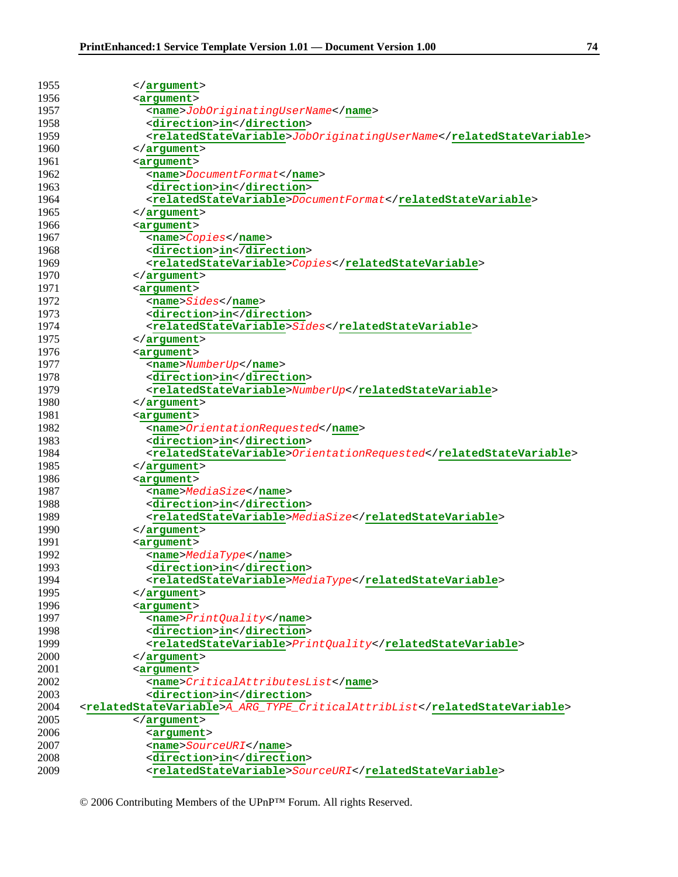| 1955         | $\langle$ argument>                                                                                                                                                                                                                                                                                                                                                                                                                                                       |
|--------------|---------------------------------------------------------------------------------------------------------------------------------------------------------------------------------------------------------------------------------------------------------------------------------------------------------------------------------------------------------------------------------------------------------------------------------------------------------------------------|
| 1956         | <arqument></arqument>                                                                                                                                                                                                                                                                                                                                                                                                                                                     |
| 1957         | <name>JobOriginatingUserName</name>                                                                                                                                                                                                                                                                                                                                                                                                                                       |
| 1958         | <direction>in</direction>                                                                                                                                                                                                                                                                                                                                                                                                                                                 |
| 1959         | <relatedstatevariable>JobOriginatingUserName</relatedstatevariable>                                                                                                                                                                                                                                                                                                                                                                                                       |
| 1960         | $\langle$ argument>                                                                                                                                                                                                                                                                                                                                                                                                                                                       |
| 1961         | <argument></argument>                                                                                                                                                                                                                                                                                                                                                                                                                                                     |
| 1962         | <name>DocumentFormat</name>                                                                                                                                                                                                                                                                                                                                                                                                                                               |
| 1963         | <direction>in</direction>                                                                                                                                                                                                                                                                                                                                                                                                                                                 |
| 1964         | <relatedstatevariable>DocumentFormat</relatedstatevariable>                                                                                                                                                                                                                                                                                                                                                                                                               |
| 1965         | $\langle$ argument>                                                                                                                                                                                                                                                                                                                                                                                                                                                       |
| 1966         | <argument></argument>                                                                                                                                                                                                                                                                                                                                                                                                                                                     |
| 1967         | <name>Copies</name>                                                                                                                                                                                                                                                                                                                                                                                                                                                       |
| 1968         | <direction>in</direction>                                                                                                                                                                                                                                                                                                                                                                                                                                                 |
| 1969         | <relatedstatevariable>Copies</relatedstatevariable>                                                                                                                                                                                                                                                                                                                                                                                                                       |
| 1970         | $\langle$ argument>                                                                                                                                                                                                                                                                                                                                                                                                                                                       |
| 1971         | <argument></argument>                                                                                                                                                                                                                                                                                                                                                                                                                                                     |
| 1972         | $<$ name> $Sides$ / name>                                                                                                                                                                                                                                                                                                                                                                                                                                                 |
| 1973         | <direction>in</direction>                                                                                                                                                                                                                                                                                                                                                                                                                                                 |
| 1974         | <relatedstatevariable>Sides</relatedstatevariable>                                                                                                                                                                                                                                                                                                                                                                                                                        |
| 1975         | $\langle$ argument>                                                                                                                                                                                                                                                                                                                                                                                                                                                       |
| 1976         | <argument></argument>                                                                                                                                                                                                                                                                                                                                                                                                                                                     |
| 1977         | <name>NumberUp</name>                                                                                                                                                                                                                                                                                                                                                                                                                                                     |
| 1978         | <direction>in</direction>                                                                                                                                                                                                                                                                                                                                                                                                                                                 |
| 1979         | <relatedstatevariable>NumberUp</relatedstatevariable>                                                                                                                                                                                                                                                                                                                                                                                                                     |
| 1980         | $\langle$ argument>                                                                                                                                                                                                                                                                                                                                                                                                                                                       |
| 1981         | <argument></argument>                                                                                                                                                                                                                                                                                                                                                                                                                                                     |
| 1982         |                                                                                                                                                                                                                                                                                                                                                                                                                                                                           |
| 1983         | <name>OrientationRequested</name><br><direction>in</direction>                                                                                                                                                                                                                                                                                                                                                                                                            |
| 1984         | $< \verb relatedStateVariable  \verb 0  is \verb 0  is \verb 0  is \verb 0  is \verb 0  is \verb 0  is \verb 0  is \verb 0  is \verb 0  is \verb 0  is \verb 0  is \verb 0  is \verb 0  is \verb 0  is \verb 0  is \verb 0  is \verb 0  is \verb 0  is \verb 0  is \verb 0  is \verb 0  is \verb 0  is \verb 0  is \verb 0  is \verb 0  is \verb 0  is \verb 0  is \verb 0  is \verb 0  is \verb 0  is \verb 0  is \verb 0  is \verb 0  is \verb 0  is \verb 0  is \verb$ |
| 1985         | $\langle$ argument>                                                                                                                                                                                                                                                                                                                                                                                                                                                       |
| 1986         |                                                                                                                                                                                                                                                                                                                                                                                                                                                                           |
| 1987         | <argument><br/><math>&lt;</math>name&gt;<math>MediaSize</math></argument>                                                                                                                                                                                                                                                                                                                                                                                                 |
| 1988         | <direction>in</direction>                                                                                                                                                                                                                                                                                                                                                                                                                                                 |
| 1989         | $< \verb relatedStateVariable>  Mediasize  / related State Variables $                                                                                                                                                                                                                                                                                                                                                                                                    |
| 1990         |                                                                                                                                                                                                                                                                                                                                                                                                                                                                           |
|              | $\langle$ /argument>                                                                                                                                                                                                                                                                                                                                                                                                                                                      |
| 1991<br>1992 | <arqument><br/><name>MediaType</name></arqument>                                                                                                                                                                                                                                                                                                                                                                                                                          |
| 1993         | <direction>in</direction>                                                                                                                                                                                                                                                                                                                                                                                                                                                 |
| 1994         | <relatedstatevariable>MediaType</relatedstatevariable>                                                                                                                                                                                                                                                                                                                                                                                                                    |
| 1995         |                                                                                                                                                                                                                                                                                                                                                                                                                                                                           |
|              | $\langle$ /argument>                                                                                                                                                                                                                                                                                                                                                                                                                                                      |
| 1996<br>1997 | <arqument></arqument>                                                                                                                                                                                                                                                                                                                                                                                                                                                     |
|              | <name>PrintQuality</name><br><direction>in</direction>                                                                                                                                                                                                                                                                                                                                                                                                                    |
| 1998<br>1999 |                                                                                                                                                                                                                                                                                                                                                                                                                                                                           |
|              | <relatedstatevariable>PrintQuality</relatedstatevariable>                                                                                                                                                                                                                                                                                                                                                                                                                 |
| 2000<br>2001 | $\langle$ argument>                                                                                                                                                                                                                                                                                                                                                                                                                                                       |
| 2002         | <argument></argument>                                                                                                                                                                                                                                                                                                                                                                                                                                                     |
|              | <name>CriticalAttributesList</name>                                                                                                                                                                                                                                                                                                                                                                                                                                       |
| 2003<br>2004 | <direction>in</direction>                                                                                                                                                                                                                                                                                                                                                                                                                                                 |
|              | <relatedstatevariable>A_ARG_TYPE_CriticalAttribList</relatedstatevariable>                                                                                                                                                                                                                                                                                                                                                                                                |
| 2005         | $\langle$ argument>                                                                                                                                                                                                                                                                                                                                                                                                                                                       |
| 2006         | <argument></argument>                                                                                                                                                                                                                                                                                                                                                                                                                                                     |
| 2007         | <name>SourceURI</name>                                                                                                                                                                                                                                                                                                                                                                                                                                                    |
| 2008         | <direction>in</direction>                                                                                                                                                                                                                                                                                                                                                                                                                                                 |
| 2009         | <relatedstatevariable>SourceURI</relatedstatevariable>                                                                                                                                                                                                                                                                                                                                                                                                                    |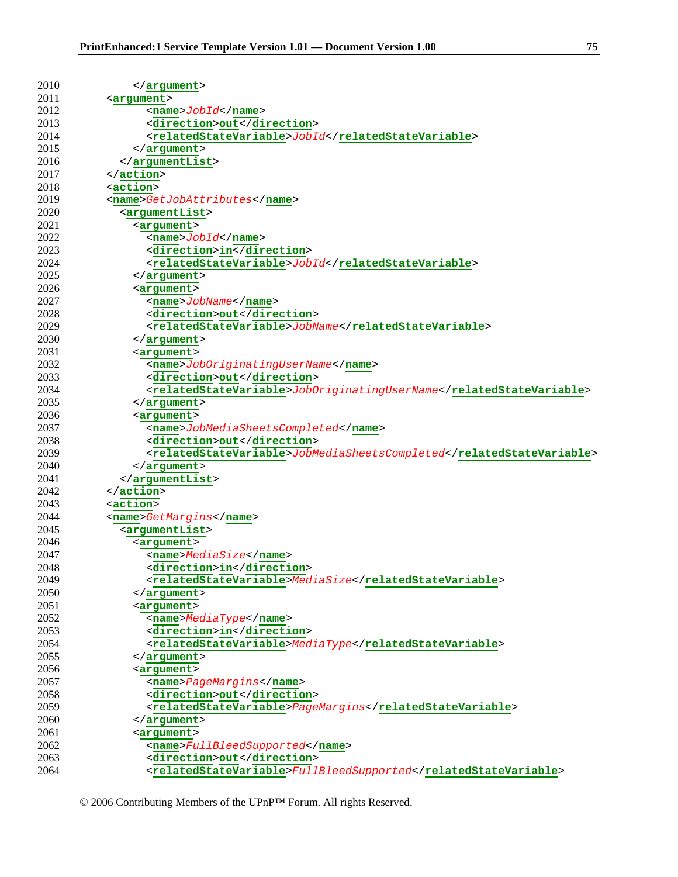| 2010         | $\alpha$ / argument >                                                                       |
|--------------|---------------------------------------------------------------------------------------------|
| 2011         | <arqument></arqument>                                                                       |
| 2012         | $<$ name> $J$ <i>obId</i> < /name>                                                          |
| 2013         | <direction>out</direction>                                                                  |
| 2014         | $< \verb relatedStateVariable> Jobld /relatedStateVariable \\$                              |
| 2015         | $\langle$ argument>                                                                         |
| 2016         | $\frac{2}{x}$                                                                               |
| 2017         | $\langle$ action>                                                                           |
| 2018         | <action></action>                                                                           |
| 2019         | <name>GetJobAttributes</name>                                                               |
| 2020         | <argumentlist></argumentlist>                                                               |
| 2021         | <argument></argument>                                                                       |
| 2022         | $<$ name> $Jobl d$                                                                          |
| 2023         | <direction>in</direction>                                                                   |
| 2024         | $< \verb relatedStateVariable> Jobld /relatedStateVariable \\$                              |
| 2025         | $\langle$ /argument>                                                                        |
| 2026         | <argument></argument>                                                                       |
| 2027         | <name>JobName</name>                                                                        |
| 2028         | <direction>out</direction>                                                                  |
| 2029         | <relatedstatevariable>JobName</relatedstatevariable>                                        |
| 2030         | $\langle$ /argument>                                                                        |
| 2031         | <arqument></arqument>                                                                       |
| 2032         | <name>JobOriginatingUserName</name>                                                         |
| 2033         | <direction>out</direction>                                                                  |
| 2034         | <relatedstatevariable>JobOriginatingUserName</relatedstatevariable>                         |
| 2035         | $\langle$ argument>                                                                         |
| 2036         | <argument></argument>                                                                       |
| 2037         |                                                                                             |
| 2038         | <name>JobMediaSheetsCompleted</name>                                                        |
| 2039         | <direction>out</direction>                                                                  |
| 2040         | <relatedstatevariable>JobMediaSheetsCompleted</relatedstatevariable><br>$\langle$ argument> |
| 2041         | $\frac{2}{x}$                                                                               |
| 2042         | $\langle$ action>                                                                           |
| 2043         | <action></action>                                                                           |
| 2044         |                                                                                             |
| 2045         | <name>GetMargins</name>                                                                     |
| 2046         | $<$ argumentList>                                                                           |
| 2047         | <argument></argument>                                                                       |
| 2048         | <name>MediaSize</name><br><direction>in</direction>                                         |
| 2049         | <relatedstatevariable>MediaSize</relatedstatevariable>                                      |
| 2050         |                                                                                             |
| 2051         | $\langle$ /argument>                                                                        |
| 2052         | <argument></argument>                                                                       |
| 2053         | <name>MediaType</name>                                                                      |
| 2054         | <direction>in</direction>                                                                   |
| 2055         | <relatedstatevariable>MediaType</relatedstatevariable>                                      |
| 2056         | $\langle$ argument>                                                                         |
| 2057         | <argument></argument>                                                                       |
|              | <name>PageMargins</name><br><direction>out</direction>                                      |
| 2058         |                                                                                             |
| 2059         | <relatedstatevariable>PageMargins</relatedstatevariable>                                    |
| 2060<br>2061 |                                                                                             |
|              | <argument></argument>                                                                       |
| 2062<br>2063 | <name>FullBleedSupported</name>                                                             |
|              | <direction>out</direction>                                                                  |
| 2064         | <relatedstatevariable>FullBleedSupported</relatedstatevariable>                             |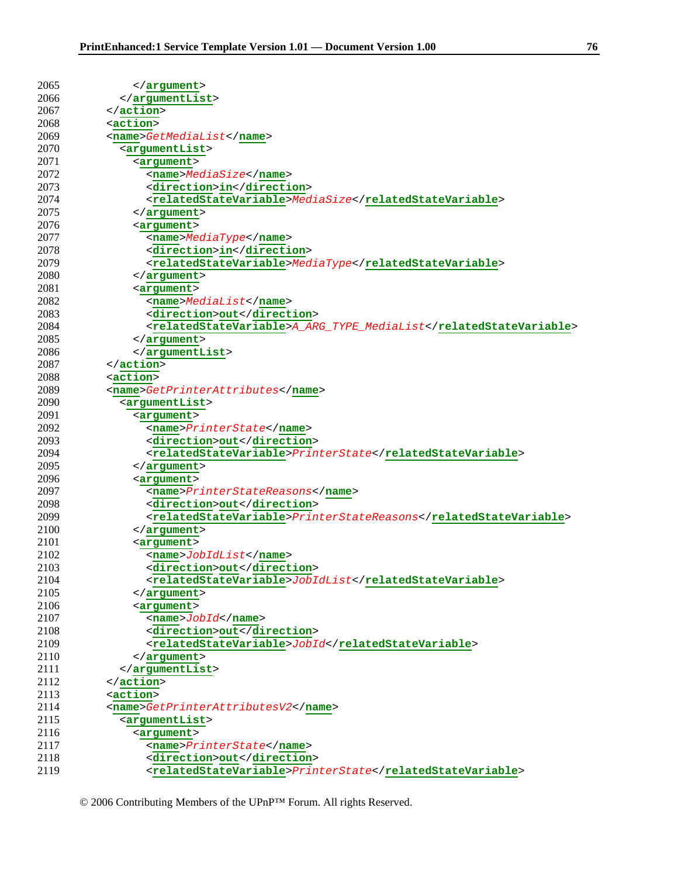| 2065         | $\langle$ /argument>                                              |
|--------------|-------------------------------------------------------------------|
| 2066         | $\frac{2}{x}$                                                     |
| 2067         | $\langle$ /action>                                                |
| 2068         | <action></action>                                                 |
| 2069         | <name>GetMediaList</name>                                         |
| 2070         | <argumentlist></argumentlist>                                     |
| 2071         | <argument></argument>                                             |
| 2072         | <name>MediaSize</name>                                            |
| 2073         | <direction>in</direction>                                         |
| 2074         | <relatedstatevariable>MediaSize</relatedstatevariable>            |
| 2075         |                                                                   |
| 2076         | <argument></argument>                                             |
| 2077         | <name>MediaType</name>                                            |
| 2078         | <direction>in</direction>                                         |
| 2079         | <relatedstatevariable>MediaType</relatedstatevariable>            |
| 2080         | $\langle$ /argument>                                              |
| 2081         | <argument></argument>                                             |
| 2082         | <name>MediaList</name>                                            |
| 2083         | <direction>out</direction>                                        |
| 2084         | <relatedstatevariable>A_ARG_TYPE_MediaList</relatedstatevariable> |
| 2085         |                                                                   |
| 2086         | $\langle$ argument>                                               |
| 2087         | <br>$\langle$ /action>                                            |
| 2088         | <action></action>                                                 |
| 2089         |                                                                   |
|              | <name>GetPrinterAttributes</name>                                 |
| 2090         | <argumentlist></argumentlist>                                     |
| 2091         | <argument></argument>                                             |
| 2092         | <name>PrinterState</name>                                         |
| 2093         | <direction>out</direction>                                        |
| 2094         | <relatedstatevariable>PrinterState</relatedstatevariable>         |
| 2095         | $\langle$ argument>                                               |
| 2096<br>2097 | <argument></argument>                                             |
|              | <name>PrinterStateReasons</name>                                  |
| 2098         | <direction>out</direction>                                        |
| 2099         | <relatedstatevariable>PrinterStateReasons</relatedstatevariable>  |
| 2100         | $\langle$ argument>                                               |
| 2101         | <arqument></arqument>                                             |
| 2102         | $<$ name> $JobldList$                                             |
| 2103         | <direction>out</direction>                                        |
| 2104         | <relatedstatevariable>JobIdList</relatedstatevariable>            |
| 2105         |                                                                   |
| 2106         | <argument></argument>                                             |
| 2107         | $<$ name> $Jobl d$                                                |
| 2108         | <direction>out</direction>                                        |
| 2109         | $< \verb relatedStateVariable> Jobld /relatedStateVariable \\$    |
| 2110         | $\langle$ argument>                                               |
| 2111         | $\langle$ /argumentList>                                          |
| 2112         | $\langle$ /action>                                                |
| 2113         | <action></action>                                                 |
| 2114         | <name>GetPrinterAttributesV2</name>                               |
| 2115         | <argumentlist></argumentlist>                                     |
| 2116         | <argument></argument>                                             |
| 2117         | <name>PrinterState</name>                                         |
| 2118         | <direction>out</direction>                                        |
| 2119         | <relatedstatevariable>PrinterState</relatedstatevariable>         |

© 2006 Contributing Members of the UPnP™ Forum. All rights Reserved.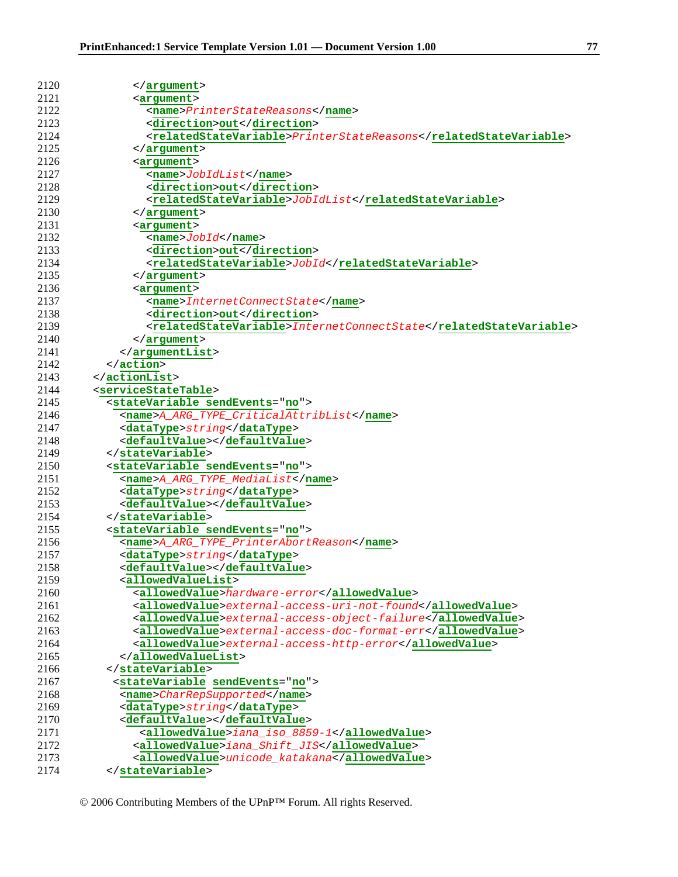| 2120         | $\langle$ argument>                                                                                                                                                                                                                                                                                                                                                                                                                                                                      |
|--------------|------------------------------------------------------------------------------------------------------------------------------------------------------------------------------------------------------------------------------------------------------------------------------------------------------------------------------------------------------------------------------------------------------------------------------------------------------------------------------------------|
| 2121         | <argument></argument>                                                                                                                                                                                                                                                                                                                                                                                                                                                                    |
| 2122         | <name>PrinterStateReasons</name>                                                                                                                                                                                                                                                                                                                                                                                                                                                         |
| 2123         | <direction>out</direction>                                                                                                                                                                                                                                                                                                                                                                                                                                                               |
| 2124         | <relatedstatevariable>PrinterStateReasons</relatedstatevariable>                                                                                                                                                                                                                                                                                                                                                                                                                         |
| 2125         | $\langle$ argument>                                                                                                                                                                                                                                                                                                                                                                                                                                                                      |
| 2126         | <argument></argument>                                                                                                                                                                                                                                                                                                                                                                                                                                                                    |
| 2127         | $<$ name> $JobldList$                                                                                                                                                                                                                                                                                                                                                                                                                                                                    |
| 2128         | <direction>out</direction>                                                                                                                                                                                                                                                                                                                                                                                                                                                               |
| 2129         | $< \verb relatedStateVariable  > \verb JobldList  / related State Variable  > \verb Jabs  + \verb Jabs  + \verb Jabs  + \verb Jabs  + \verb Jabs  + \verb Jabs  + \verb Jabs  + \verb Jabs  + \verb Jabs  + \verb Jabs  + \verb Jabs  + \verb Jabs  + \verb Jabs  + \verb Jabs  + \verb Jabs  + \verb Jabs  + \verb Jabs  + \verb Jabs  + \verb Jabs  + \verb Jabs  + \verb Jabs  + \verb Jabs  + \verb Jabs  + \verb Jabs  + \verb Jabs  + \verb Jabs  + \verb Jabs  + \verb Jabs  + \$ |
| 2130         | $\langle$ argument>                                                                                                                                                                                                                                                                                                                                                                                                                                                                      |
| 2131         | <argument></argument>                                                                                                                                                                                                                                                                                                                                                                                                                                                                    |
| 2132         | $<$ name> $Jobl d$                                                                                                                                                                                                                                                                                                                                                                                                                                                                       |
| 2133         | <direction>out</direction>                                                                                                                                                                                                                                                                                                                                                                                                                                                               |
| 2134         | $< \verb relatedStateVariable> Jobld /relatedStateVariable \\$                                                                                                                                                                                                                                                                                                                                                                                                                           |
| 2135         | $\langle$ argument>                                                                                                                                                                                                                                                                                                                                                                                                                                                                      |
| 2136         | <argument></argument>                                                                                                                                                                                                                                                                                                                                                                                                                                                                    |
| 2137         | <name>InternetConnectState</name>                                                                                                                                                                                                                                                                                                                                                                                                                                                        |
| 2138         | <direction>out</direction>                                                                                                                                                                                                                                                                                                                                                                                                                                                               |
| 2139         | <relatedstatevariable>InternetConnectState</relatedstatevariable>                                                                                                                                                                                                                                                                                                                                                                                                                        |
| 2140         | $\langle$ /argument>                                                                                                                                                                                                                                                                                                                                                                                                                                                                     |
| 2141         |                                                                                                                                                                                                                                                                                                                                                                                                                                                                                          |
| 2142         | $\alpha$ / action>                                                                                                                                                                                                                                                                                                                                                                                                                                                                       |
| 2143         | $\frac{1}{2}$                                                                                                                                                                                                                                                                                                                                                                                                                                                                            |
| 2144         | <servicestatetable></servicestatetable>                                                                                                                                                                                                                                                                                                                                                                                                                                                  |
| 2145         | <statevariable sendevents="no"></statevariable>                                                                                                                                                                                                                                                                                                                                                                                                                                          |
| 2146         | <name>A_ARG_TYPE_CriticalAttribList</name>                                                                                                                                                                                                                                                                                                                                                                                                                                               |
|              |                                                                                                                                                                                                                                                                                                                                                                                                                                                                                          |
| 2147         | <datatype>string</datatype>                                                                                                                                                                                                                                                                                                                                                                                                                                                              |
| 2148         | <defaultvalue></defaultvalue>                                                                                                                                                                                                                                                                                                                                                                                                                                                            |
| 2149<br>2150 |                                                                                                                                                                                                                                                                                                                                                                                                                                                                                          |
|              | <statevariable sendevents="no"></statevariable>                                                                                                                                                                                                                                                                                                                                                                                                                                          |
| 2151<br>2152 | <name>A_ARG_TYPE_MediaList</name>                                                                                                                                                                                                                                                                                                                                                                                                                                                        |
|              | <datatype>string</datatype>                                                                                                                                                                                                                                                                                                                                                                                                                                                              |
| 2153         | <defaultvalue></defaultvalue>                                                                                                                                                                                                                                                                                                                                                                                                                                                            |
| 2154         |                                                                                                                                                                                                                                                                                                                                                                                                                                                                                          |
| 2155         | <statevariable sendevents="no"></statevariable>                                                                                                                                                                                                                                                                                                                                                                                                                                          |
| 2156         | <name>A_ARG_TYPE_PrinterAbortReason</name>                                                                                                                                                                                                                                                                                                                                                                                                                                               |
| 2157         | <datatype>string</datatype>                                                                                                                                                                                                                                                                                                                                                                                                                                                              |
| 2158         | <defaultvalue></defaultvalue>                                                                                                                                                                                                                                                                                                                                                                                                                                                            |
| 2159         | <allowedvaluelist></allowedvaluelist>                                                                                                                                                                                                                                                                                                                                                                                                                                                    |
| 2160         | <allowedvalue>hardware-error</allowedvalue>                                                                                                                                                                                                                                                                                                                                                                                                                                              |
| 2161         | <allowedvalue>external-access-uri-not-found</allowedvalue>                                                                                                                                                                                                                                                                                                                                                                                                                               |
| 2162         | <allowedvalue>external-access-object-failure</allowedvalue>                                                                                                                                                                                                                                                                                                                                                                                                                              |
| 2163         | <allowedvalue>external-access-doc-format-err</allowedvalue>                                                                                                                                                                                                                                                                                                                                                                                                                              |
| 2164         | <allowedvalue>external-access-http-error</allowedvalue>                                                                                                                                                                                                                                                                                                                                                                                                                                  |
| 2165         |                                                                                                                                                                                                                                                                                                                                                                                                                                                                                          |
| 2166         |                                                                                                                                                                                                                                                                                                                                                                                                                                                                                          |
| 2167         | <statevariable sendevents="no"></statevariable>                                                                                                                                                                                                                                                                                                                                                                                                                                          |
| 2168         | <name>CharRepSupported</name>                                                                                                                                                                                                                                                                                                                                                                                                                                                            |
| 2169         | <datatype>string</datatype>                                                                                                                                                                                                                                                                                                                                                                                                                                                              |
| 2170         | <defaultvalue></defaultvalue>                                                                                                                                                                                                                                                                                                                                                                                                                                                            |
| 2171         | <allowedvalue>iana_iso_8859-1</allowedvalue>                                                                                                                                                                                                                                                                                                                                                                                                                                             |
| 2172         | <allowedvalue>iana_Shift_JIS</allowedvalue>                                                                                                                                                                                                                                                                                                                                                                                                                                              |
| 2173         | <allowedvalue>unicode_katakana</allowedvalue>                                                                                                                                                                                                                                                                                                                                                                                                                                            |
| 2174         |                                                                                                                                                                                                                                                                                                                                                                                                                                                                                          |

<sup>© 2006</sup> Contributing Members of the UPnP™ Forum. All rights Reserved.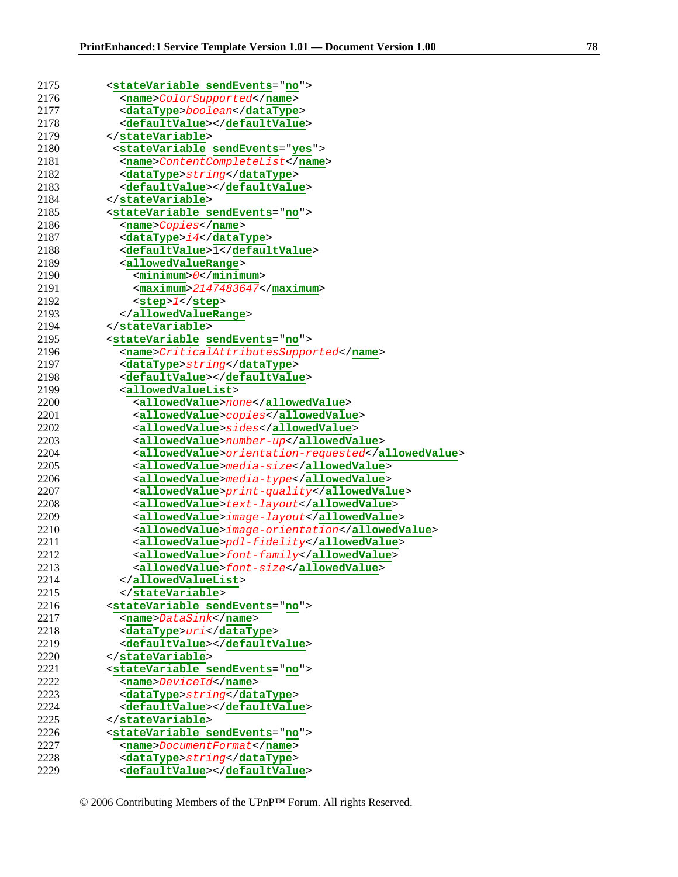| 2175         | <statevariable sendevents="no"></statevariable>              |
|--------------|--------------------------------------------------------------|
| 2176         | <name>ColorSupported</name>                                  |
| 2177         | <datatype>boolean</datatype>                                 |
| 2178         | <defaultvalue></defaultvalue>                                |
| 2179         |                                                              |
| 2180         | <statevariable sendevents="yes"></statevariable>             |
| 2181         | <name>ContentCompleteList</name>                             |
| 2182         | <datatype>string</datatype>                                  |
| 2183         | <defaultvalue></defaultvalue>                                |
| 2184         |                                                              |
| 2185         | <statevariable sendevents="no"></statevariable>              |
| 2186         | <name>Copies</name>                                          |
| 2187         | <datatype>i4</datatype>                                      |
| 2188         | <defaultvalue>1</defaultvalue>                               |
| 2189         | <allowedvaluerange></allowedvaluerange>                      |
| 2190         | $\verb  /< minimum $                                         |
| 2191         | $<$ maximum>2147483647                                       |
| 2192         | $<$ step> $1$                                                |
| 2193         |                                                              |
| 2194         |                                                              |
| 2195         | <statevariable sendevents="no"></statevariable>              |
| 2196         | <name>CriticalAttributesSupported</name>                     |
| 2197         | <datatype>string</datatype>                                  |
| 2198         | <defaultvalue></defaultvalue>                                |
| 2199         | <allowedvaluelist></allowedvaluelist>                        |
| 2200         | <allowedvalue>none</allowedvalue>                            |
| 2201         | <allowedvalue>copies</allowedvalue>                          |
| 2202         | <allowedvalue>sides</allowedvalue>                           |
| 2203         | <allowedvalue>number-up</allowedvalue>                       |
| 2204         |                                                              |
|              |                                                              |
|              | <allowedvalue>orientation-requested</allowedvalue>           |
| 2205         | <allowedvalue>media-size</allowedvalue>                      |
| 2206         | <allowedvalue>media-type</allowedvalue>                      |
| 2207         | <allowedvalue>print-quality</allowedvalue>                   |
| 2208         | <allowedvalue>text-layout</allowedvalue>                     |
| 2209         | <allowedvalue>image-layout</allowedvalue>                    |
| 2210         | <allowedvalue>image-orientation</allowedvalue>               |
| 2211         | <allowedvalue>pdl-fidelity</allowedvalue>                    |
| 2212         | <allowedvalue>font-family</allowedvalue>                     |
| 2213         | <allowedvalue>font-size</allowedvalue>                       |
| 2214         |                                                              |
| 2215         |                                                              |
| 2216         | <statevariable sendevents="no"></statevariable>              |
| 2217         | <name>DataSink</name>                                        |
| 2218         | <datatype>uri</datatype>                                     |
| 2219         | <defaultvalue></defaultvalue>                                |
| 2220         |                                                              |
| 2221         | <statevariable sendevents="no"></statevariable>              |
| 2222         | <name>DeviceId</name>                                        |
| 2223         | <datatype>string</datatype>                                  |
| 2224         | <defaultvalue></defaultvalue>                                |
| 2225         |                                                              |
| 2226         | <statevariable sendevents="no"></statevariable>              |
| 2227         | <name>DocumentFormat</name>                                  |
| 2228<br>2229 | <datatype>string</datatype><br><defaultvalue></defaultvalue> |

© 2006 Contributing Members of the UPnP™ Forum. All rights Reserved.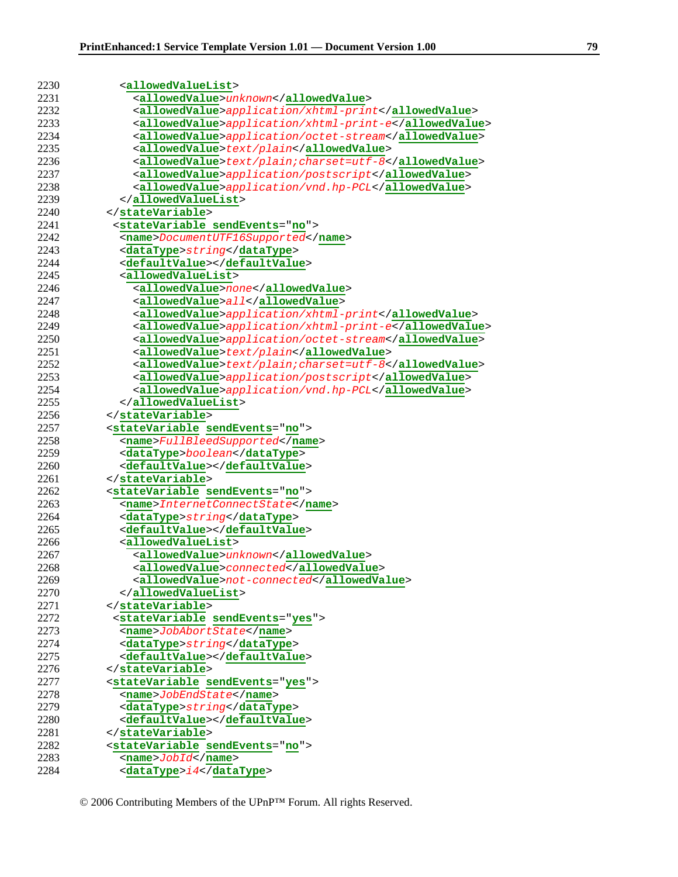| 2230 | <allowedvaluelist></allowedvaluelist>                  |
|------|--------------------------------------------------------|
| 2231 | <allowedvalue>unknown</allowedvalue>                   |
| 2232 | <allowedvalue>application/xhtml-print</allowedvalue>   |
| 2233 | <allowedvalue>application/xhtml-print-e</allowedvalue> |
| 2234 | <allowedvalue>application/octet-stream</allowedvalue>  |
| 2235 |                                                        |
| 2236 | <allowedvalue>text/plain</allowedvalue>                |
|      | <allowedvalue>text/plain;charset=utf-8</allowedvalue>  |
| 2237 | <allowedvalue>application/postscript</allowedvalue>    |
| 2238 | <allowedvalue>application/vnd.hp-PCL</allowedvalue>    |
| 2239 |                                                        |
| 2240 |                                                        |
| 2241 | <statevariable sendevents="no"></statevariable>        |
| 2242 | <name>DocumentUTF16Supported</name>                    |
| 2243 | <datatype>string</datatype>                            |
| 2244 | <defaultvalue></defaultvalue>                          |
| 2245 | <allowedvaluelist></allowedvaluelist>                  |
| 2246 | <allowedvalue>none</allowedvalue>                      |
| 2247 | <allowedvalue>all</allowedvalue>                       |
| 2248 | <allowedvalue>application/xhtml-print</allowedvalue>   |
| 2249 | <allowedvalue>application/xhtml-print-e</allowedvalue> |
| 2250 | <allowedvalue>application/octet-stream</allowedvalue>  |
| 2251 | <allowedvalue>text/plain</allowedvalue>                |
| 2252 | <allowedvalue>text/plain;charset=utf-8</allowedvalue>  |
| 2253 | <allowedvalue>application/postscript</allowedvalue>    |
| 2254 | <allowedvalue>application/vnd.hp-PCL</allowedvalue>    |
| 2255 |                                                        |
| 2256 |                                                        |
| 2257 | <statevariable sendevents="no"></statevariable>        |
| 2258 | <name>FullBleedSupported</name>                        |
| 2259 | <datatype>boolean</datatype>                           |
| 2260 | <defaultvalue></defaultvalue>                          |
| 2261 |                                                        |
| 2262 | <statevariable sendevents="no"></statevariable>        |
| 2263 | <name>InternetConnectState</name>                      |
| 2264 | <datatype>string</datatype>                            |
| 2265 | <defaultvalue></defaultvalue>                          |
| 2266 | <allowedvaluelist></allowedvaluelist>                  |
| 2267 | <allowedvalue>unknown</allowedvalue>                   |
| 2268 | <allowedvalue>connected</allowedvalue>                 |
| 2269 | <allowedvalue>not-connected</allowedvalue>             |
| 2270 |                                                        |
| 2271 |                                                        |
| 2272 | <statevariable sendevents="yes"></statevariable>       |
| 2273 | <name>JobAbortState</name>                             |
| 2274 | <datatype>string</datatype>                            |
| 2275 | <defaultvalue></defaultvalue>                          |
| 2276 |                                                        |
| 2277 | <statevariable sendevents="yes"></statevariable>       |
| 2278 | <name>JobEndState</name>                               |
| 2279 | <datatype>string</datatype>                            |
| 2280 | <defaultvalue></defaultvalue>                          |
| 2281 |                                                        |
| 2282 | <statevariable sendevents="no"></statevariable>        |
| 2283 | $<$ name> $Jobl d$                                     |
| 2284 | <datatype>i4</datatype>                                |
|      |                                                        |

© 2006 Contributing Members of the UPnP™ Forum. All rights Reserved.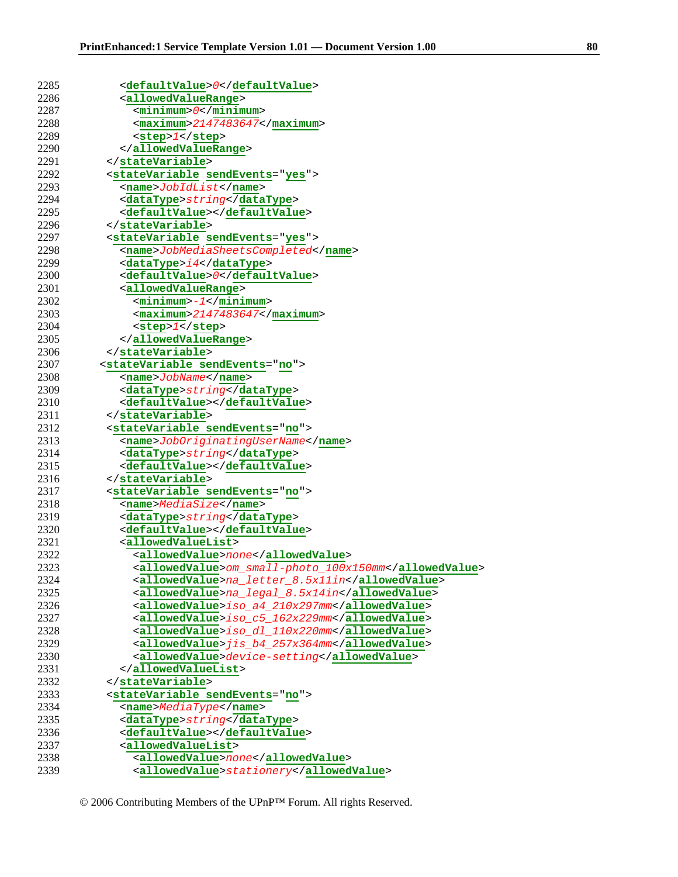| 2285 | <defaultvalue>0</defaultvalue>                        |
|------|-------------------------------------------------------|
| 2286 | <allowedvaluerange></allowedvaluerange>               |
| 2287 | $<$ minimum> $0$                                      |
| 2288 | $<$ maximum>2147483647                                |
| 2289 | $<$ step> $1$                                         |
| 2290 |                                                       |
| 2291 |                                                       |
| 2292 | <statevariable sendevents="yes"></statevariable>      |
| 2293 | <name>JobIdList</name>                                |
| 2294 | <datatype>string</datatype>                           |
| 2295 | <defaultvalue></defaultvalue>                         |
| 2296 |                                                       |
| 2297 | <statevariable sendevents="yes"></statevariable>      |
| 2298 | <name>JobMediaSheetsCompleted</name>                  |
| 2299 | <datatype>i4</datatype>                               |
| 2300 | <defaultvalue>0</defaultvalue>                        |
| 2301 | <allowedvaluerange></allowedvaluerange>               |
| 2302 | $<$ minimum>- $1$                                     |
| 2303 | $<$ maximum>2147483647                                |
| 2304 | $<$ step> $1$                                         |
| 2305 |                                                       |
| 2306 |                                                       |
| 2307 | <statevariable sendevents="no"></statevariable>       |
| 2308 | <name>JobName</name>                                  |
| 2309 | <datatype>string</datatype>                           |
| 2310 | <defaultvalue></defaultvalue>                         |
| 2311 |                                                       |
| 2312 | <statevariable sendevents="no"></statevariable>       |
| 2313 | <name>JobOriginatingUserName</name>                   |
| 2314 | <datatype>string</datatype>                           |
| 2315 | <defaultvalue></defaultvalue>                         |
| 2316 |                                                       |
| 2317 | <statevariable sendevents="no"></statevariable>       |
| 2318 | <name>MediaSize</name>                                |
| 2319 | <datatype>string</datatype>                           |
| 2320 | <defaultvalue></defaultvalue>                         |
| 2321 | <allowedvaluelist></allowedvaluelist>                 |
| 2322 | <allowedvalue>none</allowedvalue>                     |
| 2323 | <allowedvalue>om_small-photo_100x150mm</allowedvalue> |
| 2324 | <allowedvalue>na_letter_8.5x11in</allowedvalue>       |
| 2325 | <allowedvalue>na_legal_8.5x14in</allowedvalue>        |
| 2326 | <allowedvalue>iso_a4_210x297mm</allowedvalue>         |
| 2327 | <allowedvalue>iso_c5_162x229mm</allowedvalue>         |
| 2328 | <allowedvalue>iso_dl_110x220mm</allowedvalue>         |
| 2329 | <allowedvalue>jis_b4_257x364mm</allowedvalue>         |
| 2330 | <allowedvalue>device-setting</allowedvalue>           |
| 2331 |                                                       |
| 2332 |                                                       |
| 2333 | <statevariable sendevents="no"></statevariable>       |
| 2334 | <name>MediaType</name>                                |
| 2335 | <datatype>string</datatype>                           |
| 2336 | <defaultvalue></defaultvalue>                         |
| 2337 | <allowedvaluelist></allowedvaluelist>                 |
| 2338 | <allowedvalue>none</allowedvalue>                     |
| 2339 | <allowedvalue>stationery</allowedvalue>               |

<sup>© 2006</sup> Contributing Members of the UPnP™ Forum. All rights Reserved.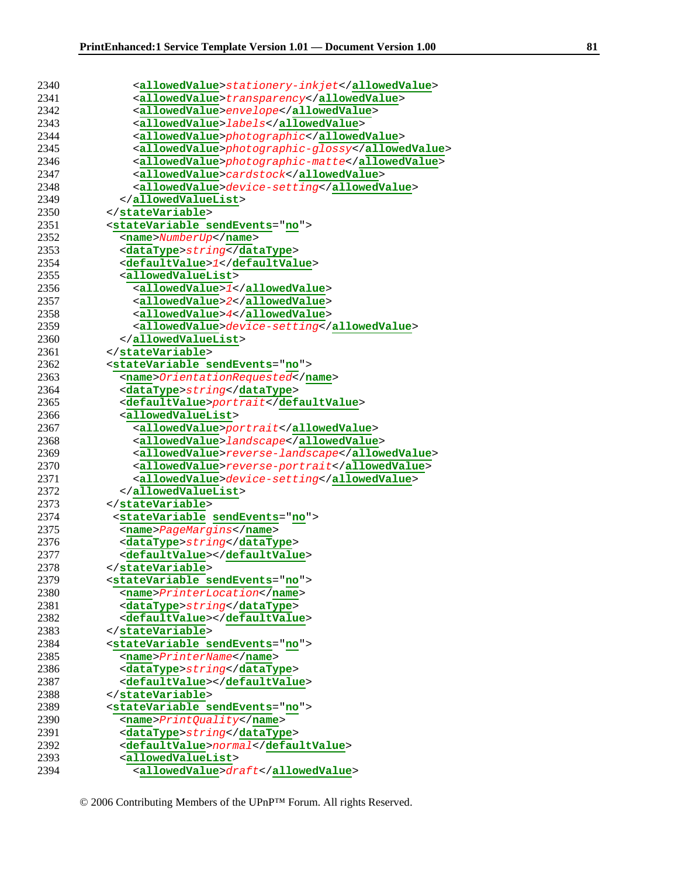| 2340 | <allowedvalue>stationery-inkjet</allowedvalue>   |
|------|--------------------------------------------------|
|      |                                                  |
| 2341 | <allowedvalue>transparency</allowedvalue>        |
| 2342 | <allowedvalue>envelope</allowedvalue>            |
| 2343 | <allowedvalue>labels</allowedvalue>              |
| 2344 | <allowedvalue>photographic</allowedvalue>        |
| 2345 | <allowedvalue>photographic-glossy</allowedvalue> |
| 2346 | <allowedvalue>photographic-matte</allowedvalue>  |
| 2347 | <allowedvalue>cardstock</allowedvalue>           |
| 2348 | <allowedvalue>device-setting</allowedvalue>      |
| 2349 |                                                  |
| 2350 |                                                  |
| 2351 | <statevariable sendevents="no"></statevariable>  |
| 2352 | <name>NumberUp</name>                            |
| 2353 | <datatype>string</datatype>                      |
| 2354 | <defaultvalue>1</defaultvalue>                   |
| 2355 | <allowedvaluelist></allowedvaluelist>            |
| 2356 | <allowedvalue>1</allowedvalue>                   |
| 2357 | <allowedvalue>2</allowedvalue>                   |
| 2358 | <allowedvalue>4</allowedvalue>                   |
| 2359 | <allowedvalue>device-setting</allowedvalue>      |
| 2360 |                                                  |
| 2361 |                                                  |
| 2362 | <statevariable sendevents="no"></statevariable>  |
| 2363 | <name>OrientationRequested</name>                |
| 2364 | <datatype>string</datatype>                      |
| 2365 | <defaultvalue>portrait</defaultvalue>            |
| 2366 | <allowedvaluelist></allowedvaluelist>            |
| 2367 | <allowedvalue>portrait</allowedvalue>            |
| 2368 | <allowedvalue>landscape</allowedvalue>           |
| 2369 | <allowedvalue>reverse-landscape</allowedvalue>   |
| 2370 | <allowedvalue>reverse-portrait</allowedvalue>    |
| 2371 | <allowedvalue>device-setting</allowedvalue>      |
| 2372 |                                                  |
| 2373 |                                                  |
| 2374 |                                                  |
| 2375 | <statevariable sendevents="no"></statevariable>  |
|      | <name>PageMargins</name>                         |
| 2376 | <datatype>string</datatype>                      |
| 2377 | <defaultvalue></defaultvalue>                    |
| 2378 |                                                  |
| 2379 | <statevariable sendevents="no"></statevariable>  |
| 2380 | <name>PrinterLocation</name>                     |
| 2381 | <datatype>string</datatype>                      |
| 2382 | <defaultvalue></defaultvalue>                    |
| 2383 |                                                  |
| 2384 | <statevariable sendevents="no"></statevariable>  |
| 2385 | <name>PrinterName</name>                         |
| 2386 | <datatype>string</datatype>                      |
| 2387 | <defaultvalue></defaultvalue>                    |
| 2388 |                                                  |
| 2389 | <statevariable sendevents="no"></statevariable>  |
| 2390 | <name>PrintQuality</name>                        |
| 2391 | <datatype>string</datatype>                      |
| 2392 | <defaultvalue>normal</defaultvalue>              |
| 2393 | <allowedvaluelist></allowedvaluelist>            |
| 2394 | <allowedvalue>draft</allowedvalue>               |

<sup>© 2006</sup> Contributing Members of the UPnP™ Forum. All rights Reserved.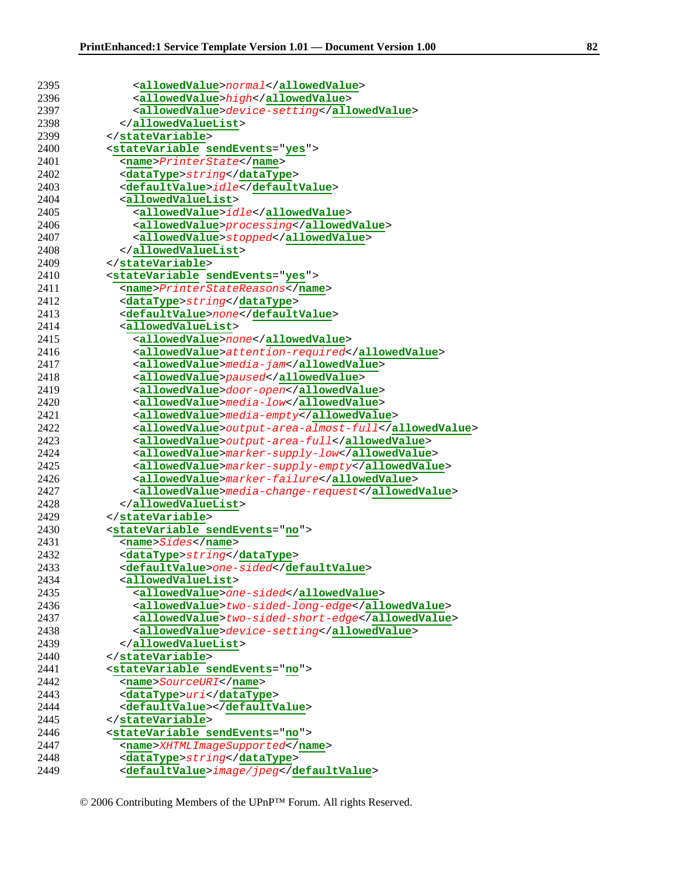| 2395 | <allowedvalue>normal</allowedvalue>                  |
|------|------------------------------------------------------|
| 2396 | <allowedvalue>high</allowedvalue>                    |
| 2397 | <allowedvalue>device-setting</allowedvalue>          |
| 2398 |                                                      |
| 2399 |                                                      |
| 2400 | <statevariable sendevents="yes"></statevariable>     |
| 2401 | <name>PrinterState</name>                            |
| 2402 | <datatype>string</datatype>                          |
| 2403 | <defaultvalue>idle</defaultvalue>                    |
| 2404 | <allowedvaluelist></allowedvaluelist>                |
| 2405 | <allowedvalue>idle</allowedvalue>                    |
| 2406 | <allowedvalue>processing</allowedvalue>              |
| 2407 | <allowedvalue>stopped</allowedvalue>                 |
| 2408 |                                                      |
| 2409 |                                                      |
| 2410 | <statevariable sendevents="yes"></statevariable>     |
| 2411 | <name>PrinterStateReasons</name>                     |
| 2412 | <datatype>string</datatype>                          |
| 2413 | <defaultvalue>none</defaultvalue>                    |
| 2414 | <allowedvaluelist></allowedvaluelist>                |
| 2415 | <allowedvalue>none</allowedvalue>                    |
| 2416 | <allowedvalue>attention-required</allowedvalue>      |
| 2417 | <allowedvalue>media-jam</allowedvalue>               |
| 2418 | <allowedvalue>paused</allowedvalue>                  |
| 2419 | <allowedvalue>door-open</allowedvalue>               |
| 2420 | <allowedvalue>media-low</allowedvalue>               |
| 2421 | <allowedvalue>media-empty</allowedvalue>             |
| 2422 | <allowedvalue>output-area-almost-full</allowedvalue> |
| 2423 | <allowedvalue>output-area-full</allowedvalue>        |
| 2424 | <allowedvalue>marker-supply-low</allowedvalue>       |
| 2425 | <allowedvalue>marker-supply-empty</allowedvalue>     |
| 2426 | <allowedvalue>marker-failure</allowedvalue>          |
| 2427 | <allowedvalue>media-change-request</allowedvalue>    |
| 2428 |                                                      |
| 2429 |                                                      |
| 2430 | <statevariable sendevents="no"></statevariable>      |
| 2431 | <name>Sides</name>                                   |
| 2432 | <datatype>string</datatype>                          |
| 2433 | <defaultvalue>one-sided</defaultvalue>               |
| 2434 | <allowedvaluelist></allowedvaluelist>                |
| 2435 | <allowedvalue>one-sided</allowedvalue>               |
| 2436 | <allowedvalue>two-sided-long-edge</allowedvalue>     |
| 2437 | <allowedvalue>two-sided-short-edge</allowedvalue>    |
| 2438 | <allowedvalue>device-setting</allowedvalue>          |
| 2439 |                                                      |
| 2440 |                                                      |
| 2441 | <statevariable sendevents="no"></statevariable>      |
| 2442 | <name>SourceURI</name>                               |
| 2443 | <datatype>uri</datatype>                             |
| 2444 | <defaultvalue></defaultvalue>                        |
| 2445 |                                                      |
| 2446 | <statevariable sendevents="no"></statevariable>      |
| 2447 | <name>XHTMLImageSupported</name>                     |
| 2448 | <datatype>string</datatype>                          |
| 2449 | <defaultvalue>image/jpeg</defaultvalue>              |
|      |                                                      |

<sup>© 2006</sup> Contributing Members of the UPnP™ Forum. All rights Reserved.